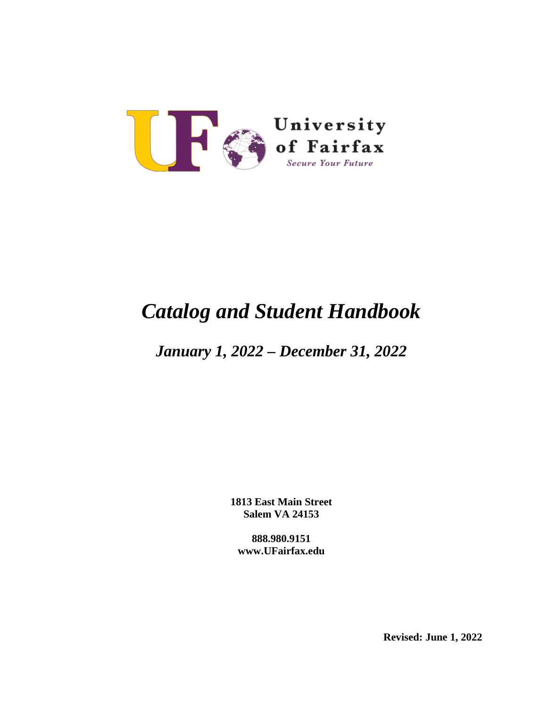

# *Catalog and Student Handbook*

# *January 1, 2022 – December 31, 2022*

**1813 East Main Street Salem VA 24153**

**888.980.9151 www.UFairfax.edu**

**Revised: June 1, 2022**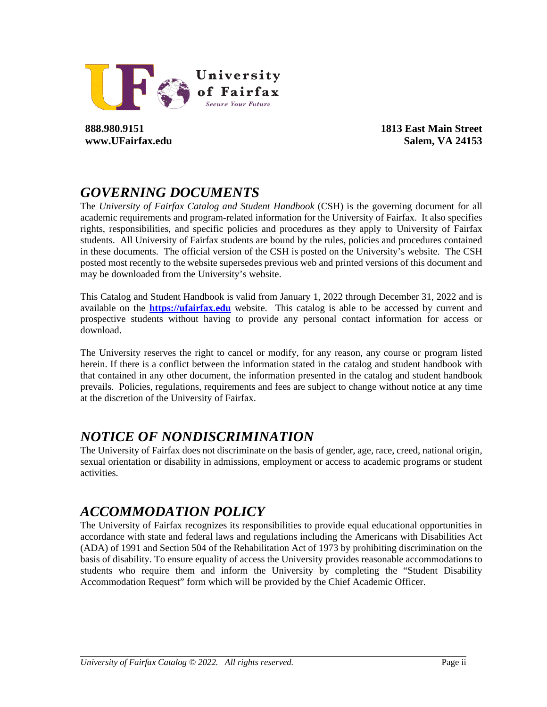

**888.980.9151 www.UFairfax.edu** **1813 East Main Street Salem, VA 24153**

# *GOVERNING DOCUMENTS*

The *University of Fairfax Catalog and Student Handbook* (CSH) is the governing document for all academic requirements and program-related information for the University of Fairfax. It also specifies rights, responsibilities, and specific policies and procedures as they apply to University of Fairfax students. All University of Fairfax students are bound by the rules, policies and procedures contained in these documents. The official version of the CSH is posted on the University's website. The CSH posted most recently to the website supersedes previous web and printed versions of this document and may be downloaded from the University's website.

This Catalog and Student Handbook is valid from January 1, 2022 through December 31, 2022 and is available on the **[https://ufairfax.edu](https://ufairfax.edu/)** website. This catalog is able to be accessed by current and prospective students without having to provide any personal contact information for access or download.

The University reserves the right to cancel or modify, for any reason, any course or program listed herein. If there is a conflict between the information stated in the catalog and student handbook with that contained in any other document, the information presented in the catalog and student handbook prevails. Policies, regulations, requirements and fees are subject to change without notice at any time at the discretion of the University of Fairfax.

# *NOTICE OF NONDISCRIMINATION*

The University of Fairfax does not discriminate on the basis of gender, age, race, creed, national origin, sexual orientation or disability in admissions, employment or access to academic programs or student activities.

# *ACCOMMODATION POLICY*

The University of Fairfax recognizes its responsibilities to provide equal educational opportunities in accordance with state and federal laws and regulations including the Americans with Disabilities Act (ADA) of 1991 and Section 504 of the Rehabilitation Act of 1973 by prohibiting discrimination on the basis of disability. To ensure equality of access the University provides reasonable accommodations to students who require them and inform the University by completing the "Student Disability Accommodation Request" form which will be provided by the Chief Academic Officer.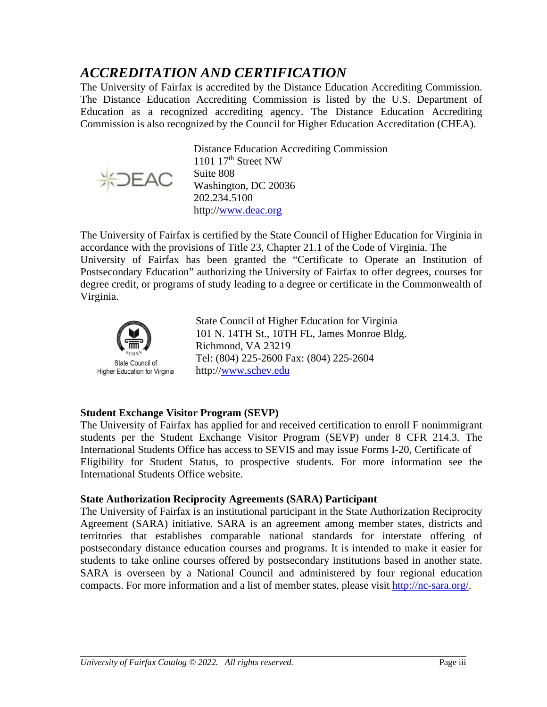# *ACCREDITATION AND CERTIFICATION*

The University of Fairfax is accredited by the Distance Education Accrediting Commission. The Distance Education Accrediting Commission is listed by the U.S. Department of Education as a recognized accrediting agency. The Distance Education Accrediting Commission is also recognized by the Council for Higher Education Accreditation (CHEA).



Distance Education Accrediting Commission 1101  $17<sup>th</sup>$  Street NW Suite 808 Washington, DC 20036 202.234.5100 http:/[/www.deac.org](http://www.deac.org/)

The University of Fairfax is certified by the State Council of Higher Education for Virginia in accordance with the provisions of Title 23, Chapter 21.1 of the Code of Virginia. The University of Fairfax has been granted the "Certificate to Operate an Institution of Postsecondary Education" authorizing the University of Fairfax to offer degrees, courses for degree credit, or programs of study leading to a degree or certificate in the Commonwealth of Virginia.



State Council of Higher Education for Virginia 101 N. 14TH St., 10TH FL, James Monroe Bldg. Richmond, VA 23219 Tel: (804) 225-2600 Fax: (804) 225-2604 http:/[/www.schev.edu](file://Uof-sbs01/Users/UoF%20Documents/UOF%20Catalog.Handbooks/Mar%202012/www.schev.edu)

#### **Student Exchange Visitor Program (SEVP)**

The University of Fairfax has applied for and received certification to enroll F nonimmigrant students per the Student Exchange Visitor Program (SEVP) under 8 CFR 214.3. The International Students Office has access to SEVIS and may issue Forms I-20, Certificate of Eligibility for Student Status, to prospective students. For more information see the International Students Office website.

#### **State Authorization Reciprocity Agreements (SARA) Participant**

The University of Fairfax is an institutional participant in the State Authorization Reciprocity Agreement (SARA) initiative. SARA is an agreement among member states, districts and territories that establishes comparable national standards for interstate offering of postsecondary distance education courses and programs. It is intended to make it easier for students to take online courses offered by postsecondary institutions based in another state. SARA is overseen by a National Council and administered by four regional education compacts. For more information and a list of member states, please visit [http://nc-sara.org/.](http://nc-sara.org/)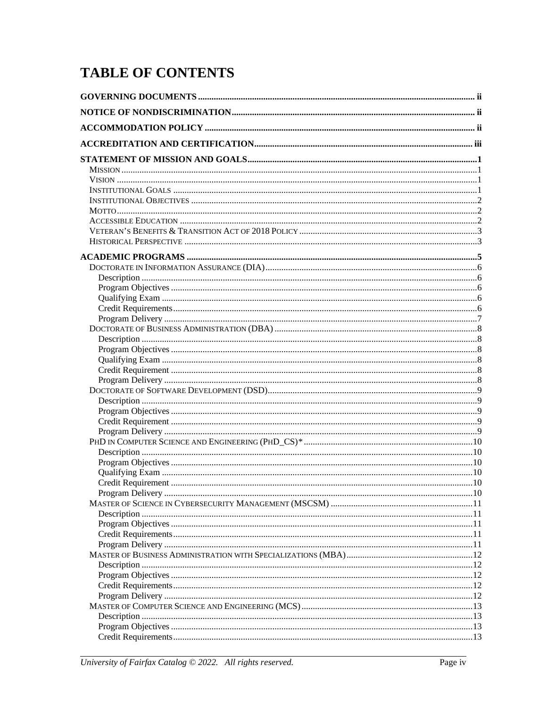# **TABLE OF CONTENTS**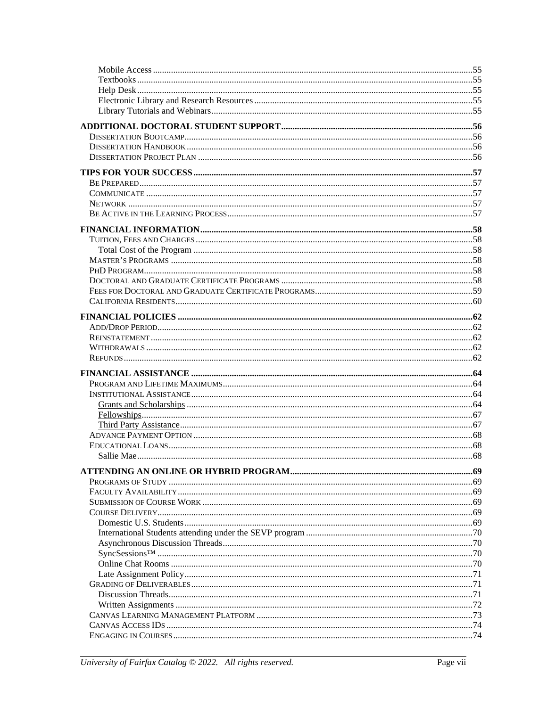| $SynC 20$ $\text{SynC} 30$ $\text{SynC} 40$ $\text{SynC} 50$ $\text{SynC} 50$ $\text{SynC} 50$ $\text{SynC} 50$ $\text{SynC} 50$ $\text{SynC} 50$ $\text{SynC} 50$ $\text{SynC} 50$ $\text{SynC} 50$ $\text{SynC} 50$ $\text{SynC} 50$ $\text{SynC} 50$ $\text{SynC} 50$ $\text{SynC} 50$ $\text{S$ |  |
|-----------------------------------------------------------------------------------------------------------------------------------------------------------------------------------------------------------------------------------------------------------------------------------------------------|--|
|                                                                                                                                                                                                                                                                                                     |  |
|                                                                                                                                                                                                                                                                                                     |  |
|                                                                                                                                                                                                                                                                                                     |  |
|                                                                                                                                                                                                                                                                                                     |  |
|                                                                                                                                                                                                                                                                                                     |  |
|                                                                                                                                                                                                                                                                                                     |  |
|                                                                                                                                                                                                                                                                                                     |  |
|                                                                                                                                                                                                                                                                                                     |  |
|                                                                                                                                                                                                                                                                                                     |  |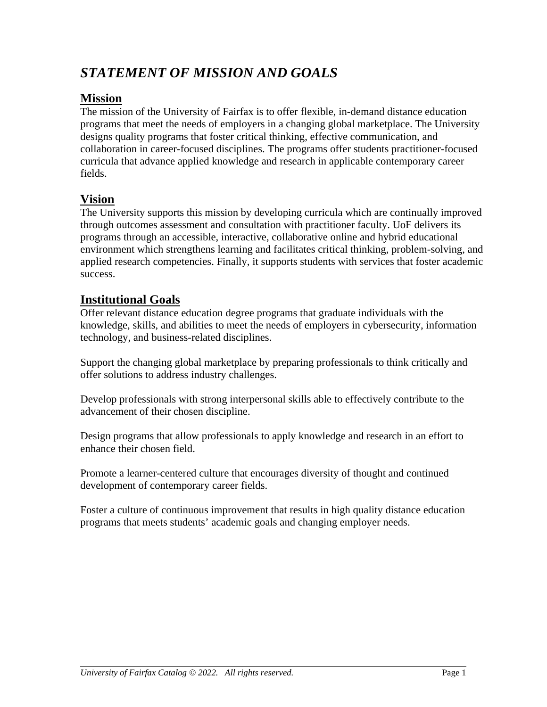# *STATEMENT OF MISSION AND GOALS*

### **Mission**

The mission of the University of Fairfax is to offer flexible, in-demand distance education programs that meet the needs of employers in a changing global marketplace. The University designs quality programs that foster critical thinking, effective communication, and collaboration in career-focused disciplines. The programs offer students practitioner-focused curricula that advance applied knowledge and research in applicable contemporary career fields.

### **Vision**

The University supports this mission by developing curricula which are continually improved through outcomes assessment and consultation with practitioner faculty. UoF delivers its programs through an accessible, interactive, collaborative online and hybrid educational environment which strengthens learning and facilitates critical thinking, problem-solving, and applied research competencies. Finally, it supports students with services that foster academic success.

### **Institutional Goals**

Offer relevant distance education degree programs that graduate individuals with the knowledge, skills, and abilities to meet the needs of employers in cybersecurity, information technology, and business-related disciplines.

Support the changing global marketplace by preparing professionals to think critically and offer solutions to address industry challenges.

Develop professionals with strong interpersonal skills able to effectively contribute to the advancement of their chosen discipline.

Design programs that allow professionals to apply knowledge and research in an effort to enhance their chosen field.

Promote a learner-centered culture that encourages diversity of thought and continued development of contemporary career fields.

Foster a culture of continuous improvement that results in high quality distance education programs that meets students' academic goals and changing employer needs.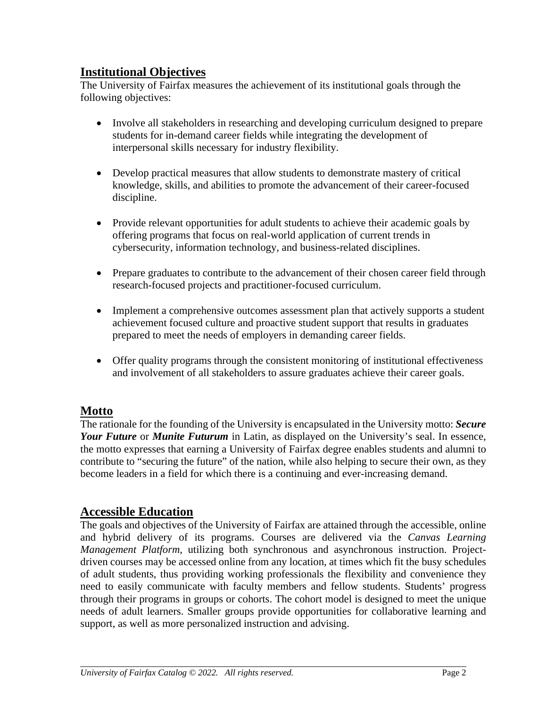### **Institutional Objectives**

The University of Fairfax measures the achievement of its institutional goals through the following objectives:

- Involve all stakeholders in researching and developing curriculum designed to prepare students for in-demand career fields while integrating the development of interpersonal skills necessary for industry flexibility.
- Develop practical measures that allow students to demonstrate mastery of critical knowledge, skills, and abilities to promote the advancement of their career-focused discipline.
- Provide relevant opportunities for adult students to achieve their academic goals by offering programs that focus on real-world application of current trends in cybersecurity, information technology, and business-related disciplines.
- Prepare graduates to contribute to the advancement of their chosen career field through research-focused projects and practitioner-focused curriculum.
- Implement a comprehensive outcomes assessment plan that actively supports a student achievement focused culture and proactive student support that results in graduates prepared to meet the needs of employers in demanding career fields.
- Offer quality programs through the consistent monitoring of institutional effectiveness and involvement of all stakeholders to assure graduates achieve their career goals.

### **Motto**

The rationale for the founding of the University is encapsulated in the University motto: *Secure Your Future* or *Munite Futurum* in Latin, as displayed on the University's seal. In essence, the motto expresses that earning a University of Fairfax degree enables students and alumni to contribute to "securing the future" of the nation, while also helping to secure their own, as they become leaders in a field for which there is a continuing and ever-increasing demand.

### **Accessible Education**

The goals and objectives of the University of Fairfax are attained through the accessible, online and hybrid delivery of its programs. Courses are delivered via the *Canvas Learning Management Platform*, utilizing both synchronous and asynchronous instruction. Projectdriven courses may be accessed online from any location, at times which fit the busy schedules of adult students, thus providing working professionals the flexibility and convenience they need to easily communicate with faculty members and fellow students. Students' progress through their programs in groups or cohorts. The cohort model is designed to meet the unique needs of adult learners. Smaller groups provide opportunities for collaborative learning and support, as well as more personalized instruction and advising.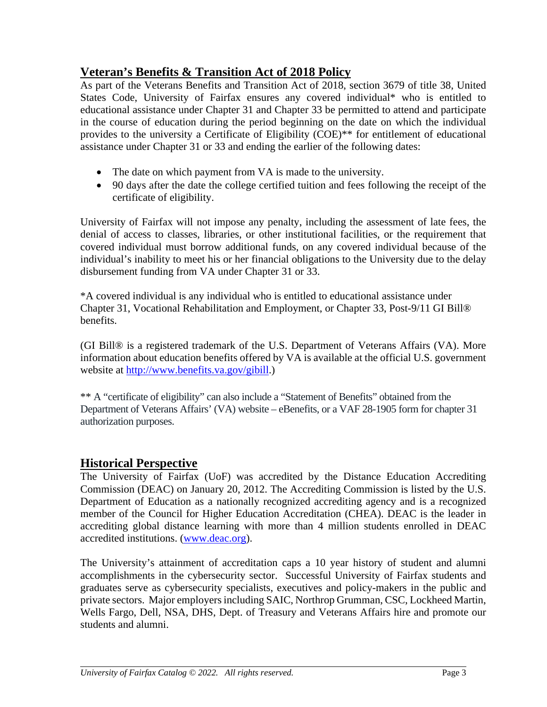### **Veteran's Benefits & Transition Act of 2018 Policy**

As part of the Veterans Benefits and Transition Act of 2018, section 3679 of title 38, United States Code, University of Fairfax ensures any covered individual\* who is entitled to educational assistance under Chapter 31 and Chapter 33 be permitted to attend and participate in the course of education during the period beginning on the date on which the individual provides to the university a Certificate of Eligibility (COE)\*\* for entitlement of educational assistance under Chapter 31 or 33 and ending the earlier of the following dates:

- The date on which payment from VA is made to the university.
- 90 days after the date the college certified tuition and fees following the receipt of the certificate of eligibility.

University of Fairfax will not impose any penalty, including the assessment of late fees, the denial of access to classes, libraries, or other institutional facilities, or the requirement that covered individual must borrow additional funds, on any covered individual because of the individual's inability to meet his or her financial obligations to the University due to the delay disbursement funding from VA under Chapter 31 or 33.

\*A covered individual is any individual who is entitled to educational assistance under Chapter 31, Vocational Rehabilitation and Employment, or Chapter 33, Post-9/11 GI Bill® benefits.

(GI Bill® is a registered trademark of the U.S. Department of Veterans Affairs (VA). More information about education benefits offered by VA is available at the official U.S. government website at [http://www.benefits.va.gov/gibill.](http://www.benefits.va.gov/gibill))

\*\* A "certificate of eligibility" can also include a "Statement of Benefits" obtained from the Department of Veterans Affairs' (VA) website – eBenefits, or a VAF 28-1905 form for chapter 31 authorization purposes.

### **Historical Perspective**

The University of Fairfax (UoF) was accredited by the Distance Education Accrediting Commission (DEAC) on January 20, 2012. The Accrediting Commission is listed by the U.S. Department of Education as a nationally recognized accrediting agency and is a recognized member of the Council for Higher Education Accreditation (CHEA). DEAC is the leader in accrediting global distance learning with more than 4 million students enrolled in DEAC accredited institutions. [\(www.deac.org\)](http://www.deac.org/).

The University's attainment of accreditation caps a 10 year history of student and alumni accomplishments in the cybersecurity sector. Successful University of Fairfax students and graduates serve as cybersecurity specialists, executives and policy-makers in the public and private sectors. Major employers including SAIC, Northrop Grumman, CSC, Lockheed Martin, Wells Fargo, Dell, NSA, DHS, Dept. of Treasury and Veterans Affairs hire and promote our students and alumni.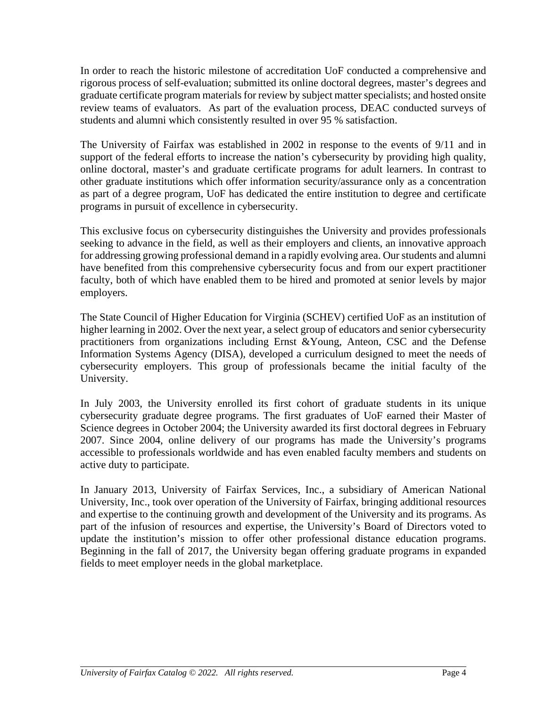In order to reach the historic milestone of accreditation UoF conducted a comprehensive and rigorous process of self-evaluation; submitted its online doctoral degrees, master's degrees and graduate certificate program materials for review by subject matter specialists; and hosted onsite review teams of evaluators. As part of the evaluation process, DEAC conducted surveys of students and alumni which consistently resulted in over [95 % satisfaction.](http://www.ufairfax.net/about-us/performance/)

The University of Fairfax was established in 2002 in response to the events of 9/11 and in support of the federal efforts to increase the nation's cybersecurity by providing high quality, online doctoral, master's and graduate certificate programs for adult learners. In contrast to other graduate institutions which offer information security/assurance only as a concentration as part of a degree program, UoF has dedicated the entire institution to degree and certificate programs in pursuit of excellence in cybersecurity.

This exclusive focus on cybersecurity distinguishes the University and provides professionals seeking to advance in the field, as well as their employers and clients, an innovative approach for addressing growing professional demand in a rapidly evolving area. Our students and alumni have benefited from this comprehensive cybersecurity focus and from our expert practitioner faculty, both of which have enabled them to be hired and promoted at senior levels by major employers.

The State Council of Higher Education for Virginia (SCHEV) certified UoF as an institution of higher learning in 2002. Over the next year, a select group of educators and senior cybersecurity practitioners from organizations including Ernst &Young, Anteon, CSC and the Defense Information Systems Agency (DISA), developed a curriculum designed to meet the needs of cybersecurity employers. This group of professionals became the initial faculty of the University.

In July 2003, the University enrolled its first cohort of graduate students in its unique cybersecurity graduate degree programs. The first graduates of UoF earned their Master of Science degrees in October 2004; the University awarded its first doctoral degrees in February 2007. Since 2004, online delivery of our programs has made the University's programs accessible to professionals worldwide and has even enabled faculty members and students on active duty to participate.

In January 2013, University of Fairfax Services, Inc., a subsidiary of American National University, Inc., took over operation of the University of Fairfax, bringing additional resources and expertise to the continuing growth and development of the University and its programs. As part of the infusion of resources and expertise, the University's Board of Directors voted to update the institution's mission to offer other professional distance education programs. Beginning in the fall of 2017, the University began offering graduate programs in expanded fields to meet employer needs in the global marketplace.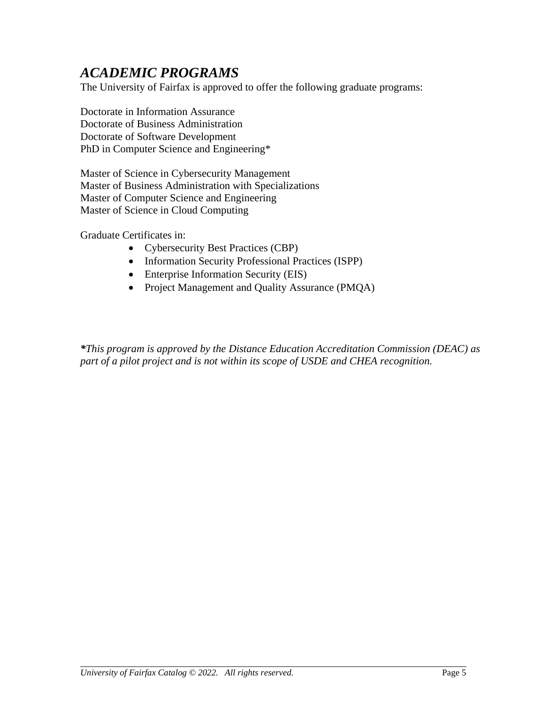# *ACADEMIC PROGRAMS*

The University of Fairfax is approved to offer the following graduate programs:

Doctorate in Information Assurance Doctorate of Business Administration Doctorate of Software Development PhD in Computer Science and Engineering\*

Master of Science in Cybersecurity Management Master of Business Administration with Specializations Master of Computer Science and Engineering Master of Science in Cloud Computing

Graduate Certificates in:

- Cybersecurity Best Practices (CBP)
- Information Security Professional Practices (ISPP)
- Enterprise Information Security (EIS)
- Project Management and Quality Assurance (PMQA)

*\*This program is approved by the Distance Education Accreditation Commission (DEAC) as part of a pilot project and is not within its scope of USDE and CHEA recognition.*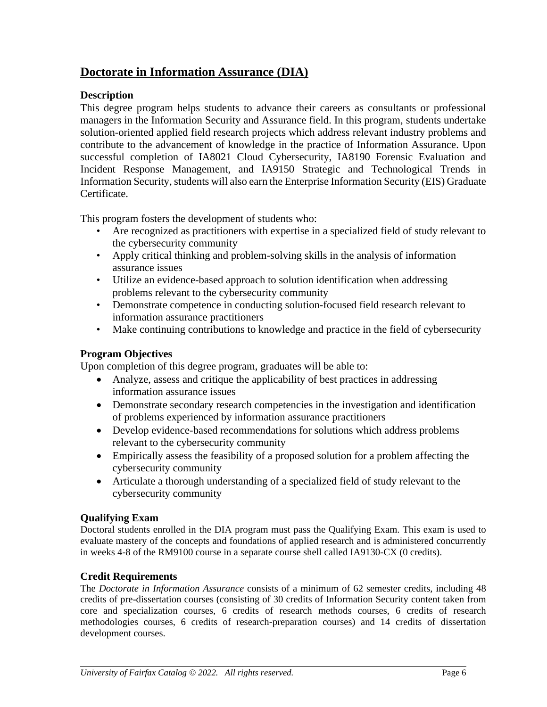### **Doctorate in Information Assurance (DIA)**

#### **Description**

This degree program helps students to advance their careers as consultants or professional managers in the Information Security and Assurance field. In this program, students undertake solution-oriented applied field research projects which address relevant industry problems and contribute to the advancement of knowledge in the practice of Information Assurance. Upon successful completion of IA8021 Cloud Cybersecurity, IA8190 Forensic Evaluation and Incident Response Management, and IA9150 Strategic and Technological Trends in Information Security, students will also earn the Enterprise Information Security (EIS) Graduate Certificate.

This program fosters the development of students who:

- Are recognized as practitioners with expertise in a specialized field of study relevant to the cybersecurity community
- Apply critical thinking and problem-solving skills in the analysis of information assurance issues
- Utilize an evidence-based approach to solution identification when addressing problems relevant to the cybersecurity community
- Demonstrate competence in conducting solution-focused field research relevant to information assurance practitioners
- Make continuing contributions to knowledge and practice in the field of cybersecurity

#### **Program Objectives**

Upon completion of this degree program, graduates will be able to:

- Analyze, assess and critique the applicability of best practices in addressing information assurance issues
- Demonstrate secondary research competencies in the investigation and identification of problems experienced by information assurance practitioners
- Develop evidence-based recommendations for solutions which address problems relevant to the cybersecurity community
- Empirically assess the feasibility of a proposed solution for a problem affecting the cybersecurity community
- Articulate a thorough understanding of a specialized field of study relevant to the cybersecurity community

#### **Qualifying Exam**

Doctoral students enrolled in the DIA program must pass the Qualifying Exam. This exam is used to evaluate mastery of the concepts and foundations of applied research and is administered concurrently in weeks 4-8 of the RM9100 course in a separate course shell called IA9130-CX (0 credits).

#### **Credit Requirements**

The *Doctorate in Information Assurance* consists of a minimum of 62 semester credits, including 48 credits of pre-dissertation courses (consisting of 30 credits of Information Security content taken from core and specialization courses, 6 credits of research methods courses, 6 credits of research methodologies courses, 6 credits of research-preparation courses) and 14 credits of dissertation development courses.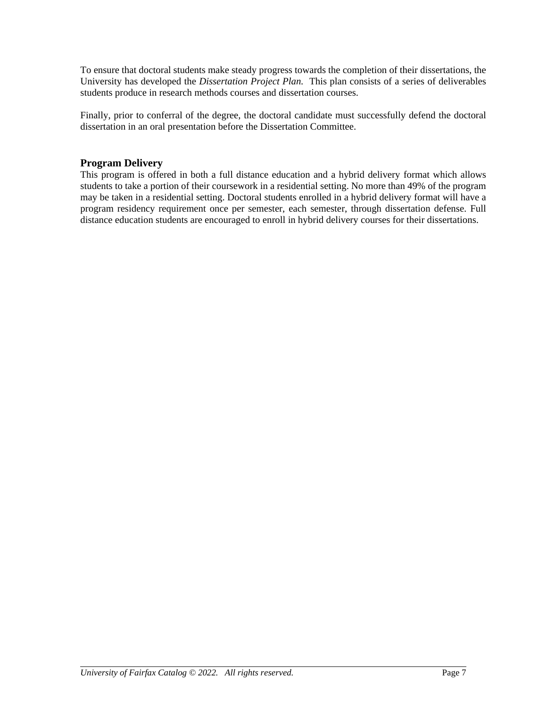To ensure that doctoral students make steady progress towards the completion of their dissertations, the University has developed the *Dissertation Project Plan.* This plan consists of a series of deliverables students produce in research methods courses and dissertation courses.

Finally, prior to conferral of the degree, the doctoral candidate must successfully defend the doctoral dissertation in an oral presentation before the Dissertation Committee.

#### **Program Delivery**

This program is offered in both a full distance education and a hybrid delivery format which allows students to take a portion of their coursework in a residential setting. No more than 49% of the program may be taken in a residential setting. Doctoral students enrolled in a hybrid delivery format will have a program residency requirement once per semester, each semester, through dissertation defense. Full distance education students are encouraged to enroll in hybrid delivery courses for their dissertations.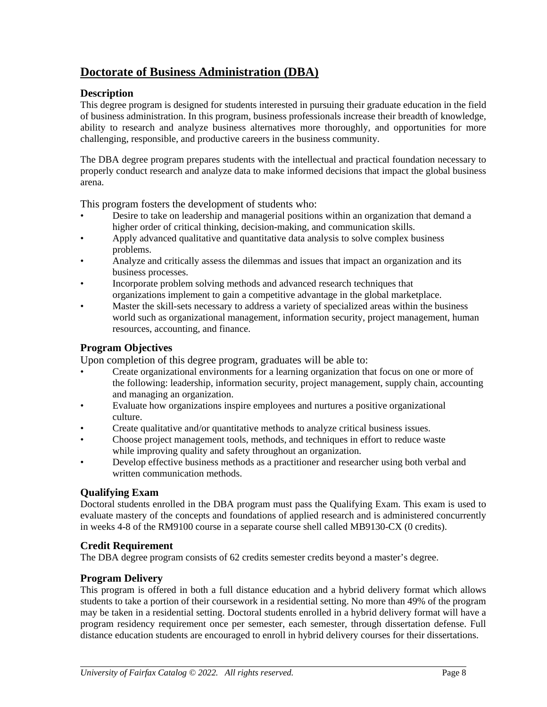### **Doctorate of Business Administration (DBA)**

#### **Description**

This degree program is designed for students interested in pursuing their graduate education in the field of business administration. In this program, business professionals increase their breadth of knowledge, ability to research and analyze business alternatives more thoroughly, and opportunities for more challenging, responsible, and productive careers in the business community.

The DBA degree program prepares students with the intellectual and practical foundation necessary to properly conduct research and analyze data to make informed decisions that impact the global business arena.

This program fosters the development of students who:

- Desire to take on leadership and managerial positions within an organization that demand a higher order of critical thinking, decision-making, and communication skills.
- Apply advanced qualitative and quantitative data analysis to solve complex business problems.
- Analyze and critically assess the dilemmas and issues that impact an organization and its business processes.
- Incorporate problem solving methods and advanced research techniques that organizations implement to gain a competitive advantage in the global marketplace.
- Master the skill-sets necessary to address a variety of specialized areas within the business world such as organizational management, information security, project management, human resources, accounting, and finance.

#### **Program Objectives**

Upon completion of this degree program, graduates will be able to:

- Create organizational environments for a learning organization that focus on one or more of the following: leadership, information security, project management, supply chain, accounting and managing an organization.
- Evaluate how organizations inspire employees and nurtures a positive organizational culture.
- Create qualitative and/or quantitative methods to analyze critical business issues.
- Choose project management tools, methods, and techniques in effort to reduce waste while improving quality and safety throughout an organization.
- Develop effective business methods as a practitioner and researcher using both verbal and written communication methods.

#### **Qualifying Exam**

Doctoral students enrolled in the DBA program must pass the Qualifying Exam. This exam is used to evaluate mastery of the concepts and foundations of applied research and is administered concurrently in weeks 4-8 of the RM9100 course in a separate course shell called MB9130-CX (0 credits).

#### **Credit Requirement**

The DBA degree program consists of 62 credits semester credits beyond a master's degree.

#### **Program Delivery**

This program is offered in both a full distance education and a hybrid delivery format which allows students to take a portion of their coursework in a residential setting. No more than 49% of the program may be taken in a residential setting. Doctoral students enrolled in a hybrid delivery format will have a program residency requirement once per semester, each semester, through dissertation defense. Full distance education students are encouraged to enroll in hybrid delivery courses for their dissertations.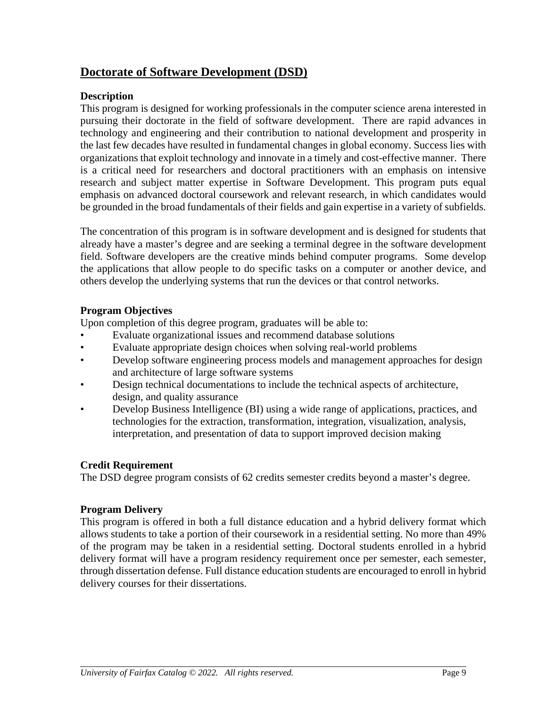### **Doctorate of Software Development (DSD)**

#### **Description**

This program is designed for working professionals in the computer science arena interested in pursuing their doctorate in the field of software development. There are rapid advances in technology and engineering and their contribution to national development and prosperity in the last few decades have resulted in fundamental changes in global economy. Success lies with organizations that exploit technology and innovate in a timely and cost-effective manner. There is a critical need for researchers and doctoral practitioners with an emphasis on intensive research and subject matter expertise in Software Development. This program puts equal emphasis on advanced doctoral coursework and relevant research, in which candidates would be grounded in the broad fundamentals of their fields and gain expertise in a variety of subfields.

The concentration of this program is in software development and is designed for students that already have a master's degree and are seeking a terminal degree in the software development field. Software developers are the creative minds behind computer programs. Some develop the applications that allow people to do specific tasks on a computer or another device, and others develop the underlying systems that run the devices or that control networks.

#### **Program Objectives**

Upon completion of this degree program, graduates will be able to:

- Evaluate organizational issues and recommend database solutions
- Evaluate appropriate design choices when solving real-world problems
- Develop software engineering process models and management approaches for design and architecture of large software systems
- Design technical documentations to include the technical aspects of architecture, design, and quality assurance
- Develop Business Intelligence (BI) using a wide range of applications, practices, and technologies for the extraction, transformation, integration, visualization, analysis, interpretation, and presentation of data to support improved decision making

#### **Credit Requirement**

The DSD degree program consists of 62 credits semester credits beyond a master's degree.

#### **Program Delivery**

This program is offered in both a full distance education and a hybrid delivery format which allows students to take a portion of their coursework in a residential setting. No more than 49% of the program may be taken in a residential setting. Doctoral students enrolled in a hybrid delivery format will have a program residency requirement once per semester, each semester, through dissertation defense. Full distance education students are encouraged to enroll in hybrid delivery courses for their dissertations.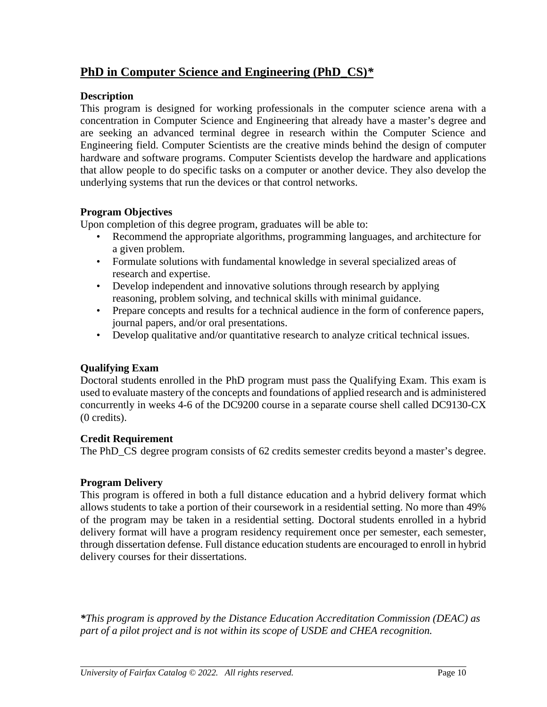### **PhD in Computer Science and Engineering (PhD\_CS)***\**

#### **Description**

This program is designed for working professionals in the computer science arena with a concentration in Computer Science and Engineering that already have a master's degree and are seeking an advanced terminal degree in research within the Computer Science and Engineering field. Computer Scientists are the creative minds behind the design of computer hardware and software programs. Computer Scientists develop the hardware and applications that allow people to do specific tasks on a computer or another device. They also develop the underlying systems that run the devices or that control networks.

#### **Program Objectives**

Upon completion of this degree program, graduates will be able to:

- Recommend the appropriate algorithms, programming languages, and architecture for a given problem.
- Formulate solutions with fundamental knowledge in several specialized areas of research and expertise.
- Develop independent and innovative solutions through research by applying reasoning, problem solving, and technical skills with minimal guidance.
- Prepare concepts and results for a technical audience in the form of conference papers, journal papers, and/or oral presentations.
- Develop qualitative and/or quantitative research to analyze critical technical issues.

#### **Qualifying Exam**

Doctoral students enrolled in the PhD program must pass the Qualifying Exam. This exam is used to evaluate mastery of the concepts and foundations of applied research and is administered concurrently in weeks 4-6 of the DC9200 course in a separate course shell called DC9130-CX (0 credits).

#### **Credit Requirement**

The PhD\_CS degree program consists of 62 credits semester credits beyond a master's degree.

#### **Program Delivery**

This program is offered in both a full distance education and a hybrid delivery format which allows students to take a portion of their coursework in a residential setting. No more than 49% of the program may be taken in a residential setting. Doctoral students enrolled in a hybrid delivery format will have a program residency requirement once per semester, each semester, through dissertation defense. Full distance education students are encouraged to enroll in hybrid delivery courses for their dissertations.

*\*This program is approved by the Distance Education Accreditation Commission (DEAC) as part of a pilot project and is not within its scope of USDE and CHEA recognition.*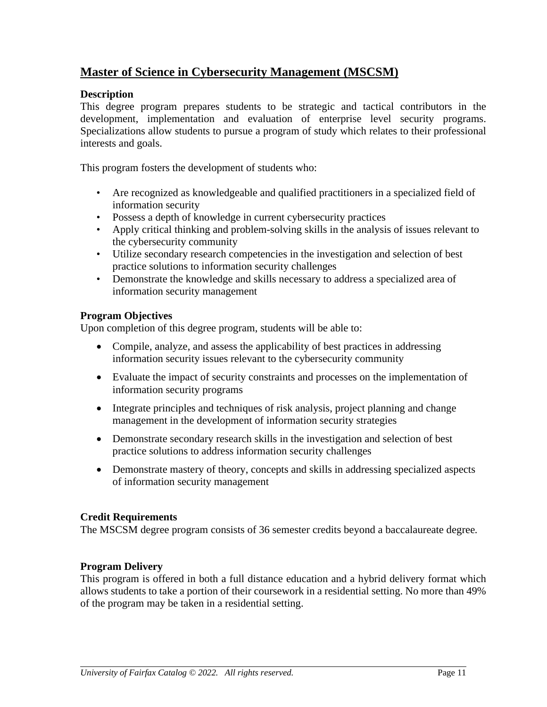### **Master of Science in Cybersecurity Management (MSCSM)**

#### **Description**

This degree program prepares students to be strategic and tactical contributors in the development, implementation and evaluation of enterprise level security programs. Specializations allow students to pursue a program of study which relates to their professional interests and goals.

This program fosters the development of students who:

- Are recognized as knowledgeable and qualified practitioners in a specialized field of information security
- Possess a depth of knowledge in current cybersecurity practices
- Apply critical thinking and problem-solving skills in the analysis of issues relevant to the cybersecurity community
- Utilize secondary research competencies in the investigation and selection of best practice solutions to information security challenges
- Demonstrate the knowledge and skills necessary to address a specialized area of information security management

#### **Program Objectives**

Upon completion of this degree program, students will be able to:

- Compile, analyze, and assess the applicability of best practices in addressing information security issues relevant to the cybersecurity community
- Evaluate the impact of security constraints and processes on the implementation of information security programs
- Integrate principles and techniques of risk analysis, project planning and change management in the development of information security strategies
- Demonstrate secondary research skills in the investigation and selection of best practice solutions to address information security challenges
- Demonstrate mastery of theory, concepts and skills in addressing specialized aspects of information security management

#### **Credit Requirements**

The MSCSM degree program consists of 36 semester credits beyond a baccalaureate degree*.*

#### **Program Delivery**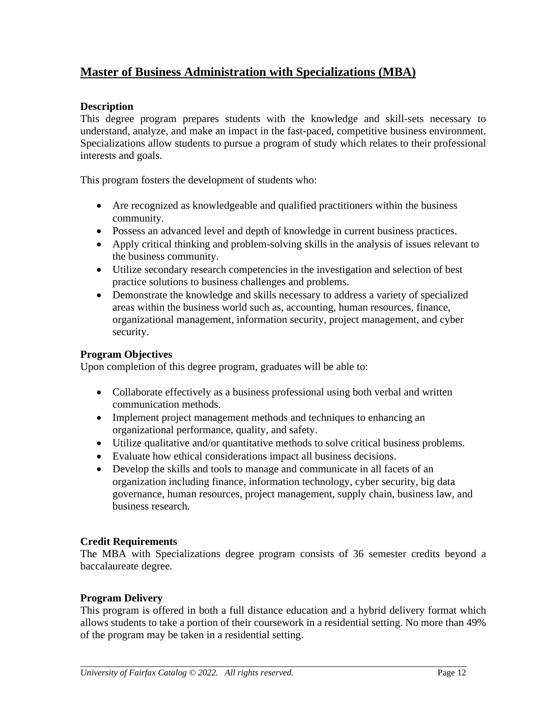### **Master of Business Administration with Specializations (MBA)**

#### **Description**

This degree program prepares students with the knowledge and skill-sets necessary to understand, analyze, and make an impact in the fast-paced, competitive business environment. Specializations allow students to pursue a program of study which relates to their professional interests and goals.

This program fosters the development of students who:

- Are recognized as knowledgeable and qualified practitioners within the business community.
- Possess an advanced level and depth of knowledge in current business practices.
- Apply critical thinking and problem-solving skills in the analysis of issues relevant to the business community.
- Utilize secondary research competencies in the investigation and selection of best practice solutions to business challenges and problems.
- Demonstrate the knowledge and skills necessary to address a variety of specialized areas within the business world such as, accounting, human resources, finance, organizational management, information security, project management, and cyber security.

#### **Program Objectives**

Upon completion of this degree program, graduates will be able to:

- Collaborate effectively as a business professional using both verbal and written communication methods.
- Implement project management methods and techniques to enhancing an organizational performance, quality, and safety.
- Utilize qualitative and/or quantitative methods to solve critical business problems.
- Evaluate how ethical considerations impact all business decisions.
- Develop the skills and tools to manage and communicate in all facets of an organization including finance, information technology, cyber security, big data governance, human resources, project management, supply chain, business law, and business research.

#### **Credit Requirements**

The MBA with Specializations degree program consists of 36 semester credits beyond a baccalaureate degree*.*

#### **Program Delivery**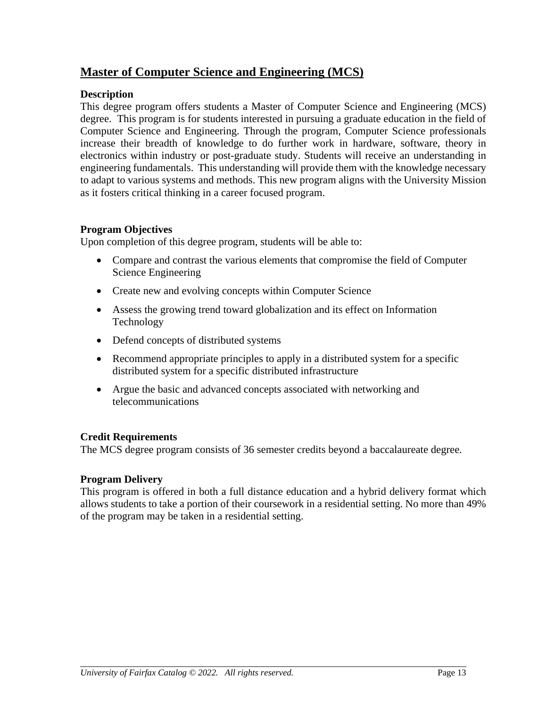### **Master of Computer Science and Engineering (MCS)**

#### **Description**

This degree program offers students a Master of Computer Science and Engineering (MCS) degree. This program is for students interested in pursuing a graduate education in the field of Computer Science and Engineering. Through the program, Computer Science professionals increase their breadth of knowledge to do further work in hardware, software, theory in electronics within industry or post-graduate study. Students will receive an understanding in engineering fundamentals. This understanding will provide them with the knowledge necessary to adapt to various systems and methods. This new program aligns with the University Mission as it fosters critical thinking in a career focused program.

#### **Program Objectives**

Upon completion of this degree program, students will be able to:

- Compare and contrast the various elements that compromise the field of Computer Science Engineering
- Create new and evolving concepts within Computer Science
- Assess the growing trend toward globalization and its effect on Information Technology
- Defend concepts of distributed systems
- Recommend appropriate principles to apply in a distributed system for a specific distributed system for a specific distributed infrastructure
- Argue the basic and advanced concepts associated with networking and telecommunications

#### **Credit Requirements**

The MCS degree program consists of 36 semester credits beyond a baccalaureate degree*.*

#### **Program Delivery**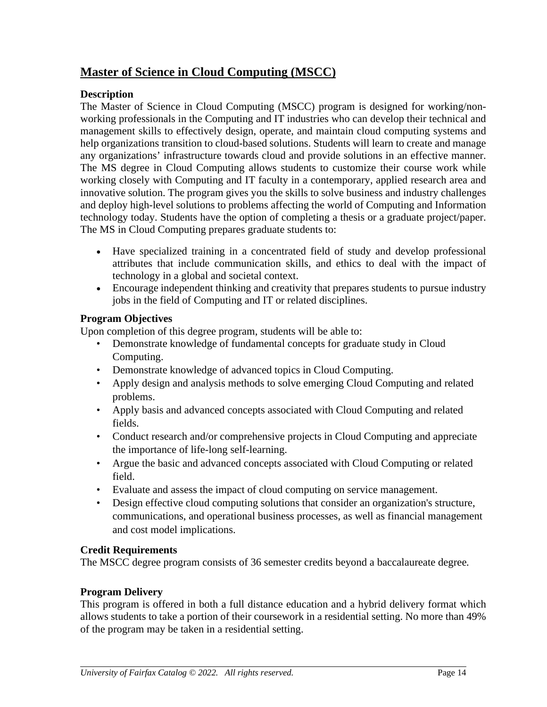### **Master of Science in Cloud Computing (MSCC)**

#### **Description**

The Master of Science in Cloud Computing (MSCC) program is designed for working/nonworking professionals in the Computing and IT industries who can develop their technical and management skills to effectively design, operate, and maintain cloud computing systems and help organizations transition to cloud-based solutions. Students will learn to create and manage any organizations' infrastructure towards cloud and provide solutions in an effective manner. The MS degree in Cloud Computing allows students to customize their course work while working closely with Computing and IT faculty in a contemporary, applied research area and innovative solution. The program gives you the skills to solve business and industry challenges and deploy high-level solutions to problems affecting the world of Computing and Information technology today. Students have the option of completing a thesis or a graduate project/paper. The MS in Cloud Computing prepares graduate students to:

- Have specialized training in a concentrated field of study and develop professional attributes that include communication skills, and ethics to deal with the impact of technology in a global and societal context.
- Encourage independent thinking and creativity that prepares students to pursue industry jobs in the field of Computing and IT or related disciplines.

#### **Program Objectives**

Upon completion of this degree program, students will be able to:

- Demonstrate knowledge of fundamental concepts for graduate study in Cloud Computing.
- Demonstrate knowledge of advanced topics in Cloud Computing.
- Apply design and analysis methods to solve emerging Cloud Computing and related problems.
- Apply basis and advanced concepts associated with Cloud Computing and related fields.
- Conduct research and/or comprehensive projects in Cloud Computing and appreciate the importance of life-long self-learning.
- Argue the basic and advanced concepts associated with Cloud Computing or related field.
- Evaluate and assess the impact of cloud computing on service management.
- Design effective cloud computing solutions that consider an organization's structure, communications, and operational business processes, as well as financial management and cost model implications.

#### **Credit Requirements**

The MSCC degree program consists of 36 semester credits beyond a baccalaureate degree*.*

#### **Program Delivery**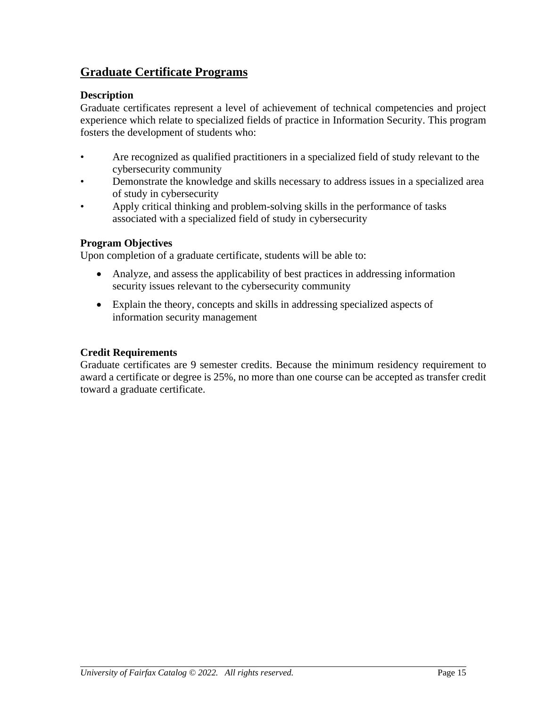### **Graduate Certificate Programs**

#### **Description**

Graduate certificates represent a level of achievement of technical competencies and project experience which relate to specialized fields of practice in Information Security. This program fosters the development of students who:

- Are recognized as qualified practitioners in a specialized field of study relevant to the cybersecurity community
- Demonstrate the knowledge and skills necessary to address issues in a specialized area of study in cybersecurity
- Apply critical thinking and problem-solving skills in the performance of tasks associated with a specialized field of study in cybersecurity

#### **Program Objectives**

Upon completion of a graduate certificate, students will be able to:

- Analyze, and assess the applicability of best practices in addressing information security issues relevant to the cybersecurity community
- Explain the theory, concepts and skills in addressing specialized aspects of information security management

#### **Credit Requirements**

Graduate certificates are 9 semester credits. Because the minimum residency requirement to award a certificate or degree is 25%, no more than one course can be accepted as transfer credit toward a graduate certificate.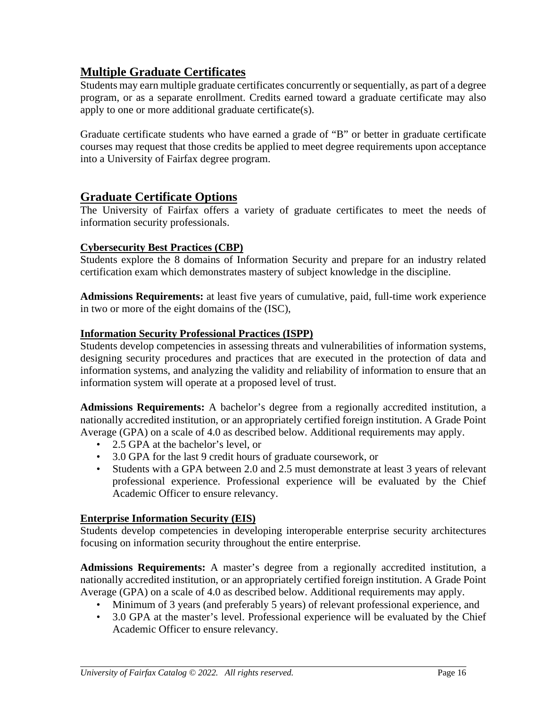### **Multiple Graduate Certificates**

Students may earn multiple graduate certificates concurrently or sequentially, as part of a degree program, or as a separate enrollment. Credits earned toward a graduate certificate may also apply to one or more additional graduate certificate(s).

Graduate certificate students who have earned a grade of "B" or better in graduate certificate courses may request that those credits be applied to meet degree requirements upon acceptance into a University of Fairfax degree program.

#### **Graduate Certificate Options**

The University of Fairfax offers a variety of graduate certificates to meet the needs of information security professionals.

#### **Cybersecurity Best Practices (CBP)**

Students explore the 8 domains of Information Security and prepare for an industry related certification exam which demonstrates mastery of subject knowledge in the discipline.

**Admissions Requirements:** at least five years of cumulative, paid, full-time work experience in two or more of the eight domains of the (ISC),

#### **Information Security Professional Practices (ISPP)**

Students develop competencies in assessing threats and vulnerabilities of information systems, designing security procedures and practices that are executed in the protection of data and information systems, and analyzing the validity and reliability of information to ensure that an information system will operate at a proposed level of trust.

**Admissions Requirements:** A bachelor's degree from a regionally accredited institution, a nationally accredited institution, or an appropriately certified foreign institution. A Grade Point Average (GPA) on a scale of 4.0 as described below. Additional requirements may apply.

- 2.5 GPA at the bachelor's level, or
- 3.0 GPA for the last 9 credit hours of graduate coursework, or
- Students with a GPA between 2.0 and 2.5 must demonstrate at least 3 years of relevant professional experience. Professional experience will be evaluated by the Chief Academic Officer to ensure relevancy.

#### **Enterprise Information Security (EIS)**

Students develop competencies in developing interoperable enterprise security architectures focusing on information security throughout the entire enterprise.

**Admissions Requirements:** A master's degree from a regionally accredited institution, a nationally accredited institution, or an appropriately certified foreign institution. A Grade Point Average (GPA) on a scale of 4.0 as described below. Additional requirements may apply.

- Minimum of 3 years (and preferably 5 years) of relevant professional experience, and
- 3.0 GPA at the master's level. Professional experience will be evaluated by the Chief Academic Officer to ensure relevancy.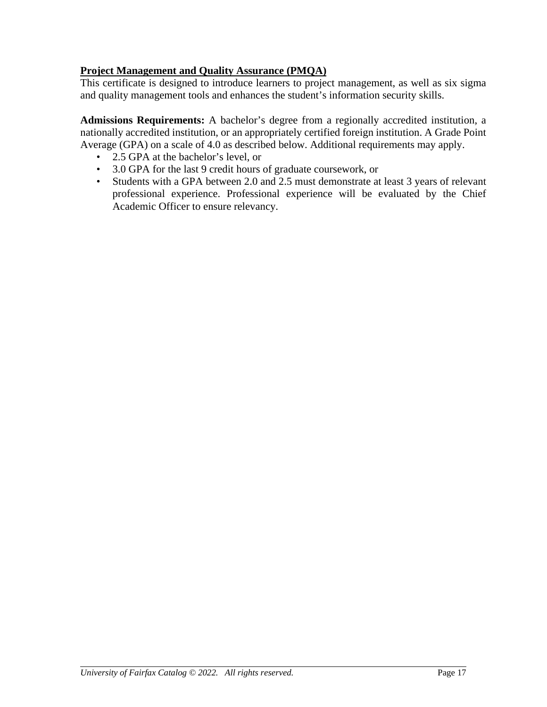#### **Project Management and Quality Assurance (PMQA)**

This certificate is designed to introduce learners to project management, as well as six sigma and quality management tools and enhances the student's information security skills.

**Admissions Requirements:** A bachelor's degree from a regionally accredited institution, a nationally accredited institution, or an appropriately certified foreign institution. A Grade Point Average (GPA) on a scale of 4.0 as described below. Additional requirements may apply.

- 2.5 GPA at the bachelor's level, or
- 3.0 GPA for the last 9 credit hours of graduate coursework, or
- Students with a GPA between 2.0 and 2.5 must demonstrate at least 3 years of relevant professional experience. Professional experience will be evaluated by the Chief Academic Officer to ensure relevancy.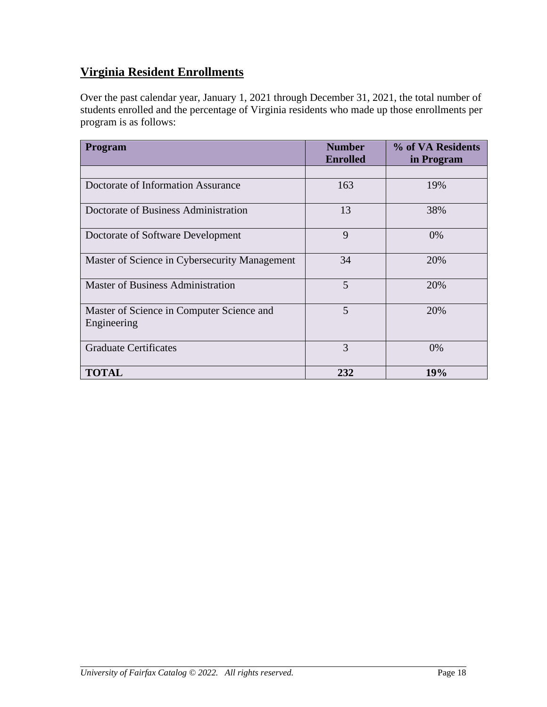# **Virginia Resident Enrollments**

Over the past calendar year, January 1, 2021 through December 31, 2021, the total number of students enrolled and the percentage of Virginia residents who made up those enrollments per program is as follows:

| <b>Program</b>                                           | <b>Number</b><br><b>Enrolled</b> | % of VA Residents<br>in Program |
|----------------------------------------------------------|----------------------------------|---------------------------------|
|                                                          |                                  |                                 |
| Doctorate of Information Assurance                       | 163                              | 19%                             |
| Doctorate of Business Administration                     | 13                               | 38%                             |
| Doctorate of Software Development                        | 9                                | 0%                              |
| Master of Science in Cybersecurity Management            | 34                               | 20%                             |
| <b>Master of Business Administration</b>                 | 5                                | 20%                             |
| Master of Science in Computer Science and<br>Engineering | 5                                | 20%                             |
| <b>Graduate Certificates</b>                             | 3                                | 0%                              |
| <b>TOTAL</b>                                             | 232                              | 19%                             |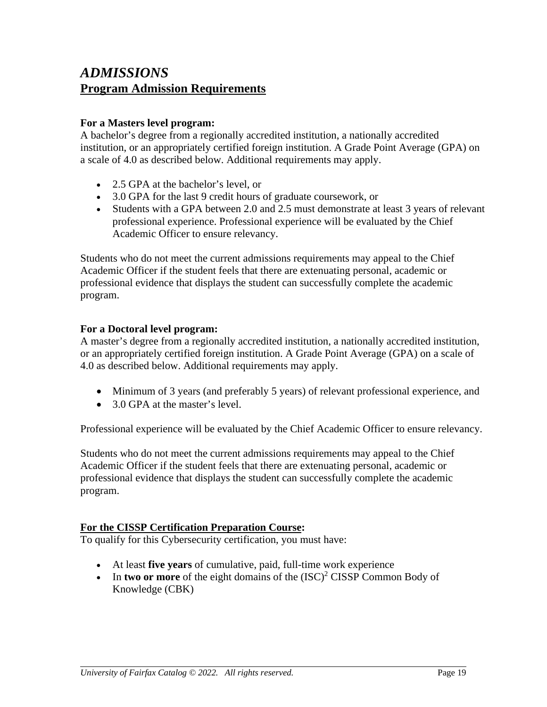## *ADMISSIONS* **Program Admission Requirements**

#### **For a Masters level program:**

A bachelor's degree from a regionally accredited institution, a nationally accredited institution, or an appropriately certified foreign institution. A Grade Point Average (GPA) on a scale of 4.0 as described below. Additional requirements may apply.

- 2.5 GPA at the bachelor's level, or
- 3.0 GPA for the last 9 credit hours of graduate coursework, or
- Students with a GPA between 2.0 and 2.5 must demonstrate at least 3 years of relevant professional experience. Professional experience will be evaluated by the Chief Academic Officer to ensure relevancy.

Students who do not meet the current admissions requirements may appeal to the Chief Academic Officer if the student feels that there are extenuating personal, academic or professional evidence that displays the student can successfully complete the academic program.

#### **For a Doctoral level program:**

A master's degree from a regionally accredited institution, a nationally accredited institution, or an appropriately certified foreign institution. A Grade Point Average (GPA) on a scale of 4.0 as described below. Additional requirements may apply.

- Minimum of 3 years (and preferably 5 years) of relevant professional experience, and
- 3.0 GPA at the master's level.

Professional experience will be evaluated by the Chief Academic Officer to ensure relevancy.

Students who do not meet the current admissions requirements may appeal to the Chief Academic Officer if the student feels that there are extenuating personal, academic or professional evidence that displays the student can successfully complete the academic program.

#### **For the CISSP Certification Preparation Course:**

To qualify for this Cybersecurity certification, you must have:

- At least **five years** of cumulative, paid, full-time work experience
- In **two or more** of the eight domains of the  $(ISC)^2$  CISSP Common Body of Knowledge (CBK)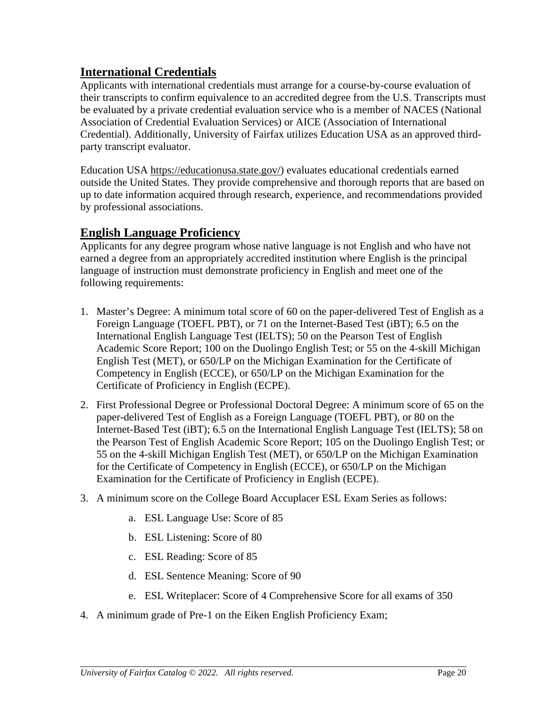### **International Credentials**

Applicants with international credentials must arrange for a course-by-course evaluation of their transcripts to confirm equivalence to an accredited degree from the U.S. Transcripts must be evaluated by a private credential evaluation service who is a member of NACES (National Association of Credential Evaluation Services) or AICE (Association of International Credential). Additionally, University of Fairfax utilizes Education USA as an approved thirdparty transcript evaluator.

Education USA [https://educationusa.state.gov/\)](https://educationusa.state.gov/) evaluates educational credentials earned outside the United States. They provide comprehensive and thorough reports that are based on up to date information acquired through research, experience, and recommendations provided by professional associations.

### **English Language Proficiency**

Applicants for any degree program whose native language is not English and who have not earned a degree from an appropriately accredited institution where English is the principal language of instruction must demonstrate proficiency in English and meet one of the following requirements:

- 1. Master's Degree: A minimum total score of 60 on the paper-delivered Test of English as a Foreign Language (TOEFL PBT), or 71 on the Internet-Based Test (iBT); 6.5 on the International English Language Test (IELTS); 50 on the Pearson Test of English Academic Score Report; 100 on the Duolingo English Test; or 55 on the 4-skill Michigan English Test (MET), or 650/LP on the Michigan Examination for the Certificate of Competency in English (ECCE), or 650/LP on the Michigan Examination for the Certificate of Proficiency in English (ECPE).
- 2. First Professional Degree or Professional Doctoral Degree: A minimum score of 65 on the paper-delivered Test of English as a Foreign Language (TOEFL PBT), or 80 on the Internet-Based Test (iBT); 6.5 on the International English Language Test (IELTS); 58 on the Pearson Test of English Academic Score Report; 105 on the Duolingo English Test; or 55 on the 4-skill Michigan English Test (MET), or 650/LP on the Michigan Examination for the Certificate of Competency in English (ECCE), or 650/LP on the Michigan Examination for the Certificate of Proficiency in English (ECPE).
- 3. A minimum score on the College Board Accuplacer ESL Exam Series as follows:
	- a. ESL Language Use: Score of 85
	- b. ESL Listening: Score of 80
	- c. ESL Reading: Score of 85
	- d. ESL Sentence Meaning: Score of 90
	- e. ESL Writeplacer: Score of 4 Comprehensive Score for all exams of 350
- 4. A minimum grade of Pre-1 on the Eiken English Proficiency Exam;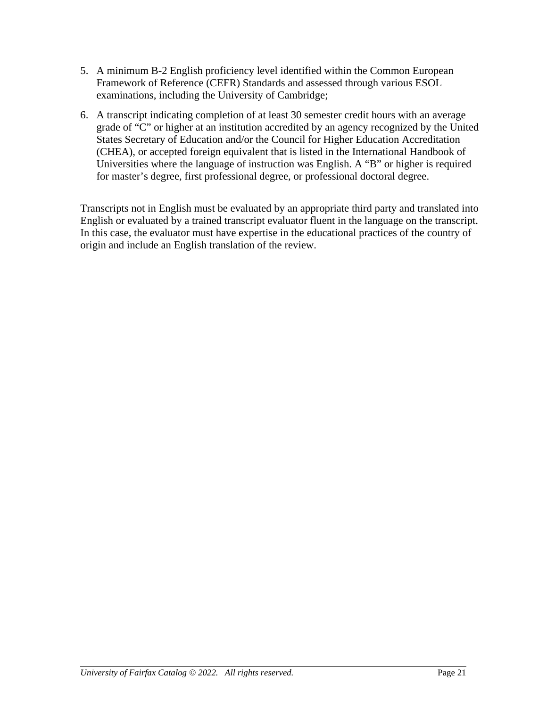- 5. A minimum B-2 English proficiency level identified within the Common European Framework of Reference (CEFR) Standards and assessed through various ESOL examinations, including the University of Cambridge;
- 6. A transcript indicating completion of at least 30 semester credit hours with an average grade of "C" or higher at an institution accredited by an agency recognized by the United States Secretary of Education and/or the Council for Higher Education Accreditation (CHEA), or accepted foreign equivalent that is listed in the International Handbook of Universities where the language of instruction was English. A "B" or higher is required for master's degree, first professional degree, or professional doctoral degree.

Transcripts not in English must be evaluated by an appropriate third party and translated into English or evaluated by a trained transcript evaluator fluent in the language on the transcript. In this case, the evaluator must have expertise in the educational practices of the country of origin and include an English translation of the review.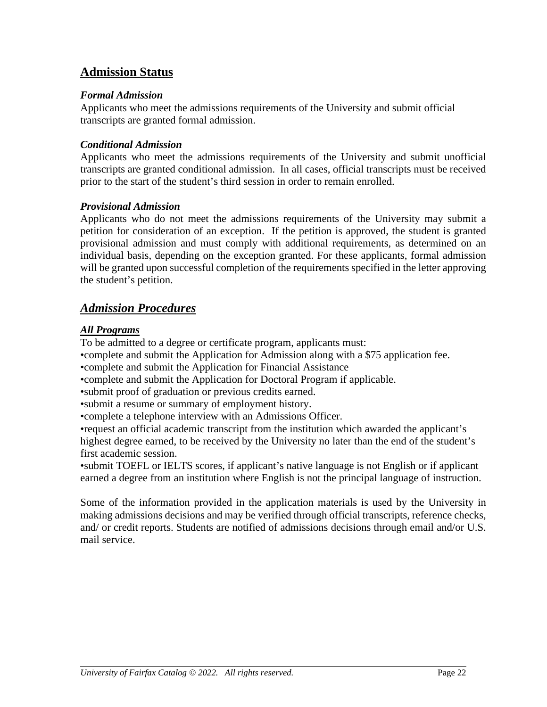### **Admission Status**

#### *Formal Admission*

Applicants who meet the admissions requirements of the University and submit official transcripts are granted formal admission.

#### *Conditional Admission*

Applicants who meet the admissions requirements of the University and submit unofficial transcripts are granted conditional admission. In all cases, official transcripts must be received prior to the start of the student's third session in order to remain enrolled.

#### *Provisional Admission*

Applicants who do not meet the admissions requirements of the University may submit a petition for consideration of an exception. If the petition is approved, the student is granted provisional admission and must comply with additional requirements, as determined on an individual basis, depending on the exception granted. For these applicants, formal admission will be granted upon successful completion of the requirements specified in the letter approving the student's petition.

### *Admission Procedures*

#### *All Programs*

To be admitted to a degree or certificate program, applicants must:

•complete and submit the Application for Admission along with a \$75 application fee.

•complete and submit the Application for Financial Assistance

•complete and submit the Application for Doctoral Program if applicable.

•submit proof of graduation or previous credits earned.

•submit a resume or summary of employment history.

•complete a telephone interview with an Admissions Officer.

•request an official academic transcript from the institution which awarded the applicant's highest degree earned, to be received by the University no later than the end of the student's first academic session.

•submit TOEFL or IELTS scores, if applicant's native language is not English or if applicant earned a degree from an institution where English is not the principal language of instruction.

Some of the information provided in the application materials is used by the University in making admissions decisions and may be verified through official transcripts, reference checks, and/ or credit reports. Students are notified of admissions decisions through email and/or U.S. mail service.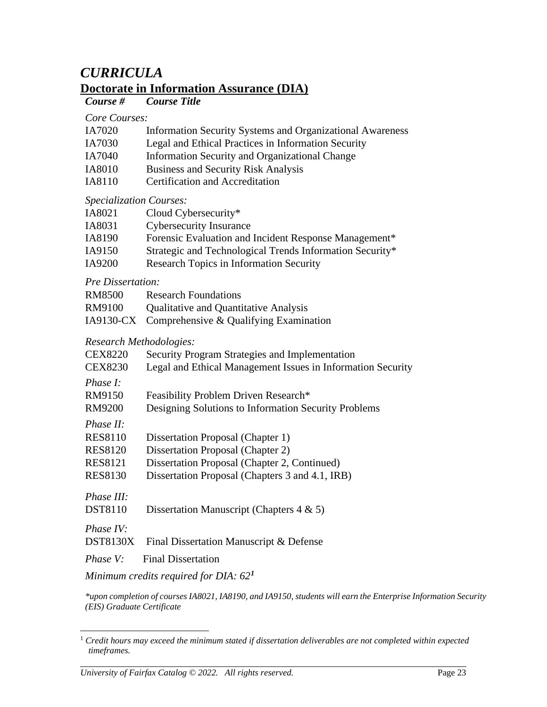# *CURRICULA*

### **Doctorate in Information Assurance (DIA)**

#### *Course # Course Title*

#### *Core Courses:*

- IA7020 Information Security Systems and Organizational Awareness
- IA7030 Legal and Ethical Practices in Information Security
- IA7040 Information Security and Organizational Change
- IA8010 Business and Security Risk Analysis
- IA8110 Certification and Accreditation

#### *Specialization Courses:*

| IA8021            | Cloud Cybersecurity*                                        |
|-------------------|-------------------------------------------------------------|
| IA8031            | <b>Cybersecurity Insurance</b>                              |
| IA8190            | Forensic Evaluation and Incident Response Management*       |
| IA9150            | Strategic and Technological Trends Information Security*    |
| IA9200            | Research Topics in Information Security                     |
| Pre Dissertation: |                                                             |
| <b>RM8500</b>     | <b>Research Foundations</b>                                 |
| RM9100            | Qualitative and Quantitative Analysis                       |
| IA9130-CX         | Comprehensive & Qualifying Examination                      |
|                   | Research Methodologies:                                     |
| <b>CEX8220</b>    | Security Program Strategies and Implementation              |
| <b>CEX8230</b>    | Legal and Ethical Management Issues in Information Security |
| Phase I:          |                                                             |
| RM9150            | Feasibility Problem Driven Research*                        |
| RM9200            | Designing Solutions to Information Security Problems        |
| Phase II:         |                                                             |
| <b>RES8110</b>    | Dissertation Proposal (Chapter 1)                           |
| <b>RES8120</b>    | <b>Dissertation Proposal (Chapter 2)</b>                    |
| <b>RES8121</b>    | Dissertation Proposal (Chapter 2, Continued)                |
| <b>RES8130</b>    | Dissertation Proposal (Chapters 3 and 4.1, IRB)             |
| Phase III:        |                                                             |
| <b>DST8110</b>    | Dissertation Manuscript (Chapters $4 \& 5$ )                |
| Phase IV:         |                                                             |
| <b>DST8130X</b>   | Final Dissertation Manuscript & Defense                     |
| Phase V:          | <b>Final Dissertation</b>                                   |
|                   |                                                             |

#### *Minimum credits required for DIA: 62[1](#page-30-0)*

*\*upon completion of courses IA8021, IA8190, and IA9150, students will earn the Enterprise Information Security (EIS) Graduate Certificate*

<span id="page-30-0"></span><sup>1</sup> *Credit hours may exceed the minimum stated if dissertation deliverables are not completed within expected timeframes.*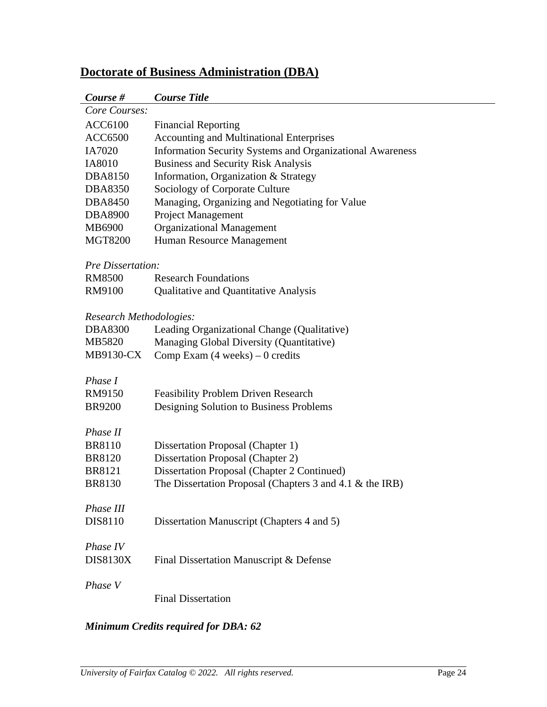| Course #                | <b>Course Title</b>                                       |
|-------------------------|-----------------------------------------------------------|
| Core Courses:           |                                                           |
| <b>ACC6100</b>          | <b>Financial Reporting</b>                                |
| <b>ACC6500</b>          | <b>Accounting and Multinational Enterprises</b>           |
| IA7020                  | Information Security Systems and Organizational Awareness |
| IA8010                  | <b>Business and Security Risk Analysis</b>                |
| DBA8150                 | Information, Organization & Strategy                      |
| <b>DBA8350</b>          | Sociology of Corporate Culture                            |
| <b>DBA8450</b>          | Managing, Organizing and Negotiating for Value            |
| <b>DBA8900</b>          | <b>Project Management</b>                                 |
| MB6900                  | <b>Organizational Management</b>                          |
| <b>MGT8200</b>          | Human Resource Management                                 |
|                         |                                                           |
| Pre Dissertation:       |                                                           |
| <b>RM8500</b>           | <b>Research Foundations</b>                               |
| RM9100                  | <b>Qualitative and Quantitative Analysis</b>              |
|                         |                                                           |
| Research Methodologies: |                                                           |
| <b>DBA8300</b>          | Leading Organizational Change (Qualitative)               |
| MB5820                  | Managing Global Diversity (Quantitative)                  |
| MB9130-CX               | Comp Exam $(4 \text{ weeks}) - 0 \text{ credits}$         |
| Phase I                 |                                                           |
| RM9150                  | <b>Feasibility Problem Driven Research</b>                |
| <b>BR9200</b>           |                                                           |
|                         | Designing Solution to Business Problems                   |
| Phase II                |                                                           |
| <b>BR8110</b>           | Dissertation Proposal (Chapter 1)                         |
| <b>BR8120</b>           | <b>Dissertation Proposal (Chapter 2)</b>                  |
| <b>BR8121</b>           | Dissertation Proposal (Chapter 2 Continued)               |
| <b>BR8130</b>           | The Dissertation Proposal (Chapters 3 and 4.1 & the IRB)  |
|                         |                                                           |
| Phase III               |                                                           |
| DIS8110                 | Dissertation Manuscript (Chapters 4 and 5)                |
|                         |                                                           |
| Phase IV                |                                                           |
| <b>DIS8130X</b>         | Final Dissertation Manuscript & Defense                   |
|                         |                                                           |
| Phase V                 |                                                           |
|                         | <b>Final Dissertation</b>                                 |

# **Doctorate of Business Administration (DBA)**

### *Minimum Credits required for DBA: 62*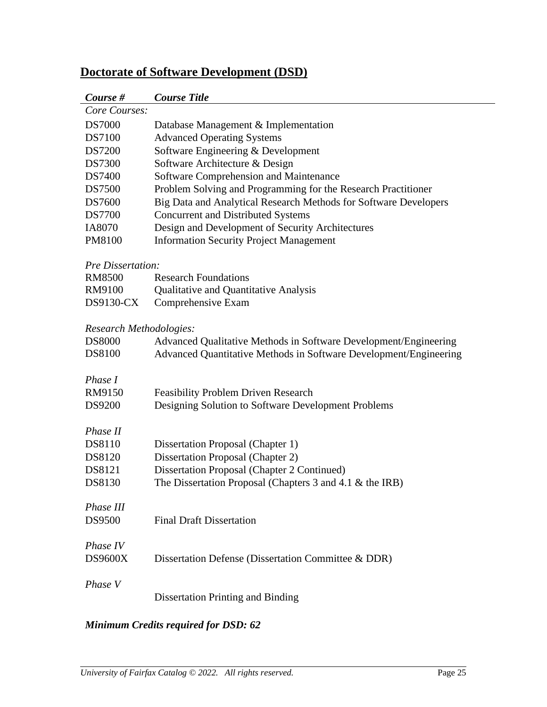# **Doctorate of Software Development (DSD)**

| Course #                 | <b>Course Title</b>                                               |
|--------------------------|-------------------------------------------------------------------|
| Core Courses:            |                                                                   |
| <b>DS7000</b>            | Database Management & Implementation                              |
| <b>DS7100</b>            | <b>Advanced Operating Systems</b>                                 |
| <b>DS7200</b>            | Software Engineering & Development                                |
| <b>DS7300</b>            | Software Architecture & Design                                    |
| <b>DS7400</b>            | Software Comprehension and Maintenance                            |
| <b>DS7500</b>            | Problem Solving and Programming for the Research Practitioner     |
| <b>DS7600</b>            | Big Data and Analytical Research Methods for Software Developers  |
| <b>DS7700</b>            | <b>Concurrent and Distributed Systems</b>                         |
| IA8070                   | Design and Development of Security Architectures                  |
| PM8100                   | <b>Information Security Project Management</b>                    |
| <b>Pre Dissertation:</b> |                                                                   |
| <b>RM8500</b>            | <b>Research Foundations</b>                                       |
| RM9100                   | <b>Qualitative and Quantitative Analysis</b>                      |
| <b>DS9130-CX</b>         | Comprehensive Exam                                                |
| Research Methodologies:  |                                                                   |
| <b>DS8000</b>            | Advanced Qualitative Methods in Software Development/Engineering  |
| <b>DS8100</b>            | Advanced Quantitative Methods in Software Development/Engineering |
|                          |                                                                   |
| Phase I                  |                                                                   |
| RM9150                   | Feasibility Problem Driven Research                               |
| <b>DS9200</b>            | Designing Solution to Software Development Problems               |
| Phase II                 |                                                                   |
| <b>DS8110</b>            | Dissertation Proposal (Chapter 1)                                 |
| DS8120                   | Dissertation Proposal (Chapter 2)                                 |
| DS8121                   | Dissertation Proposal (Chapter 2 Continued)                       |
| DS8130                   | The Dissertation Proposal (Chapters $3$ and $4.1 \&$ the IRB)     |
| Phase III                |                                                                   |
| <b>DS9500</b>            | <b>Final Draft Dissertation</b>                                   |
| Phase IV                 |                                                                   |
| <b>DS9600X</b>           | Dissertation Defense (Dissertation Committee & DDR)               |
|                          |                                                                   |
| Phase V                  |                                                                   |
|                          | <b>Dissertation Printing and Binding</b>                          |

### *Minimum Credits required for DSD: 62*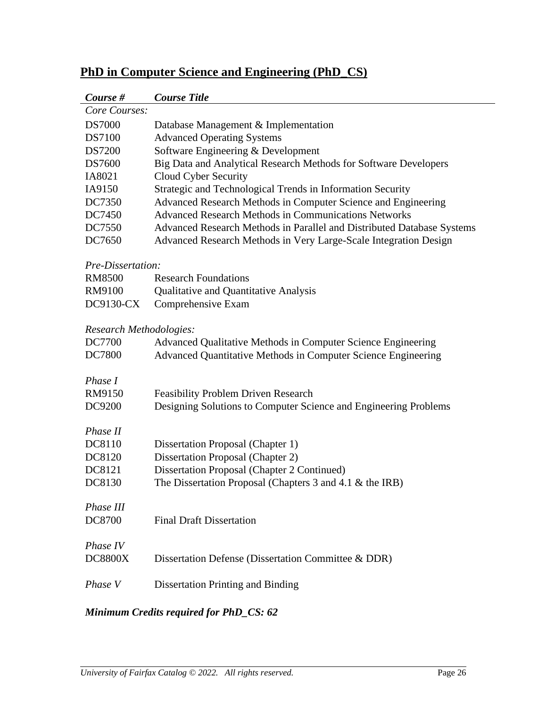| Course #                | <b>Course Title</b>                                                    |
|-------------------------|------------------------------------------------------------------------|
| Core Courses:           |                                                                        |
| <b>DS7000</b>           | Database Management & Implementation                                   |
| <b>DS7100</b>           | <b>Advanced Operating Systems</b>                                      |
| <b>DS7200</b>           | Software Engineering & Development                                     |
| <b>DS7600</b>           | Big Data and Analytical Research Methods for Software Developers       |
| IA8021                  | Cloud Cyber Security                                                   |
| IA9150                  | Strategic and Technological Trends in Information Security             |
| DC7350                  | Advanced Research Methods in Computer Science and Engineering          |
| DC7450                  | <b>Advanced Research Methods in Communications Networks</b>            |
| DC7550                  | Advanced Research Methods in Parallel and Distributed Database Systems |
| DC7650                  | Advanced Research Methods in Very Large-Scale Integration Design       |
| Pre-Dissertation:       |                                                                        |
| <b>RM8500</b>           | <b>Research Foundations</b>                                            |
| RM9100                  | Qualitative and Quantitative Analysis                                  |
| DC9130-CX               | Comprehensive Exam                                                     |
|                         |                                                                        |
| Research Methodologies: |                                                                        |
| DC7700                  | Advanced Qualitative Methods in Computer Science Engineering           |
| <b>DC7800</b>           | Advanced Quantitative Methods in Computer Science Engineering          |
| Phase I                 |                                                                        |
| RM9150                  | <b>Feasibility Problem Driven Research</b>                             |
| DC9200                  | Designing Solutions to Computer Science and Engineering Problems       |
|                         |                                                                        |
| Phase II                |                                                                        |
| DC8110                  | Dissertation Proposal (Chapter 1)                                      |
| DC8120                  | <b>Dissertation Proposal (Chapter 2)</b>                               |
| DC8121                  | Dissertation Proposal (Chapter 2 Continued)                            |
| DC8130                  | The Dissertation Proposal (Chapters 3 and 4.1 & the IRB)               |
| Phase III               |                                                                        |
| <b>DC8700</b>           | <b>Final Draft Dissertation</b>                                        |
|                         |                                                                        |
| Phase IV                |                                                                        |
| <b>DC8800X</b>          | Dissertation Defense (Dissertation Committee & DDR)                    |
|                         |                                                                        |
| Phase V                 | <b>Dissertation Printing and Binding</b>                               |
|                         |                                                                        |

# **PhD in Computer Science and Engineering (PhD\_CS)**

### *Minimum Credits required for PhD\_CS: 62*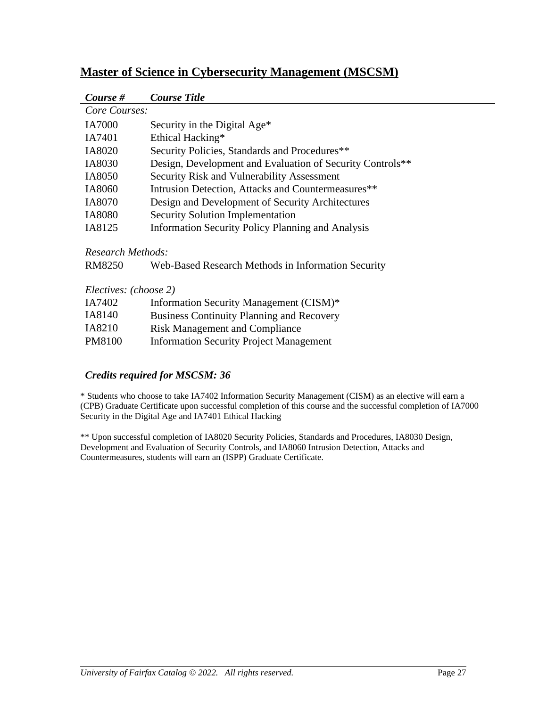| Course #      | <b>Course Title</b>                                       |
|---------------|-----------------------------------------------------------|
| Core Courses: |                                                           |
| <b>IA7000</b> | Security in the Digital Age*                              |
| IA7401        | Ethical Hacking*                                          |
| IA8020        | Security Policies, Standards and Procedures**             |
| IA8030        | Design, Development and Evaluation of Security Controls** |
| IA8050        | <b>Security Risk and Vulnerability Assessment</b>         |
| IA8060        | Intrusion Detection, Attacks and Countermeasures**        |
| IA8070        | Design and Development of Security Architectures          |
| <b>IA8080</b> | <b>Security Solution Implementation</b>                   |
| IA8125        | <b>Information Security Policy Planning and Analysis</b>  |
|               |                                                           |

### **Master of Science in Cybersecurity Management (MSCSM)**

*Research Methods:*

| RM8250 | Web-Based Research Methods in Information Security |  |  |
|--------|----------------------------------------------------|--|--|
|        |                                                    |  |  |

*Electives: (choose 2)*

| IA7402 | Information Security Management (CISM)*          |
|--------|--------------------------------------------------|
| IA8140 | <b>Business Continuity Planning and Recovery</b> |
| IA8210 | <b>Risk Management and Compliance</b>            |
| PM8100 | <b>Information Security Project Management</b>   |

#### *Credits required for MSCSM: 36*

\* Students who choose to take IA7402 Information Security Management (CISM) as an elective will earn a (CPB) Graduate Certificate upon successful completion of this course and the successful completion of IA7000 Security in the Digital Age and IA7401 Ethical Hacking

\*\* Upon successful completion of IA8020 Security Policies, Standards and Procedures, IA8030 Design, Development and Evaluation of Security Controls, and IA8060 Intrusion Detection, Attacks and Countermeasures, students will earn an (ISPP) Graduate Certificate.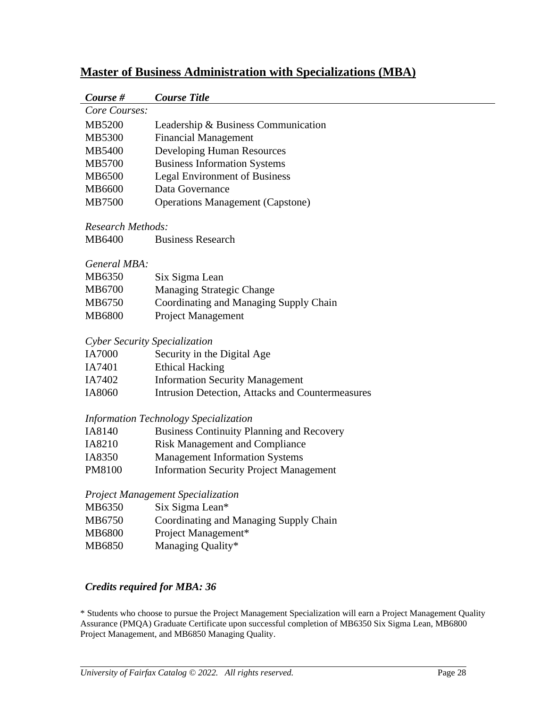| Course #                      | <b>Course Title</b>                                                                           |
|-------------------------------|-----------------------------------------------------------------------------------------------|
| Core Courses:                 |                                                                                               |
| MB5200                        | Leadership & Business Communication                                                           |
| MB5300                        | <b>Financial Management</b>                                                                   |
| MB5400                        | Developing Human Resources                                                                    |
| MB5700                        | <b>Business Information Systems</b>                                                           |
| MB6500                        | <b>Legal Environment of Business</b>                                                          |
| MB6600                        | Data Governance                                                                               |
| MB7500                        | <b>Operations Management (Capstone)</b>                                                       |
| Research Methods:             |                                                                                               |
| MB6400                        | <b>Business Research</b>                                                                      |
| General MBA:                  |                                                                                               |
| MB6350                        | Six Sigma Lean                                                                                |
| MB6700                        | <b>Managing Strategic Change</b>                                                              |
| MB6750                        | Coordinating and Managing Supply Chain                                                        |
| MB6800                        | Project Management                                                                            |
| Cyber Security Specialization |                                                                                               |
| <b>IA7000</b>                 | Security in the Digital Age                                                                   |
| IA7401                        | <b>Ethical Hacking</b>                                                                        |
| IA7402                        | <b>Information Security Management</b>                                                        |
| IA8060                        | Intrusion Detection, Attacks and Countermeasures                                              |
|                               | Information Technology Specialization                                                         |
| IA8140                        | <b>Business Continuity Planning and Recovery</b>                                              |
| IA8210                        | <b>Risk Management and Compliance</b>                                                         |
| IA8350                        | <b>Management Information Systems</b>                                                         |
| PM8100                        | <b>Information Security Project Management</b>                                                |
|                               | Project Management Specialization                                                             |
| MB6350                        | Six Sigma Lean*                                                                               |
| MB6750                        | Coordinating and Managing Supply Chain                                                        |
| MB6800                        | Project Management*                                                                           |
| MB6850                        | Managing Quality*                                                                             |
|                               | <b>Credits required for MBA: 36</b>                                                           |
|                               | Students who choose to pursue the Project Menagament Specialization will germ a Project Menag |

# **Master of Business Administration with Specializations (MBA)**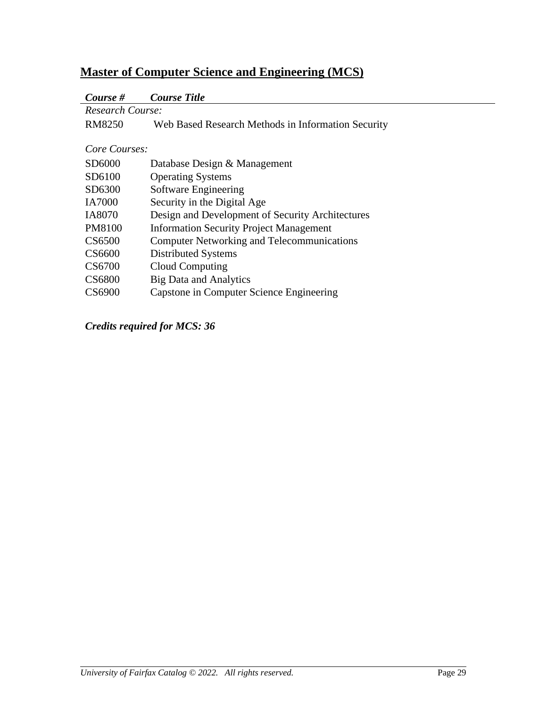# **Master of Computer Science and Engineering (MCS)**

# *Course # Course Title*

| <b>Research Course:</b> |                                                    |  |
|-------------------------|----------------------------------------------------|--|
| <b>RM8250</b>           | Web Based Research Methods in Information Security |  |
|                         |                                                    |  |
| Core Courses:           |                                                    |  |
| SD6000                  | Database Design & Management                       |  |
| SD6100                  | <b>Operating Systems</b>                           |  |
| SD6300                  | Software Engineering                               |  |
| <b>IA7000</b>           | Security in the Digital Age                        |  |
| IA8070                  | Design and Development of Security Architectures   |  |
| <b>PM8100</b>           | <b>Information Security Project Management</b>     |  |
| CS6500                  | <b>Computer Networking and Telecommunications</b>  |  |
| CS6600                  | Distributed Systems                                |  |
| CS6700                  | Cloud Computing                                    |  |
| <b>CS6800</b>           | <b>Big Data and Analytics</b>                      |  |
| CS6900                  | Capstone in Computer Science Engineering           |  |

*Credits required for MCS: 36*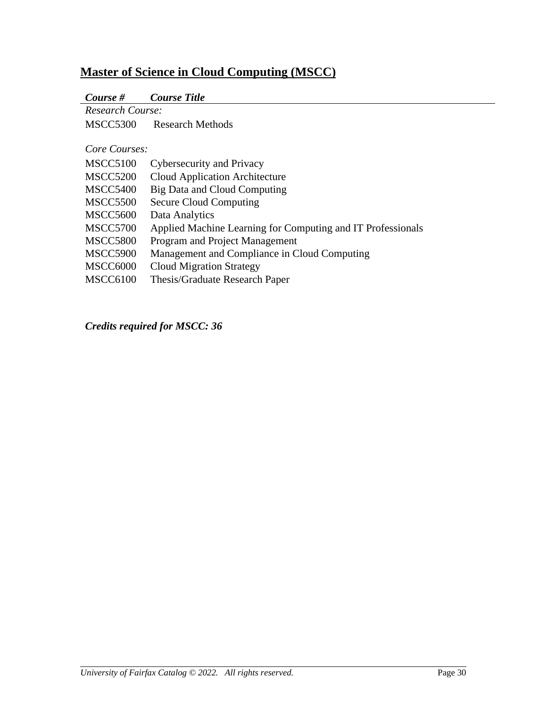# **Master of Science in Cloud Computing (MSCC)**

|  | Course # | <b>Course Title</b> |  |
|--|----------|---------------------|--|
|--|----------|---------------------|--|

| Research Course: |                                                             |
|------------------|-------------------------------------------------------------|
| <b>MSCC5300</b>  | <b>Research Methods</b>                                     |
|                  |                                                             |
| Core Courses:    |                                                             |
| <b>MSCC5100</b>  | Cybersecurity and Privacy                                   |
| <b>MSCC5200</b>  | Cloud Application Architecture                              |
| <b>MSCC5400</b>  | Big Data and Cloud Computing                                |
| <b>MSCC5500</b>  | <b>Secure Cloud Computing</b>                               |
| <b>MSCC5600</b>  | Data Analytics                                              |
| <b>MSCC5700</b>  | Applied Machine Learning for Computing and IT Professionals |
| <b>MSCC5800</b>  | Program and Project Management                              |
| <b>MSCC5900</b>  | Management and Compliance in Cloud Computing                |
| MSCC6000         | <b>Cloud Migration Strategy</b>                             |
| MSCC6100         | Thesis/Graduate Research Paper                              |
|                  |                                                             |

*Credits required for MSCC: 36*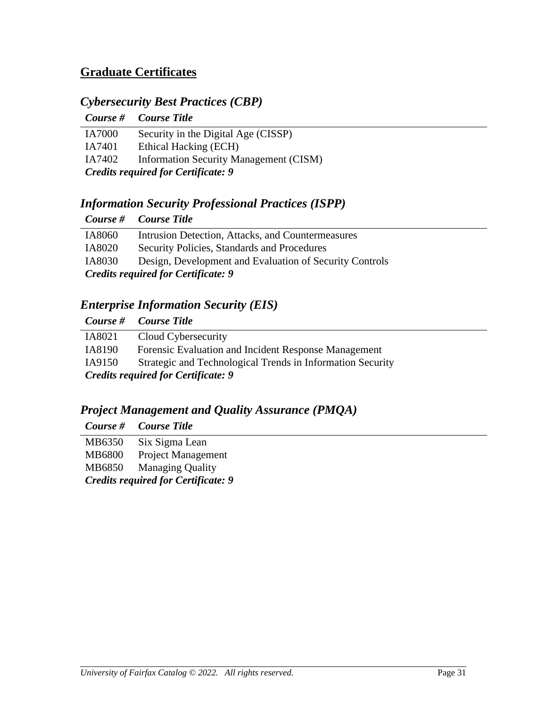# **Graduate Certificates**

## *Cybersecurity Best Practices (CBP)*

|                                            | Course # Course Title                         |  |
|--------------------------------------------|-----------------------------------------------|--|
| <b>IA7000</b>                              | Security in the Digital Age (CISSP)           |  |
| IA7401                                     | Ethical Hacking (ECH)                         |  |
| IA7402                                     | <b>Information Security Management (CISM)</b> |  |
| <b>Credits required for Certificate: 9</b> |                                               |  |

# *Information Security Professional Practices (ISPP)*

|                                            | Course # Course Title                                   |  |
|--------------------------------------------|---------------------------------------------------------|--|
| IA8060                                     | Intrusion Detection, Attacks, and Countermeasures       |  |
| IA8020                                     | Security Policies, Standards and Procedures             |  |
| IA8030                                     | Design, Development and Evaluation of Security Controls |  |
| <b>Credits required for Certificate: 9</b> |                                                         |  |

## *Enterprise Information Security (EIS)*

|                                                                      | Course # Course Title                                |  |
|----------------------------------------------------------------------|------------------------------------------------------|--|
| IA8021                                                               | Cloud Cybersecurity                                  |  |
| IA8190                                                               | Forensic Evaluation and Incident Response Management |  |
| IA9150<br>Strategic and Technological Trends in Information Security |                                                      |  |
| <b>Credits required for Certificate: 9</b>                           |                                                      |  |

# *Project Management and Quality Assurance (PMQA)*

|                                            |               | Course # Course Title     |
|--------------------------------------------|---------------|---------------------------|
|                                            | MB6350        | Six Sigma Lean            |
|                                            | <b>MB6800</b> | <b>Project Management</b> |
|                                            |               | MB6850 Managing Quality   |
| <b>Credits required for Certificate: 9</b> |               |                           |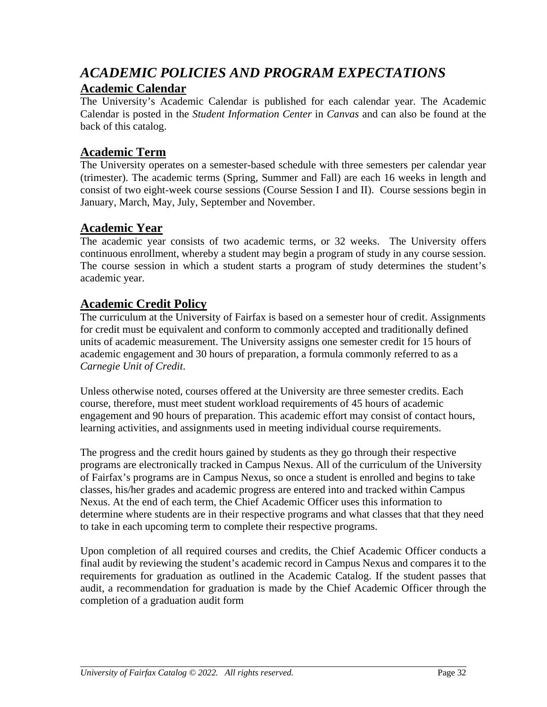# *ACADEMIC POLICIES AND PROGRAM EXPECTATIONS* **Academic Calendar**

The University's Academic Calendar is published for each calendar year. The Academic Calendar is posted in the *Student Information Center* in *Canvas* and can also be found at the back of this catalog.

## **Academic Term**

The University operates on a semester-based schedule with three semesters per calendar year (trimester). The academic terms (Spring, Summer and Fall) are each 16 weeks in length and consist of two eight-week course sessions (Course Session I and II). Course sessions begin in January, March, May, July, September and November.

## **Academic Year**

The academic year consists of two academic terms, or 32 weeks. The University offers continuous enrollment, whereby a student may begin a program of study in any course session. The course session in which a student starts a program of study determines the student's academic year.

## **Academic Credit Policy**

The curriculum at the University of Fairfax is based on a semester hour of credit. Assignments for credit must be equivalent and conform to commonly accepted and traditionally defined units of academic measurement. The University assigns one semester credit for 15 hours of academic engagement and 30 hours of preparation, a formula commonly referred to as a *Carnegie Unit of Credit*.

Unless otherwise noted, courses offered at the University are three semester credits. Each course, therefore, must meet student workload requirements of 45 hours of academic engagement and 90 hours of preparation. This academic effort may consist of contact hours, learning activities, and assignments used in meeting individual course requirements.

The progress and the credit hours gained by students as they go through their respective programs are electronically tracked in Campus Nexus. All of the curriculum of the University of Fairfax's programs are in Campus Nexus, so once a student is enrolled and begins to take classes, his/her grades and academic progress are entered into and tracked within Campus Nexus. At the end of each term, the Chief Academic Officer uses this information to determine where students are in their respective programs and what classes that that they need to take in each upcoming term to complete their respective programs.

Upon completion of all required courses and credits, the Chief Academic Officer conducts a final audit by reviewing the student's academic record in Campus Nexus and compares it to the requirements for graduation as outlined in the Academic Catalog. If the student passes that audit, a recommendation for graduation is made by the Chief Academic Officer through the completion of a graduation audit form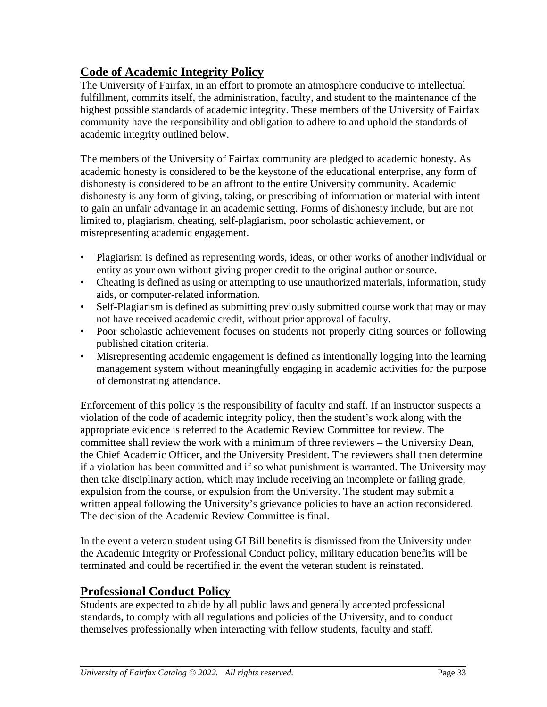# <span id="page-40-0"></span>**Code of Academic Integrity Policy**

The University of Fairfax, in an effort to promote an atmosphere conducive to intellectual fulfillment, commits itself, the administration, faculty, and student to the maintenance of the highest possible standards of academic integrity. These members of the University of Fairfax community have the responsibility and obligation to adhere to and uphold the standards of academic integrity outlined below.

The members of the University of Fairfax community are pledged to academic honesty. As academic honesty is considered to be the keystone of the educational enterprise, any form of dishonesty is considered to be an affront to the entire University community. Academic dishonesty is any form of giving, taking, or prescribing of information or material with intent to gain an unfair advantage in an academic setting. Forms of dishonesty include, but are not limited to, plagiarism, cheating, self-plagiarism, poor scholastic achievement, or misrepresenting academic engagement.

- Plagiarism is defined as representing words, ideas, or other works of another individual or entity as your own without giving proper credit to the original author or source.
- Cheating is defined as using or attempting to use unauthorized materials, information, study aids, or computer-related information.
- Self-Plagiarism is defined as submitting previously submitted course work that may or may not have received academic credit, without prior approval of faculty.
- Poor scholastic achievement focuses on students not properly citing sources or following published citation criteria.
- Misrepresenting academic engagement is defined as intentionally logging into the learning management system without meaningfully engaging in academic activities for the purpose of demonstrating attendance.

Enforcement of this policy is the responsibility of faculty and staff. If an instructor suspects a violation of the code of academic integrity policy, then the student's work along with the appropriate evidence is referred to the Academic Review Committee for review. The committee shall review the work with a minimum of three reviewers – the University Dean, the Chief Academic Officer, and the University President. The reviewers shall then determine if a violation has been committed and if so what punishment is warranted. The University may then take disciplinary action, which may include receiving an incomplete or failing grade, expulsion from the course, or expulsion from the University. The student may submit a written appeal following the University's grievance policies to have an action reconsidered. The decision of the Academic Review Committee is final.

In the event a veteran student using GI Bill benefits is dismissed from the University under the Academic Integrity or Professional Conduct policy, military education benefits will be terminated and could be recertified in the event the veteran student is reinstated.

# **Professional Conduct Policy**

Students are expected to abide by all public laws and generally accepted professional standards, to comply with all regulations and policies of the University, and to conduct themselves professionally when interacting with fellow students, faculty and staff.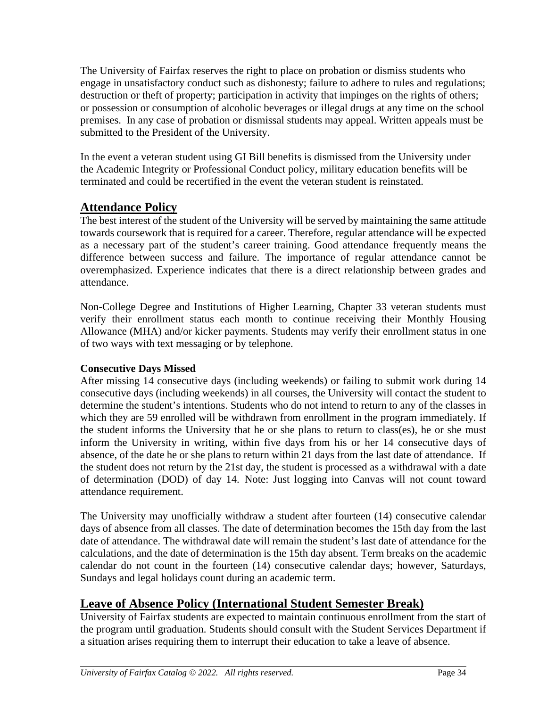The University of Fairfax reserves the right to place on probation or dismiss students who engage in unsatisfactory conduct such as dishonesty; failure to adhere to rules and regulations; destruction or theft of property; participation in activity that impinges on the rights of others; or possession or consumption of alcoholic beverages or illegal drugs at any time on the school premises. In any case of probation or dismissal students may appeal. Written appeals must be submitted to the President of the University.

In the event a veteran student using GI Bill benefits is dismissed from the University under the Academic Integrity or Professional Conduct policy, military education benefits will be terminated and could be recertified in the event the veteran student is reinstated.

## **Attendance Policy**

The best interest of the student of the University will be served by maintaining the same attitude towards coursework that is required for a career. Therefore, regular attendance will be expected as a necessary part of the student's career training. Good attendance frequently means the difference between success and failure. The importance of regular attendance cannot be overemphasized. Experience indicates that there is a direct relationship between grades and attendance.

Non-College Degree and Institutions of Higher Learning, Chapter 33 veteran students must verify their enrollment status each month to continue receiving their Monthly Housing Allowance (MHA) and/or kicker payments. Students may verify their enrollment status in one of two ways with text messaging or by telephone.

### **Consecutive Days Missed**

After missing 14 consecutive days (including weekends) or failing to submit work during 14 consecutive days (including weekends) in all courses, the University will contact the student to determine the student's intentions. Students who do not intend to return to any of the classes in which they are 59 enrolled will be withdrawn from enrollment in the program immediately. If the student informs the University that he or she plans to return to class(es), he or she must inform the University in writing, within five days from his or her 14 consecutive days of absence, of the date he or she plans to return within 21 days from the last date of attendance. If the student does not return by the 21st day, the student is processed as a withdrawal with a date of determination (DOD) of day 14. Note: Just logging into Canvas will not count toward attendance requirement.

The University may unofficially withdraw a student after fourteen (14) consecutive calendar days of absence from all classes. The date of determination becomes the 15th day from the last date of attendance. The withdrawal date will remain the student's last date of attendance for the calculations, and the date of determination is the 15th day absent. Term breaks on the academic calendar do not count in the fourteen (14) consecutive calendar days; however, Saturdays, Sundays and legal holidays count during an academic term.

## **Leave of Absence Policy (International Student Semester Break)**

University of Fairfax students are expected to maintain continuous enrollment from the start of the program until graduation. Students should consult with the Student Services Department if a situation arises requiring them to interrupt their education to take a leave of absence.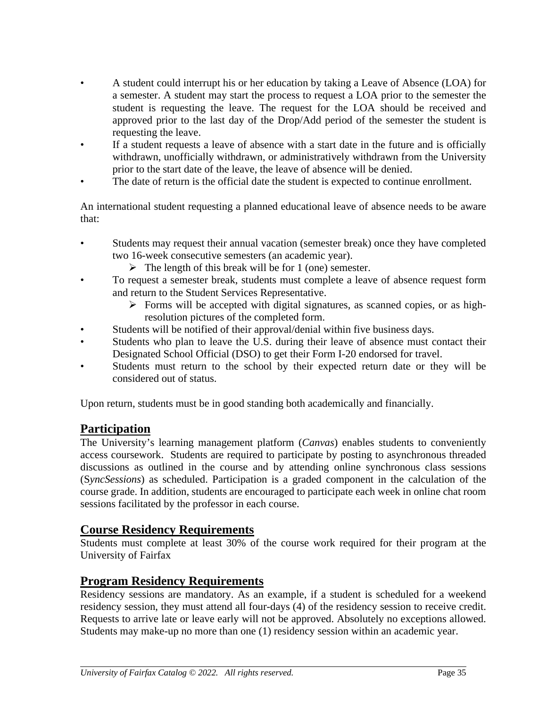- A student could interrupt his or her education by taking a Leave of Absence (LOA) for a semester. A student may start the process to request a LOA prior to the semester the student is requesting the leave. The request for the LOA should be received and approved prior to the last day of the Drop/Add period of the semester the student is requesting the leave.
- If a student requests a leave of absence with a start date in the future and is officially withdrawn, unofficially withdrawn, or administratively withdrawn from the University prior to the start date of the leave, the leave of absence will be denied.
- The date of return is the official date the student is expected to continue enrollment.

An international student requesting a planned educational leave of absence needs to be aware that:

- Students may request their annual vacation (semester break) once they have completed two 16-week consecutive semesters (an academic year).
	- $\triangleright$  The length of this break will be for 1 (one) semester.
- To request a semester break, students must complete a leave of absence request form and return to the Student Services Representative.
	- $\triangleright$  Forms will be accepted with digital signatures, as scanned copies, or as highresolution pictures of the completed form.
- Students will be notified of their approval/denial within five business days.
- Students who plan to leave the U.S. during their leave of absence must contact their Designated School Official (DSO) to get their Form I-20 endorsed for travel.
- Students must return to the school by their expected return date or they will be considered out of status.

Upon return, students must be in good standing both academically and financially.

## **Participation**

The University's learning management platform (*Canvas*) enables students to conveniently access coursework. Students are required to participate by posting to asynchronous threaded discussions as outlined in the course and by attending online synchronous class sessions (S*yncSessions*) as scheduled. Participation is a graded component in the calculation of the course grade. In addition, students are encouraged to participate each week in online chat room sessions facilitated by the professor in each course.

### **Course Residency Requirements**

Students must complete at least 30% of the course work required for their program at the University of Fairfax

## **Program Residency Requirements**

Residency sessions are mandatory. As an example, if a student is scheduled for a weekend residency session, they must attend all four-days (4) of the residency session to receive credit. Requests to arrive late or leave early will not be approved. Absolutely no exceptions allowed. Students may make-up no more than one (1) residency session within an academic year.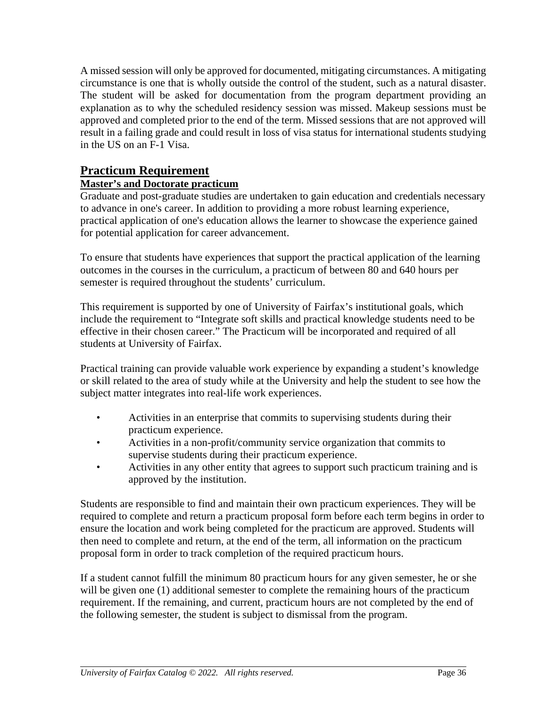A missed session will only be approved for documented, mitigating circumstances. A mitigating circumstance is one that is wholly outside the control of the student, such as a natural disaster. The student will be asked for documentation from the program department providing an explanation as to why the scheduled residency session was missed. Makeup sessions must be approved and completed prior to the end of the term. Missed sessions that are not approved will result in a failing grade and could result in loss of visa status for international students studying in the US on an F-1 Visa.

# **Practicum Requirement**

### **Master's and Doctorate practicum**

Graduate and post-graduate studies are undertaken to gain education and credentials necessary to advance in one's career. In addition to providing a more robust learning experience, practical application of one's education allows the learner to showcase the experience gained for potential application for career advancement.

To ensure that students have experiences that support the practical application of the learning outcomes in the courses in the curriculum, a practicum of between 80 and 640 hours per semester is required throughout the students' curriculum.

This requirement is supported by one of University of Fairfax's institutional goals, which include the requirement to "Integrate soft skills and practical knowledge students need to be effective in their chosen career." The Practicum will be incorporated and required of all students at University of Fairfax.

Practical training can provide valuable work experience by expanding a student's knowledge or skill related to the area of study while at the University and help the student to see how the subject matter integrates into real-life work experiences.

- Activities in an enterprise that commits to supervising students during their practicum experience.
- Activities in a non-profit/community service organization that commits to supervise students during their practicum experience.
- Activities in any other entity that agrees to support such practicum training and is approved by the institution.

Students are responsible to find and maintain their own practicum experiences. They will be required to complete and return a practicum proposal form before each term begins in order to ensure the location and work being completed for the practicum are approved. Students will then need to complete and return, at the end of the term, all information on the practicum proposal form in order to track completion of the required practicum hours.

If a student cannot fulfill the minimum 80 practicum hours for any given semester, he or she will be given one (1) additional semester to complete the remaining hours of the practicum requirement. If the remaining, and current, practicum hours are not completed by the end of the following semester, the student is subject to dismissal from the program.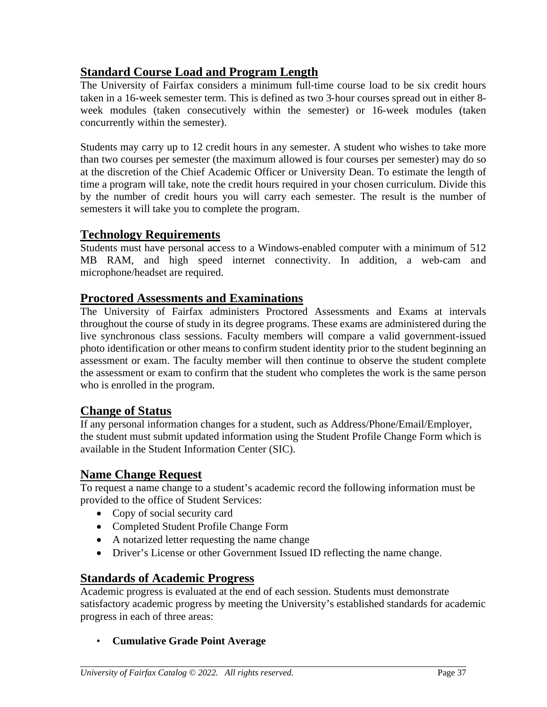# **Standard Course Load and Program Length**

The University of Fairfax considers a minimum full-time course load to be six credit hours taken in a 16-week semester term. This is defined as two 3‐hour courses spread out in either 8 week modules (taken consecutively within the semester) or 16-week modules (taken concurrently within the semester).

Students may carry up to 12 credit hours in any semester. A student who wishes to take more than two courses per semester (the maximum allowed is four courses per semester) may do so at the discretion of the Chief Academic Officer or University Dean. To estimate the length of time a program will take, note the credit hours required in your chosen curriculum. Divide this by the number of credit hours you will carry each semester. The result is the number of semesters it will take you to complete the program.

## **Technology Requirements**

Students must have personal access to a Windows-enabled computer with a minimum of 512 MB RAM, and high speed internet connectivity. In addition, a web-cam and microphone/headset are required.

## **Proctored Assessments and Examinations**

The University of Fairfax administers Proctored Assessments and Exams at intervals throughout the course of study in its degree programs. These exams are administered during the live synchronous class sessions. Faculty members will compare a valid government-issued photo identification or other means to confirm student identity prior to the student beginning an assessment or exam. The faculty member will then continue to observe the student complete the assessment or exam to confirm that the student who completes the work is the same person who is enrolled in the program.

### **Change of Status**

If any personal information changes for a student, such as Address/Phone/Email/Employer, the student must submit updated information using the Student Profile Change Form which is available in the Student Information Center (SIC).

### **Name Change Request**

To request a name change to a student's academic record the following information must be provided to the office of Student Services:

- Copy of social security card
- Completed Student Profile Change Form
- A notarized letter requesting the name change
- Driver's License or other Government Issued ID reflecting the name change.

## **Standards of Academic Progress**

Academic progress is evaluated at the end of each session. Students must demonstrate satisfactory academic progress by meeting the University's established standards for academic progress in each of three areas:

• **Cumulative Grade Point Average**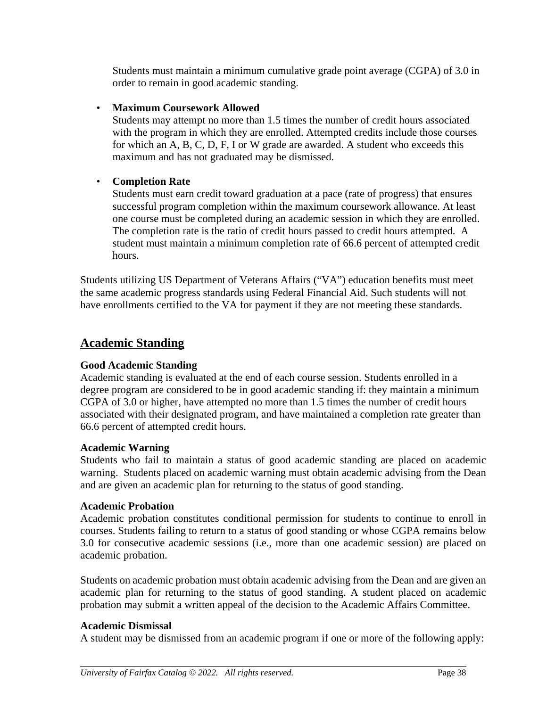Students must maintain a minimum cumulative grade point average (CGPA) of 3.0 in order to remain in good academic standing.

#### • **Maximum Coursework Allowed**

Students may attempt no more than 1.5 times the number of credit hours associated with the program in which they are enrolled. Attempted credits include those courses for which an A, B, C, D, F, I or W grade are awarded. A student who exceeds this maximum and has not graduated may be dismissed.

### • **Completion Rate**

Students must earn credit toward graduation at a pace (rate of progress) that ensures successful program completion within the maximum coursework allowance. At least one course must be completed during an academic session in which they are enrolled. The completion rate is the ratio of credit hours passed to credit hours attempted. A student must maintain a minimum completion rate of 66.6 percent of attempted credit hours.

Students utilizing US Department of Veterans Affairs ("VA") education benefits must meet the same academic progress standards using Federal Financial Aid. Such students will not have enrollments certified to the VA for payment if they are not meeting these standards.

## **Academic Standing**

#### **Good Academic Standing**

Academic standing is evaluated at the end of each course session. Students enrolled in a degree program are considered to be in good academic standing if: they maintain a minimum CGPA of 3.0 or higher, have attempted no more than 1.5 times the number of credit hours associated with their designated program, and have maintained a completion rate greater than 66.6 percent of attempted credit hours.

#### **Academic Warning**

Students who fail to maintain a status of good academic standing are placed on academic warning. Students placed on academic warning must obtain academic advising from the Dean and are given an academic plan for returning to the status of good standing.

#### **Academic Probation**

Academic probation constitutes conditional permission for students to continue to enroll in courses. Students failing to return to a status of good standing or whose CGPA remains below 3.0 for consecutive academic sessions (i.e., more than one academic session) are placed on academic probation.

Students on academic probation must obtain academic advising from the Dean and are given an academic plan for returning to the status of good standing. A student placed on academic probation may submit a written appeal of the decision to the Academic Affairs Committee.

#### **Academic Dismissal**

A student may be dismissed from an academic program if one or more of the following apply: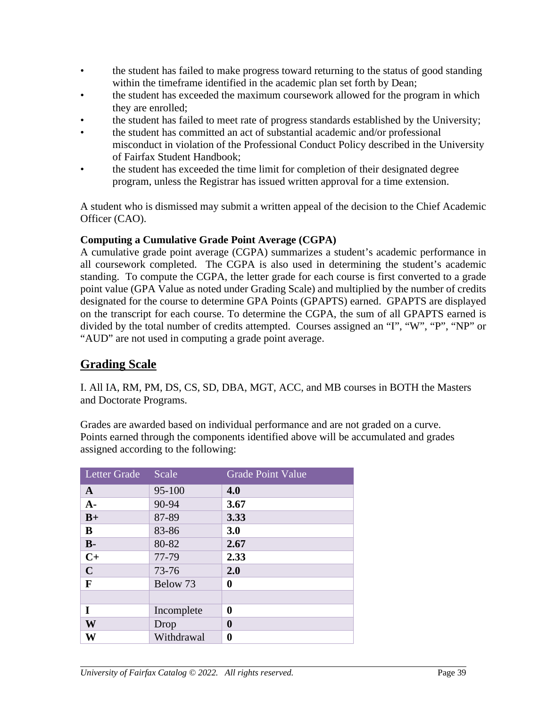- the student has failed to make progress toward returning to the status of good standing within the timeframe identified in the academic plan set forth by Dean;
- the student has exceeded the maximum coursework allowed for the program in which they are enrolled;
- the student has failed to meet rate of progress standards established by the University;
- the student has committed an act of substantial academic and/or professional misconduct in violation of the Professional Conduct Policy described in the University of Fairfax Student Handbook;
- the student has exceeded the time limit for completion of their designated degree program, unless the Registrar has issued written approval for a time extension.

A student who is dismissed may submit a written appeal of the decision to the Chief Academic Officer (CAO).

#### **Computing a Cumulative Grade Point Average (CGPA)**

A cumulative grade point average (CGPA) summarizes a student's academic performance in all coursework completed. The CGPA is also used in determining the student's academic standing. To compute the CGPA, the letter grade for each course is first converted to a grade point value (GPA Value as noted under Grading Scale) and multiplied by the number of credits designated for the course to determine GPA Points (GPAPTS) earned. GPAPTS are displayed on the transcript for each course. To determine the CGPA, the sum of all GPAPTS earned is divided by the total number of credits attempted. Courses assigned an "I", "W", "P", "NP" or "AUD" are not used in computing a grade point average.

## **Grading Scale**

I. All IA, RM, PM, DS, CS, SD, DBA, MGT, ACC, and MB courses in BOTH the Masters and Doctorate Programs.

Grades are awarded based on individual performance and are not graded on a curve. Points earned through the components identified above will be accumulated and grades assigned according to the following:

| <b>Letter Grade</b> | Scale      | <b>Grade Point Value</b> |
|---------------------|------------|--------------------------|
| $\mathbf{A}$        | 95-100     | 4.0                      |
| $A -$               | 90-94      | 3.67                     |
| $B+$                | 87-89      | 3.33                     |
| B                   | 83-86      | 3.0                      |
| $B -$               | 80-82      | 2.67                     |
| $C+$                | 77-79      | 2.33                     |
| $\mathbf C$         | $73 - 76$  | 2.0                      |
| F                   | Below 73   | 0                        |
|                     |            |                          |
| I                   | Incomplete | $\boldsymbol{0}$         |
| W                   | Drop       | 0                        |
| W                   | Withdrawal | $\boldsymbol{0}$         |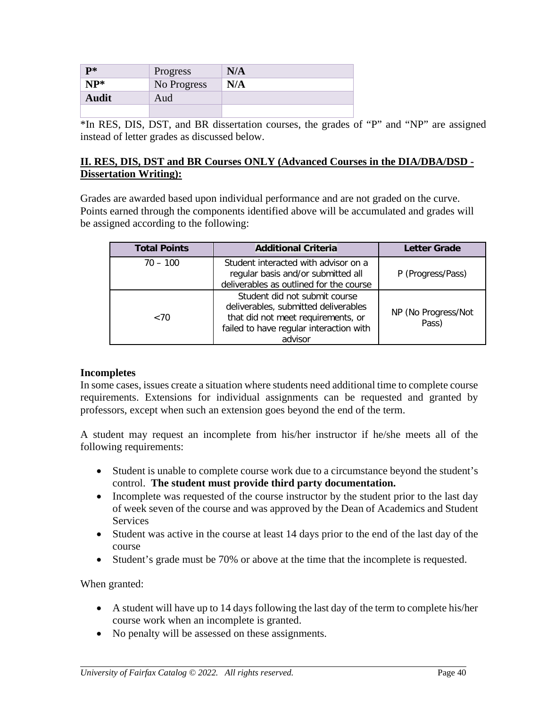| $\mathbf{P}^*$ | Progress    | N/A |
|----------------|-------------|-----|
| $NP*$          | No Progress | N/A |
| <b>Audit</b>   | Aud         |     |
|                |             |     |

\*In RES, DIS, DST, and BR dissertation courses, the grades of "P" and "NP" are assigned instead of letter grades as discussed below.

#### **II. RES, DIS, DST and BR Courses ONLY (Advanced Courses in the DIA/DBA/DSD - Dissertation Writing):**

Grades are awarded based upon individual performance and are not graded on the curve. Points earned through the components identified above will be accumulated and grades will be assigned according to the following:

| <b>Total Points</b> | <b>Additional Criteria</b>                                                                                                                                        | <b>Letter Grade</b> |
|---------------------|-------------------------------------------------------------------------------------------------------------------------------------------------------------------|---------------------|
| $70 - 100$          | Student interacted with advisor on a<br>regular basis and/or submitted all<br>deliverables as outlined for the course                                             | P (Progress/Pass)   |
| ${<}70$             | Student did not submit course<br>deliverables, submitted deliverables<br>that did not meet requirements, or<br>failed to have regular interaction with<br>advisor |                     |

#### **Incompletes**

In some cases, issues create a situation where students need additional time to complete course requirements. Extensions for individual assignments can be requested and granted by professors, except when such an extension goes beyond the end of the term.

A student may request an incomplete from his/her instructor if he/she meets all of the following requirements:

- Student is unable to complete course work due to a circumstance beyond the student's control. **The student must provide third party documentation.**
- Incomplete was requested of the course instructor by the student prior to the last day of week seven of the course and was approved by the Dean of Academics and Student Services
- Student was active in the course at least 14 days prior to the end of the last day of the course
- Student's grade must be 70% or above at the time that the incomplete is requested.

When granted:

- A student will have up to 14 days following the last day of the term to complete his/her course work when an incomplete is granted.
- No penalty will be assessed on these assignments.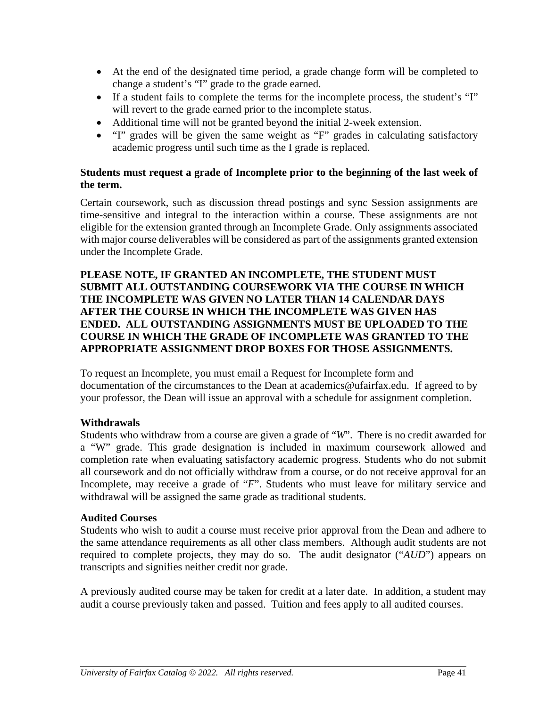- At the end of the designated time period, a grade change form will be completed to change a student's "I" grade to the grade earned.
- If a student fails to complete the terms for the incomplete process, the student's "I" will revert to the grade earned prior to the incomplete status.
- Additional time will not be granted beyond the initial 2-week extension.
- "I" grades will be given the same weight as "F" grades in calculating satisfactory academic progress until such time as the I grade is replaced.

#### **Students must request a grade of Incomplete prior to the beginning of the last week of the term.**

Certain coursework, such as discussion thread postings and sync Session assignments are time-sensitive and integral to the interaction within a course. These assignments are not eligible for the extension granted through an Incomplete Grade. Only assignments associated with major course deliverables will be considered as part of the assignments granted extension under the Incomplete Grade.

#### **PLEASE NOTE, IF GRANTED AN INCOMPLETE, THE STUDENT MUST SUBMIT ALL OUTSTANDING COURSEWORK VIA THE COURSE IN WHICH THE INCOMPLETE WAS GIVEN NO LATER THAN 14 CALENDAR DAYS AFTER THE COURSE IN WHICH THE INCOMPLETE WAS GIVEN HAS ENDED. ALL OUTSTANDING ASSIGNMENTS MUST BE UPLOADED TO THE COURSE IN WHICH THE GRADE OF INCOMPLETE WAS GRANTED TO THE APPROPRIATE ASSIGNMENT DROP BOXES FOR THOSE ASSIGNMENTS.**

To request an Incomplete, you must email a Request for Incomplete form and documentation of the circumstances to the Dean at [academics@ufairfax.edu.](mailto:academics@ufairfax.edu) If agreed to by your professor, the Dean will issue an approval with a schedule for assignment completion.

### **Withdrawals**

Students who withdraw from a course are given a grade of "*W*". There is no credit awarded for a "W" grade. This grade designation is included in maximum coursework allowed and completion rate when evaluating satisfactory academic progress. Students who do not submit all coursework and do not officially withdraw from a course, or do not receive approval for an Incomplete, may receive a grade of "*F*". Students who must leave for military service and withdrawal will be assigned the same grade as traditional students.

#### **Audited Courses**

Students who wish to audit a course must receive prior approval from the Dean and adhere to the same attendance requirements as all other class members. Although audit students are not required to complete projects, they may do so. The audit designator ("*AUD*") appears on transcripts and signifies neither credit nor grade.

A previously audited course may be taken for credit at a later date. In addition, a student may audit a course previously taken and passed. Tuition and fees apply to all audited courses.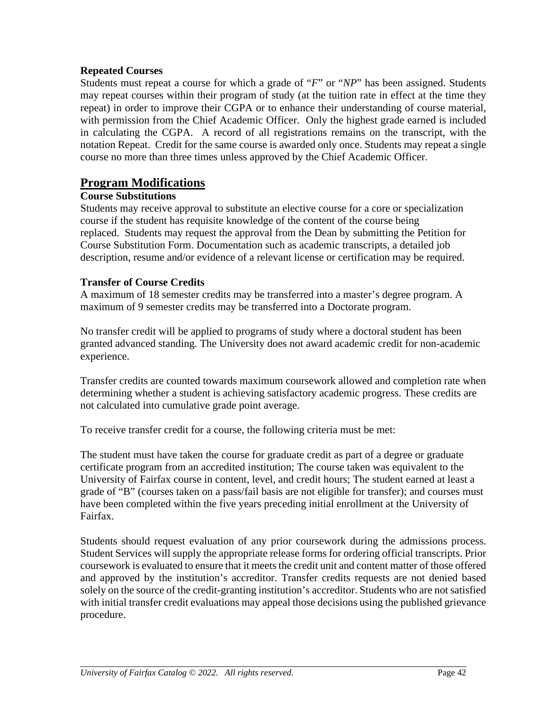#### **Repeated Courses**

Students must repeat a course for which a grade of "*F*" or "*NP*" has been assigned. Students may repeat courses within their program of study (at the tuition rate in effect at the time they repeat) in order to improve their CGPA or to enhance their understanding of course material, with permission from the Chief Academic Officer. Only the highest grade earned is included in calculating the CGPA. A record of all registrations remains on the transcript, with the notation Repeat. Credit for the same course is awarded only once. Students may repeat a single course no more than three times unless approved by the Chief Academic Officer.

## **Program Modifications**

#### **Course Substitutions**

Students may receive approval to substitute an elective course for a core or specialization course if the student has requisite knowledge of the content of the course being replaced. Students may request the approval from the Dean by submitting the Petition for Course Substitution Form. Documentation such as academic transcripts, a detailed job description, resume and/or evidence of a relevant license or certification may be required.

#### **Transfer of Course Credits**

A maximum of 18 semester credits may be transferred into a master's degree program. A maximum of 9 semester credits may be transferred into a Doctorate program.

No transfer credit will be applied to programs of study where a doctoral student has been granted advanced standing. The University does not award academic credit for non-academic experience.

Transfer credits are counted towards maximum coursework allowed and completion rate when determining whether a student is achieving satisfactory academic progress. These credits are not calculated into cumulative grade point average.

To receive transfer credit for a course, the following criteria must be met:

The student must have taken the course for graduate credit as part of a degree or graduate certificate program from an accredited institution; The course taken was equivalent to the University of Fairfax course in content, level, and credit hours; The student earned at least a grade of "B" (courses taken on a pass/fail basis are not eligible for transfer); and courses must have been completed within the five years preceding initial enrollment at the University of Fairfax.

Students should request evaluation of any prior coursework during the admissions process. Student Services will supply the appropriate release forms for ordering official transcripts. Prior coursework is evaluated to ensure that it meets the credit unit and content matter of those offered and approved by the institution's accreditor. Transfer credits requests are not denied based solely on the source of the credit-granting institution's accreditor. Students who are not satisfied with initial transfer credit evaluations may appeal those decisions using the published grievance procedure.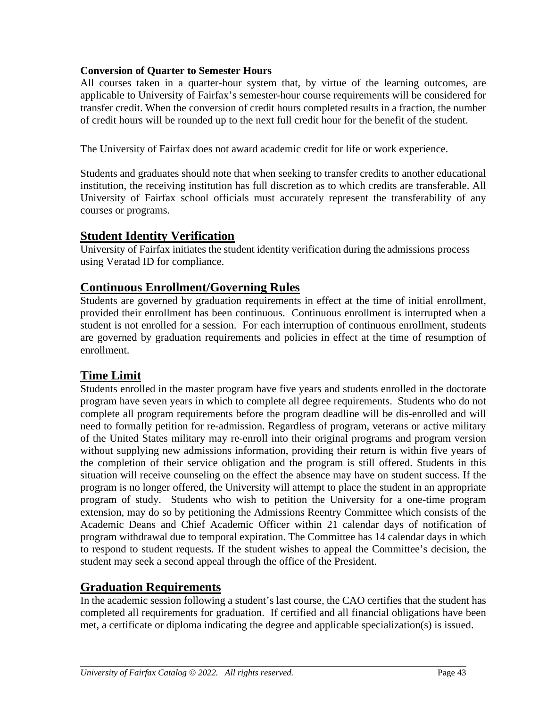#### **Conversion of Quarter to Semester Hours**

All courses taken in a quarter-hour system that, by virtue of the learning outcomes, are applicable to University of Fairfax's semester-hour course requirements will be considered for transfer credit. When the conversion of credit hours completed results in a fraction, the number of credit hours will be rounded up to the next full credit hour for the benefit of the student.

The University of Fairfax does not award academic credit for life or work experience.

Students and graduates should note that when seeking to transfer credits to another educational institution, the receiving institution has full discretion as to which credits are transferable. All University of Fairfax school officials must accurately represent the transferability of any courses or programs.

## **Student Identity Verification**

University of Fairfax initiates the student identity verification during the admissions process using Veratad ID for compliance.

## **Continuous Enrollment/Governing Rules**

Students are governed by graduation requirements in effect at the time of initial enrollment, provided their enrollment has been continuous. Continuous enrollment is interrupted when a student is not enrolled for a session. For each interruption of continuous enrollment, students are governed by graduation requirements and policies in effect at the time of resumption of enrollment.

# **Time Limit**

Students enrolled in the master program have five years and students enrolled in the doctorate program have seven years in which to complete all degree requirements. Students who do not complete all program requirements before the program deadline will be dis-enrolled and will need to formally petition for re-admission. Regardless of program, veterans or active military of the United States military may re-enroll into their original programs and program version without supplying new admissions information, providing their return is within five years of the completion of their service obligation and the program is still offered. Students in this situation will receive counseling on the effect the absence may have on student success. If the program is no longer offered, the University will attempt to place the student in an appropriate program of study. Students who wish to petition the University for a one-time program extension, may do so by petitioning the Admissions Reentry Committee which consists of the Academic Deans and Chief Academic Officer within 21 calendar days of notification of program withdrawal due to temporal expiration. The Committee has 14 calendar days in which to respond to student requests. If the student wishes to appeal the Committee's decision, the student may seek a second appeal through the office of the President.

# **Graduation Requirements**

In the academic session following a student's last course, the CAO certifies that the student has completed all requirements for graduation. If certified and all financial obligations have been met, a certificate or diploma indicating the degree and applicable specialization(s) is issued.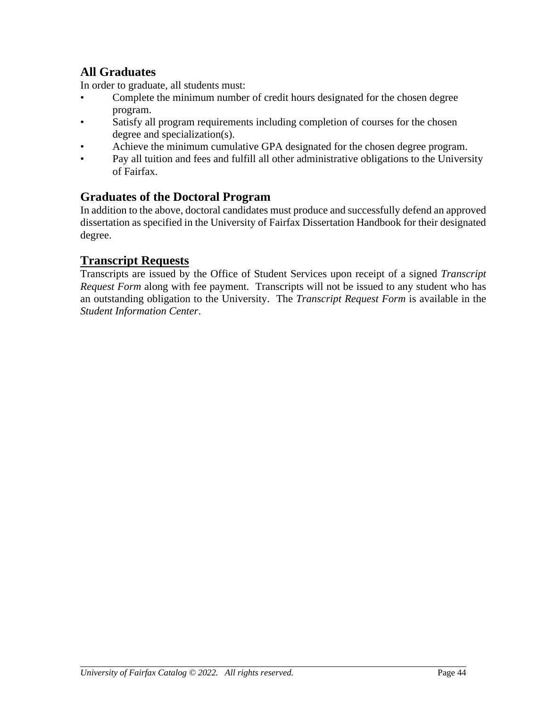# **All Graduates**

In order to graduate, all students must:

- Complete the minimum number of credit hours designated for the chosen degree program.
- Satisfy all program requirements including completion of courses for the chosen degree and specialization(s).
- Achieve the minimum cumulative GPA designated for the chosen degree program.
- Pay all tuition and fees and fulfill all other administrative obligations to the University of Fairfax.

## **Graduates of the Doctoral Program**

In addition to the above, doctoral candidates must produce and successfully defend an approved dissertation as specified in the University of Fairfax Dissertation Handbook for their designated degree.

# **Transcript Requests**

Transcripts are issued by the Office of Student Services upon receipt of a signed *Transcript Request Form* along with fee payment. Transcripts will not be issued to any student who has an outstanding obligation to the University. The *Transcript Request Form* is available in the *Student Information Center*.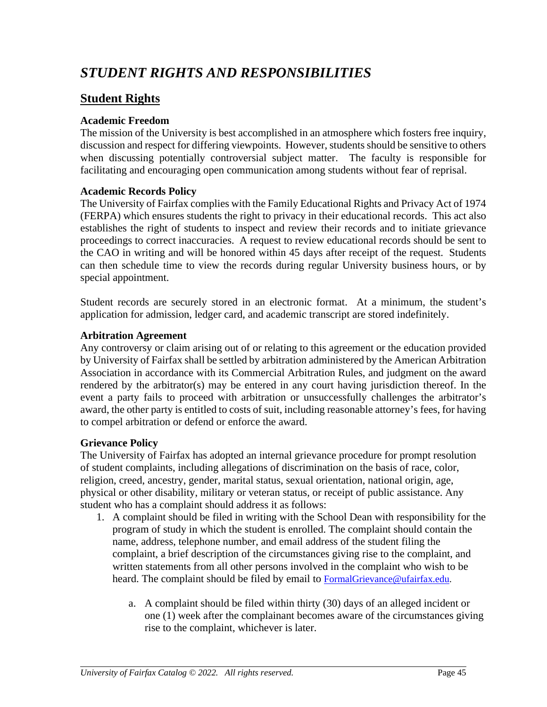# *STUDENT RIGHTS AND RESPONSIBILITIES*

## **Student Rights**

#### **Academic Freedom**

The mission of the University is best accomplished in an atmosphere which fosters free inquiry, discussion and respect for differing viewpoints. However, students should be sensitive to others when discussing potentially controversial subject matter. The faculty is responsible for facilitating and encouraging open communication among students without fear of reprisal.

#### **Academic Records Policy**

The University of Fairfax complies with the Family Educational Rights and Privacy Act of 1974 (FERPA) which ensures students the right to privacy in their educational records. This act also establishes the right of students to inspect and review their records and to initiate grievance proceedings to correct inaccuracies. A request to review educational records should be sent to the CAO in writing and will be honored within 45 days after receipt of the request. Students can then schedule time to view the records during regular University business hours, or by special appointment.

Student records are securely stored in an electronic format. At a minimum, the student's application for admission, ledger card, and academic transcript are stored indefinitely.

#### **Arbitration Agreement**

Any controversy or claim arising out of or relating to this agreement or the education provided by University of Fairfax shall be settled by arbitration administered by the American Arbitration Association in accordance with its Commercial Arbitration Rules, and judgment on the award rendered by the arbitrator(s) may be entered in any court having jurisdiction thereof. In the event a party fails to proceed with arbitration or unsuccessfully challenges the arbitrator's award, the other party is entitled to costs of suit, including reasonable attorney's fees, for having to compel arbitration or defend or enforce the award.

#### **Grievance Policy**

The University of Fairfax has adopted an internal grievance procedure for prompt resolution of student complaints, including allegations of discrimination on the basis of race, color, religion, creed, ancestry, gender, marital status, sexual orientation, national origin, age, physical or other disability, military or veteran status, or receipt of public assistance. Any student who has a complaint should address it as follows:

- 1. A complaint should be filed in writing with the School Dean with responsibility for the program of study in which the student is enrolled. The complaint should contain the name, address, telephone number, and email address of the student filing the complaint, a brief description of the circumstances giving rise to the complaint, and written statements from all other persons involved in the complaint who wish to be heard. The complaint should be filed by email to [FormalGrievance@ufairfax.edu.](mailto:FormalGrievance@ufairfax.edu)
	- a. A complaint should be filed within thirty (30) days of an alleged incident or one (1) week after the complainant becomes aware of the circumstances giving rise to the complaint, whichever is later.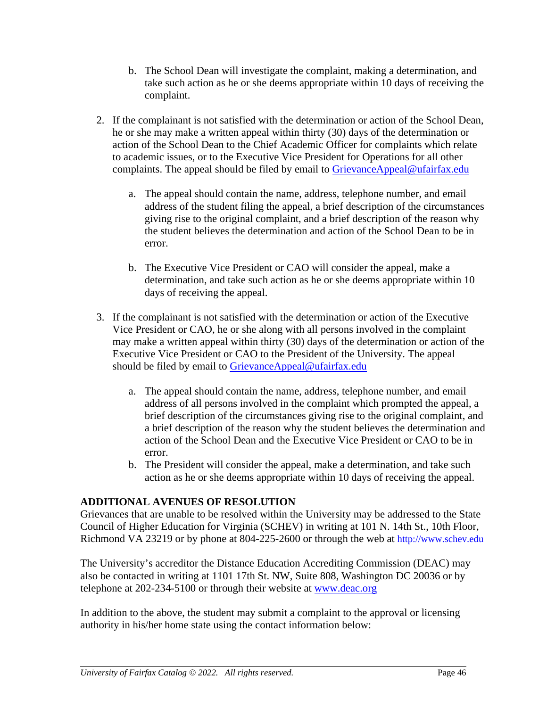- b. The School Dean will investigate the complaint, making a determination, and take such action as he or she deems appropriate within 10 days of receiving the complaint.
- 2. If the complainant is not satisfied with the determination or action of the School Dean, he or she may make a written appeal within thirty (30) days of the determination or action of the School Dean to the Chief Academic Officer for complaints which relate to academic issues, or to the Executive Vice President for Operations for all other complaints. The appeal should be filed by email to [GrievanceAppeal@ufairfax.edu](mailto:GrievanceAppeal@ufairfax.edu)
	- a. The appeal should contain the name, address, telephone number, and email address of the student filing the appeal, a brief description of the circumstances giving rise to the original complaint, and a brief description of the reason why the student believes the determination and action of the School Dean to be in error.
	- b. The Executive Vice President or CAO will consider the appeal, make a determination, and take such action as he or she deems appropriate within 10 days of receiving the appeal.
- 3. If the complainant is not satisfied with the determination or action of the Executive Vice President or CAO, he or she along with all persons involved in the complaint may make a written appeal within thirty (30) days of the determination or action of the Executive Vice President or CAO to the President of the University. The appeal should be filed by email to [GrievanceAppeal@ufairfax.edu](mailto:GrievanceAppeal@ufairfax.edu)
	- a. The appeal should contain the name, address, telephone number, and email address of all persons involved in the complaint which prompted the appeal, a brief description of the circumstances giving rise to the original complaint, and a brief description of the reason why the student believes the determination and action of the School Dean and the Executive Vice President or CAO to be in error.
	- b. The President will consider the appeal, make a determination, and take such action as he or she deems appropriate within 10 days of receiving the appeal.

### **ADDITIONAL AVENUES OF RESOLUTION**

Grievances that are unable to be resolved within the University may be addressed to the State Council of Higher Education for Virginia (SCHEV) in writing at 101 N. 14th St., 10th Floor, Richmond VA 23219 or by phone at 804-225-2600 or through the web at http://www.schev.edu

The University's accreditor the Distance Education Accrediting Commission (DEAC) may also be contacted in writing at 1101 17th St. NW, Suite 808, Washington DC 20036 or by telephone at 202-234-5100 or through their website at [www.deac.org](http://www.deac.org/)

In addition to the above, the student may submit a complaint to the approval or licensing authority in his/her home state using the contact information below: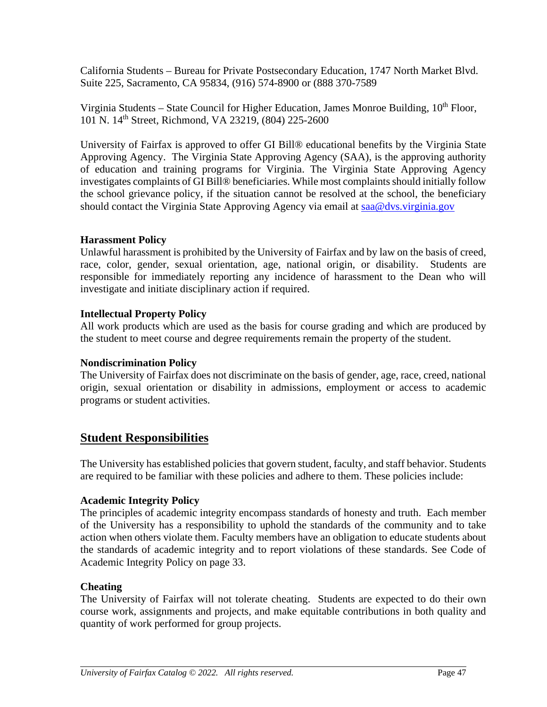California Students – Bureau for Private Postsecondary Education, 1747 North Market Blvd. Suite 225, Sacramento, CA 95834, (916) 574-8900 or (888 370-7589

Virginia Students – State Council for Higher Education, James Monroe Building, 10<sup>th</sup> Floor, 101 N. 14th Street, Richmond, VA 23219, (804) 225-2600

University of Fairfax is approved to offer GI Bill® educational benefits by the Virginia State Approving Agency. The Virginia State Approving Agency (SAA), is the approving authority of education and training programs for Virginia. The Virginia State Approving Agency investigates complaints of GI Bill® beneficiaries. While most complaints should initially follow the school grievance policy, if the situation cannot be resolved at the school, the beneficiary should contact the Virginia State Approving Agency via email at [saa@dvs.virginia.gov](mailto:saa@dvs.virginia.gov)

#### **Harassment Policy**

Unlawful harassment is prohibited by the University of Fairfax and by law on the basis of creed, race, color, gender, sexual orientation, age, national origin, or disability. Students are responsible for immediately reporting any incidence of harassment to the Dean who will investigate and initiate disciplinary action if required.

#### **Intellectual Property Policy**

All work products which are used as the basis for course grading and which are produced by the student to meet course and degree requirements remain the property of the student.

#### **Nondiscrimination Policy**

The University of Fairfax does not discriminate on the basis of gender, age, race, creed, national origin, sexual orientation or disability in admissions, employment or access to academic programs or student activities.

### **Student Responsibilities**

The University has established policies that govern student, faculty, and staff behavior. Students are required to be familiar with these policies and adhere to them. These policies include:

#### **Academic Integrity Policy**

The principles of academic integrity encompass standards of honesty and truth. Each member of the University has a responsibility to uphold the standards of the community and to take action when others violate them. Faculty members have an obligation to educate students about the standards of academic integrity and to report violations of these standards. See Code of Academic Integrity Policy on page [33.](#page-40-0)

#### **Cheating**

The University of Fairfax will not tolerate cheating. Students are expected to do their own course work, assignments and projects, and make equitable contributions in both quality and quantity of work performed for group projects.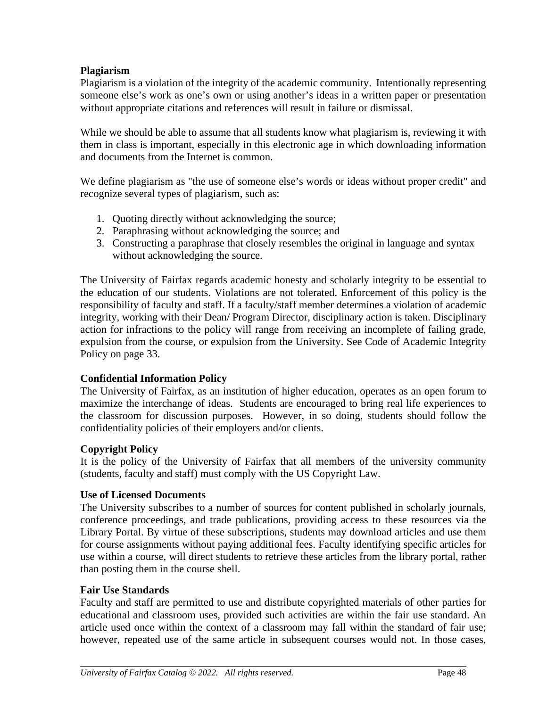#### **Plagiarism**

Plagiarism is a violation of the integrity of the academic community. Intentionally representing someone else's work as one's own or using another's ideas in a written paper or presentation without appropriate citations and references will result in failure or dismissal.

While we should be able to assume that all students know what plagiarism is, reviewing it with them in class is important, especially in this electronic age in which downloading information and documents from the Internet is common.

We define plagiarism as "the use of someone else's words or ideas without proper credit" and recognize several types of plagiarism, such as:

- 1. Quoting directly without acknowledging the source;
- 2. Paraphrasing without acknowledging the source; and
- 3. Constructing a paraphrase that closely resembles the original in language and syntax without acknowledging the source.

The University of Fairfax regards academic honesty and scholarly integrity to be essential to the education of our students. Violations are not tolerated. Enforcement of this policy is the responsibility of faculty and staff. If a faculty/staff member determines a violation of academic integrity, working with their Dean/ Program Director, disciplinary action is taken. Disciplinary action for infractions to the policy will range from receiving an incomplete of failing grade, expulsion from the course, or expulsion from the University. See Code of Academic Integrity Policy on page [33.](#page-40-0)

#### **Confidential Information Policy**

The University of Fairfax, as an institution of higher education, operates as an open forum to maximize the interchange of ideas. Students are encouraged to bring real life experiences to the classroom for discussion purposes. However, in so doing, students should follow the confidentiality policies of their employers and/or clients.

### **Copyright Policy**

It is the policy of the University of Fairfax that all members of the university community (students, faculty and staff) must comply with the US Copyright Law.

#### **Use of Licensed Documents**

The University subscribes to a number of sources for content published in scholarly journals, conference proceedings, and trade publications, providing access to these resources via the Library Portal. By virtue of these subscriptions, students may download articles and use them for course assignments without paying additional fees. Faculty identifying specific articles for use within a course, will direct students to retrieve these articles from the library portal, rather than posting them in the course shell.

#### **Fair Use Standards**

Faculty and staff are permitted to use and distribute copyrighted materials of other parties for educational and classroom uses, provided such activities are within the fair use standard. An article used once within the context of a classroom may fall within the standard of fair use; however, repeated use of the same article in subsequent courses would not. In those cases,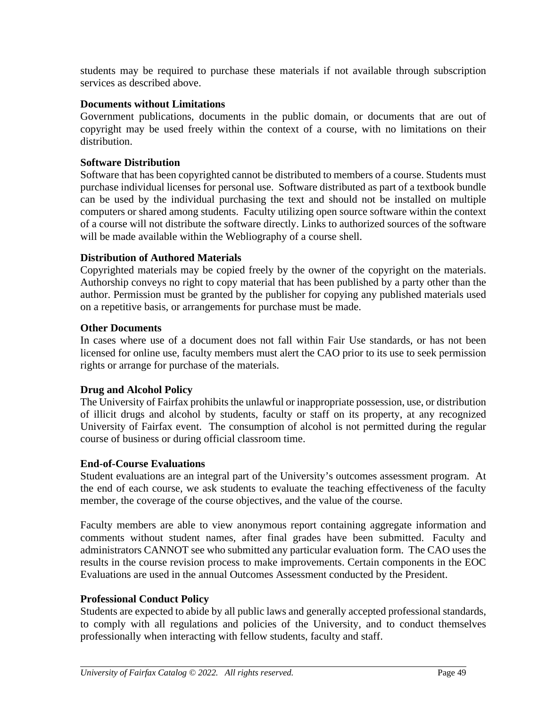students may be required to purchase these materials if not available through subscription services as described above.

#### **Documents without Limitations**

Government publications, documents in the public domain, or documents that are out of copyright may be used freely within the context of a course, with no limitations on their distribution.

#### **Software Distribution**

Software that has been copyrighted cannot be distributed to members of a course. Students must purchase individual licenses for personal use. Software distributed as part of a textbook bundle can be used by the individual purchasing the text and should not be installed on multiple computers or shared among students. Faculty utilizing open source software within the context of a course will not distribute the software directly. Links to authorized sources of the software will be made available within the Webliography of a course shell.

#### **Distribution of Authored Materials**

Copyrighted materials may be copied freely by the owner of the copyright on the materials. Authorship conveys no right to copy material that has been published by a party other than the author. Permission must be granted by the publisher for copying any published materials used on a repetitive basis, or arrangements for purchase must be made.

#### **Other Documents**

In cases where use of a document does not fall within Fair Use standards, or has not been licensed for online use, faculty members must alert the CAO prior to its use to seek permission rights or arrange for purchase of the materials.

#### **Drug and Alcohol Policy**

The University of Fairfax prohibits the unlawful or inappropriate possession, use, or distribution of illicit drugs and alcohol by students, faculty or staff on its property, at any recognized University of Fairfax event. The consumption of alcohol is not permitted during the regular course of business or during official classroom time.

#### **End-of-Course Evaluations**

Student evaluations are an integral part of the University's outcomes assessment program. At the end of each course, we ask students to evaluate the teaching effectiveness of the faculty member, the coverage of the course objectives, and the value of the course.

Faculty members are able to view anonymous report containing aggregate information and comments without student names, after final grades have been submitted. Faculty and administrators CANNOT see who submitted any particular evaluation form. The CAO uses the results in the course revision process to make improvements. Certain components in the EOC Evaluations are used in the annual Outcomes Assessment conducted by the President.

#### **Professional Conduct Policy**

Students are expected to abide by all public laws and generally accepted professional standards, to comply with all regulations and policies of the University, and to conduct themselves professionally when interacting with fellow students, faculty and staff.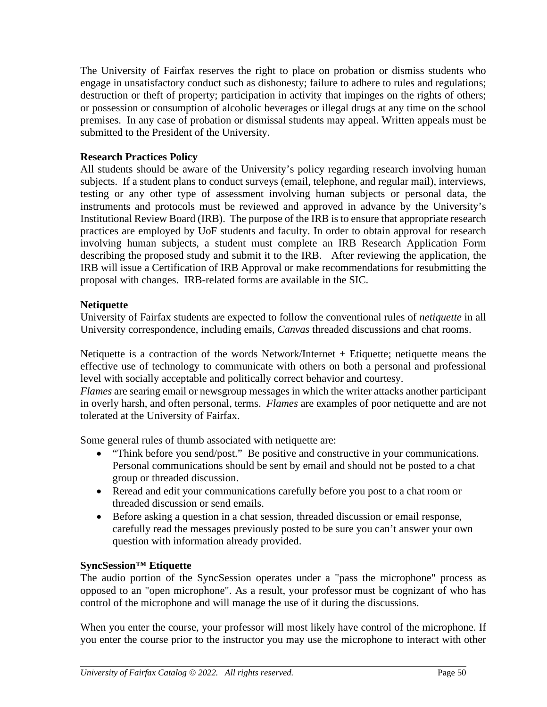The University of Fairfax reserves the right to place on probation or dismiss students who engage in unsatisfactory conduct such as dishonesty; failure to adhere to rules and regulations; destruction or theft of property; participation in activity that impinges on the rights of others; or possession or consumption of alcoholic beverages or illegal drugs at any time on the school premises. In any case of probation or dismissal students may appeal. Written appeals must be submitted to the President of the University.

#### **Research Practices Policy**

All students should be aware of the University's policy regarding research involving human subjects. If a student plans to conduct surveys (email, telephone, and regular mail), interviews, testing or any other type of assessment involving human subjects or personal data, the instruments and protocols must be reviewed and approved in advance by the University's Institutional Review Board (IRB). The purpose of the IRB is to ensure that appropriate research practices are employed by UoF students and faculty. In order to obtain approval for research involving human subjects, a student must complete an IRB Research Application Form describing the proposed study and submit it to the IRB. After reviewing the application, the IRB will issue a Certification of IRB Approval or make recommendations for resubmitting the proposal with changes. IRB-related forms are available in the SIC.

#### **Netiquette**

University of Fairfax students are expected to follow the conventional rules of *netiquette* in all University correspondence, including emails, *Canvas* threaded discussions and chat rooms.

Netiquette is a contraction of the words Network/Internet + Etiquette; netiquette means the effective use of technology to communicate with others on both a personal and professional level with socially acceptable and politically correct behavior and courtesy.

*Flames* are searing [email](http://www.webopedia.com/TERM/F/electronic_mail.html) or newsgroup messages in which the write[r attacks](http://www.webopedia.com/TERM/F/flame.html##) another participant in overly harsh, and often personal, terms. *Flames* are examples of poor netiquette and are not tolerated at the University of Fairfax.

Some general rules of thumb associated with netiquette are:

- "Think before you send/post." Be positive and constructive in your communications. Personal communications should be sent by email and should not be posted to a chat group or threaded discussion.
- Reread and edit your communications carefully before you post to a chat room or threaded discussion or send emails.
- Before asking a question in a chat session, threaded discussion or email response, carefully read the messages previously posted to be sure you can't answer your own question with information already provided.

### **SyncSession™ Etiquette**

The audio portion of the SyncSession operates under a "pass the microphone" process as opposed to an "open microphone". As a result, your professor must be cognizant of who has control of the microphone and will manage the use of it during the discussions.

When you enter the course, your professor will most likely have control of the microphone. If you enter the course prior to the instructor you may use the microphone to interact with other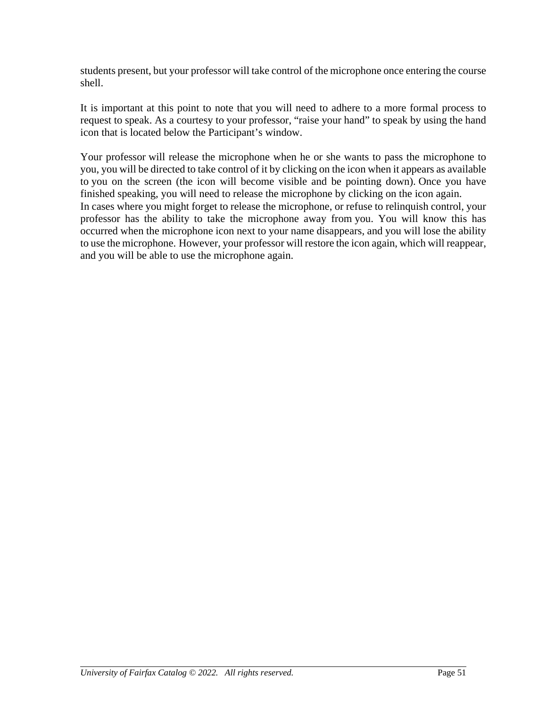students present, but your professor will take control of the microphone once entering the course shell.

It is important at this point to note that you will need to adhere to a more formal process to request to speak. As a courtesy to your professor, "raise your hand" to speak by using the hand icon that is located below the Participant's window.

Your professor will release the microphone when he or she wants to pass the microphone to you, you will be directed to take control of it by clicking on the icon when it appears as available to you on the screen (the icon will become visible and be pointing down). Once you have finished speaking, you will need to release the microphone by clicking on the icon again. In cases where you might forget to release the microphone, or refuse to relinquish control, your professor has the ability to take the microphone away from you. You will know this has occurred when the microphone icon next to your name disappears, and you will lose the ability to use the microphone. However, your professor will restore the icon again, which will reappear, and you will be able to use the microphone again.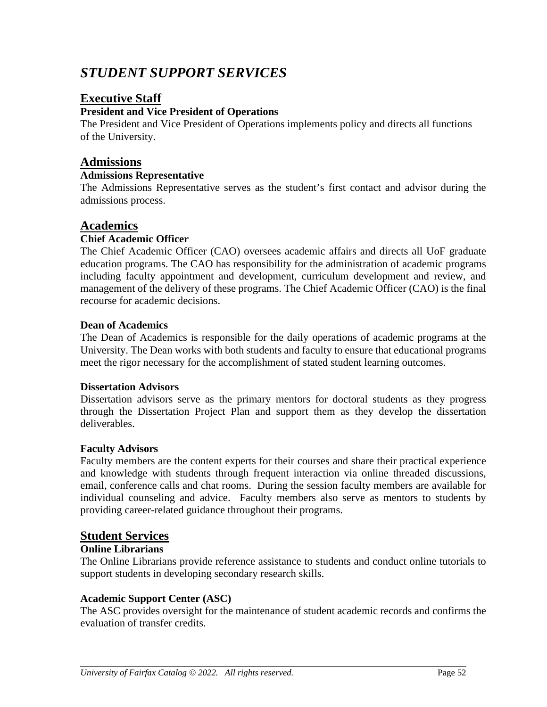# *STUDENT SUPPORT SERVICES*

## **Executive Staff**

#### **President and Vice President of Operations**

The President and Vice President of Operations implements policy and directs all functions of the University.

## **Admissions**

#### **Admissions Representative**

The Admissions Representative serves as the student's first contact and advisor during the admissions process.

### **Academics**

#### **Chief Academic Officer**

The Chief Academic Officer (CAO) oversees academic affairs and directs all UoF graduate education programs. The CAO has responsibility for the administration of academic programs including faculty appointment and development, curriculum development and review, and management of the delivery of these programs. The Chief Academic Officer (CAO) is the final recourse for academic decisions.

#### **Dean of Academics**

The Dean of Academics is responsible for the daily operations of academic programs at the University. The Dean works with both students and faculty to ensure that educational programs meet the rigor necessary for the accomplishment of stated student learning outcomes.

#### **Dissertation Advisors**

Dissertation advisors serve as the primary mentors for doctoral students as they progress through the Dissertation Project Plan and support them as they develop the dissertation deliverables.

#### **Faculty Advisors**

Faculty members are the content experts for their courses and share their practical experience and knowledge with students through frequent interaction via online threaded discussions, email, conference calls and chat rooms. During the session faculty members are available for individual counseling and advice. Faculty members also serve as mentors to students by providing career-related guidance throughout their programs.

#### **Student Services**

#### **Online Librarians**

The Online Librarians provide reference assistance to students and conduct online tutorials to support students in developing secondary research skills.

#### **Academic Support Center (ASC)**

The ASC provides oversight for the maintenance of student academic records and confirms the evaluation of transfer credits.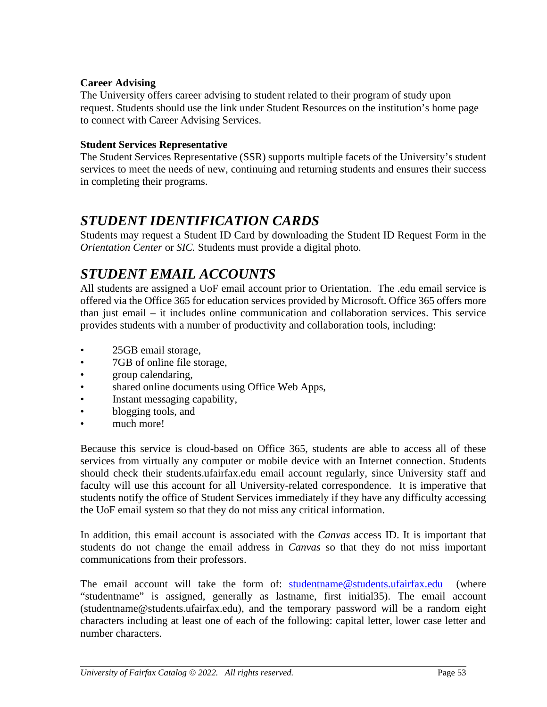#### **Career Advising**

The University offers career advising to student related to their program of study upon request. Students should use the link under Student Resources on the institution's home page to connect with Career Advising Services.

#### **Student Services Representative**

The Student Services Representative (SSR) supports multiple facets of the University's student services to meet the needs of new, continuing and returning students and ensures their success in completing their programs.

# *STUDENT IDENTIFICATION CARDS*

Students may request a Student ID Card by downloading the Student ID Request Form in the *Orientation Center* or *SIC.* Students must provide a digital photo.

# *STUDENT EMAIL ACCOUNTS*

All students are assigned a UoF email account prior to Orientation. The .edu email service is offered via the Office 365 for education services provided by Microsoft. Office 365 offers more than just email – it includes online communication and collaboration services. This service provides students with a number of productivity and collaboration tools, including:

- 25GB email storage,
- 7GB of online file storage,
- group calendaring,
- shared online documents using Office Web Apps,
- Instant messaging capability,
- blogging tools, and
- much more!

Because this service is cloud-based on Office 365, students are able to access all of these services from virtually any computer or mobile device with an Internet connection. Students should check their students.ufairfax.edu email account regularly, since University staff and faculty will use this account for all University-related correspondence. It is imperative that students notify the office of Student Services immediately if they have any difficulty accessing the UoF email system so that they do not miss any critical information.

In addition, this email account is associated with the *Canvas* access ID. It is important that students do not change the email address in *Canvas* so that they do not miss important communications from their professors.

The email account will take the form of: [studentname@students.ufairfax.edu](mailto:studentname@students.ufairfax.edu) (where "studentname" is assigned, generally as lastname, first initial35). The email account (studentname@students.ufairfax.edu), and the temporary password will be a random eight characters including at least one of each of the following: capital letter, lower case letter and number characters.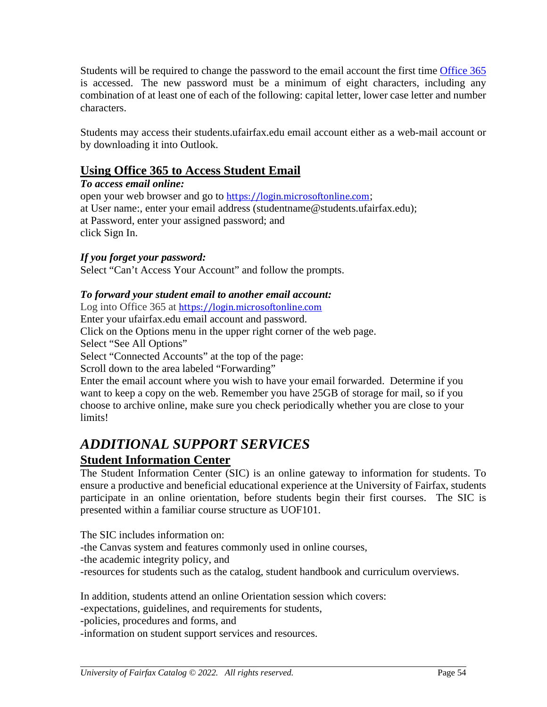Students will be required to change the password to the email account the first time [Office](http://www.outlook.com/) 365 is accessed. The new password must be a minimum of eight characters, including any combination of at least one of each of the following: capital letter, lower case letter and number characters.

Students may access their students.ufairfax.edu email account either as a web-mail account or by downloading it into Outlook.

## **Using Office 365 to Access Student Email**

#### *To access email online:*

open your web browser and go to [https://login.microsoftonline.com](https://login.microsoftonline.com/); at User name:, enter your email address (studentname@students.ufairfax.edu); at Password, enter your assigned password; and click Sign In.

#### *If you forget your password:*

Select "Can't Access Your Account" and follow the prompts.

#### *To forward your student email to another email account:*

Log into Office 365 at[https://login.microsoftonline.com](https://login.microsoftonline.com/)

Enter your ufairfax.edu email account and password.

Click on the Options menu in the upper right corner of the web page.

Select "See All Options"

Select "Connected Accounts" at the top of the page:

Scroll down to the area labeled "Forwarding"

Enter the email account where you wish to have your email forwarded. Determine if you want to keep a copy on the web. Remember you have 25GB of storage for mail, so if you choose to archive online, make sure you check periodically whether you are close to your limits!

# *ADDITIONAL SUPPORT SERVICES*

## **Student Information Center**

The Student Information Center (SIC) is an online gateway to information for students. To ensure a productive and beneficial educational experience at the University of Fairfax, students participate in an online orientation, before students begin their first courses. The SIC is presented within a familiar course structure as UOF101.

The SIC includes information on: -the Canvas system and features commonly used in online courses, -the academic integrity policy, and -resources for students such as the catalog, student handbook and curriculum overviews.

In addition, students attend an online Orientation session which covers:

-expectations, guidelines, and requirements for students,

-policies, procedures and forms, and

-information on student support services and resources.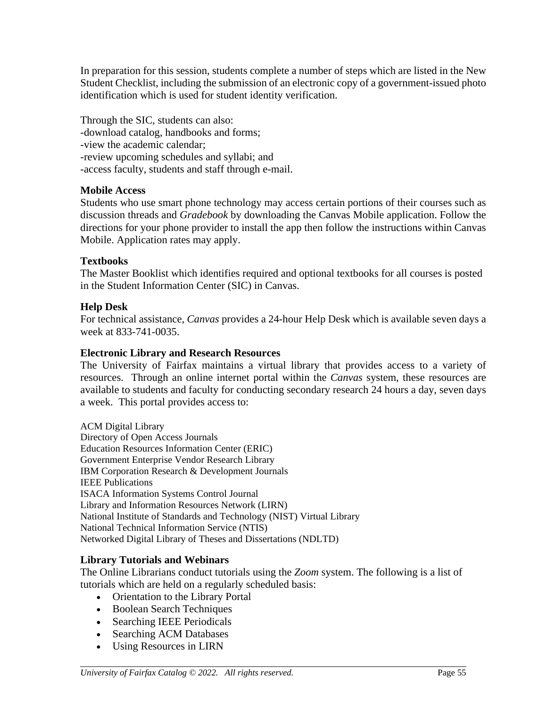In preparation for this session, students complete a number of steps which are listed in the New Student Checklist, including the submission of an electronic copy of a government-issued photo identification which is used for student identity verification.

Through the SIC, students can also: -download catalog, handbooks and forms; -view the academic calendar; -review upcoming schedules and syllabi; and -access faculty, students and staff through e-mail.

#### **Mobile Access**

Students who use smart phone technology may access certain portions of their courses such as discussion threads and *Gradebook* by downloading the Canvas Mobile application. Follow the directions for your phone provider to install the app then follow the instructions within Canvas Mobile. Application rates may apply.

#### **Textbooks**

The Master Booklist which identifies required and optional textbooks for all courses is posted in the Student Information Center (SIC) in Canvas.

#### **Help Desk**

For technical assistance, *Canvas* provides a 24-hour Help Desk which is available seven days a week at 833-741-0035.

#### **Electronic Library and Research Resources**

The University of Fairfax maintains a virtual library that provides access to a variety of resources. Through an online internet portal within the *Canvas* system, these resources are available to students and faculty for conducting secondary research 24 hours a day, seven days a week. This portal provides access to:

ACM Digital Library Directory of Open Access Journals Education Resources Information Center (ERIC) Government Enterprise Vendor Research Library IBM Corporation Research & Development Journals IEEE Publications ISACA Information Systems Control Journal Library and Information Resources Network (LIRN) National Institute of Standards and Technology (NIST) Virtual Library National Technical Information Service (NTIS) Networked Digital Library of Theses and Dissertations (NDLTD)

#### **Library Tutorials and Webinars**

The Online Librarians conduct tutorials using the *Zoom* system. The following is a list of tutorials which are held on a regularly scheduled basis:

- Orientation to the Library Portal
- Boolean Search Techniques
- Searching IEEE Periodicals
- Searching ACM Databases
- Using Resources in LIRN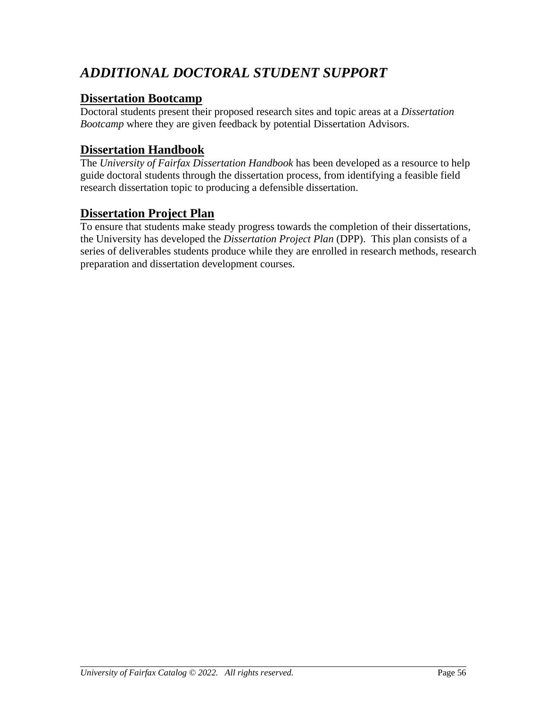# *ADDITIONAL DOCTORAL STUDENT SUPPORT*

## **Dissertation Bootcamp**

Doctoral students present their proposed research sites and topic areas at a *Dissertation Bootcamp* where they are given feedback by potential Dissertation Advisors.

## **Dissertation Handbook**

The *University of Fairfax Dissertation Handbook* has been developed as a resource to help guide doctoral students through the dissertation process, from identifying a feasible field research dissertation topic to producing a defensible dissertation.

## **Dissertation Project Plan**

To ensure that students make steady progress towards the completion of their dissertations, the University has developed the *Dissertation Project Plan* (DPP). This plan consists of a series of deliverables students produce while they are enrolled in research methods, research preparation and dissertation development courses.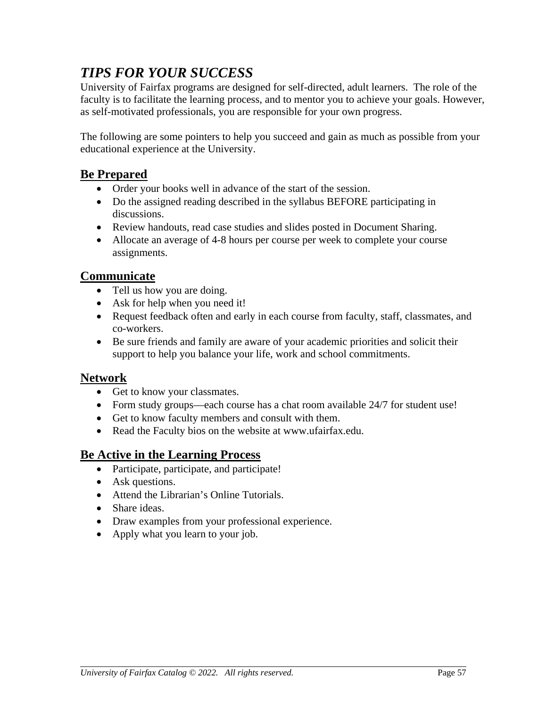# *TIPS FOR YOUR SUCCESS*

University of Fairfax programs are designed for self-directed, adult learners. The role of the faculty is to facilitate the learning process, and to mentor you to achieve your goals. However, as self-motivated professionals, you are responsible for your own progress.

The following are some pointers to help you succeed and gain as much as possible from your educational experience at the University.

## **Be Prepared**

- Order your books well in advance of the start of the session.
- Do the assigned reading described in the syllabus BEFORE participating in discussions.
- Review handouts, read case studies and slides posted in Document Sharing.
- Allocate an average of 4-8 hours per course per week to complete your course assignments.

## **Communicate**

- Tell us how you are doing.
- Ask for help when you need it!
- Request feedback often and early in each course from faculty, staff, classmates, and co-workers.
- Be sure friends and family are aware of your academic priorities and solicit their support to help you balance your life, work and school commitments.

## **Network**

- Get to know your classmates.
- Form study groups—each course has a chat room available 24/7 for student use!
- Get to know faculty members and consult with them.
- Read the Faculty bios on the website at www.ufairfax.edu.

## **Be Active in the Learning Process**

- Participate, participate, and participate!
- Ask questions.
- Attend the Librarian's Online Tutorials.
- Share ideas.
- Draw examples from your professional experience.
- Apply what you learn to your job.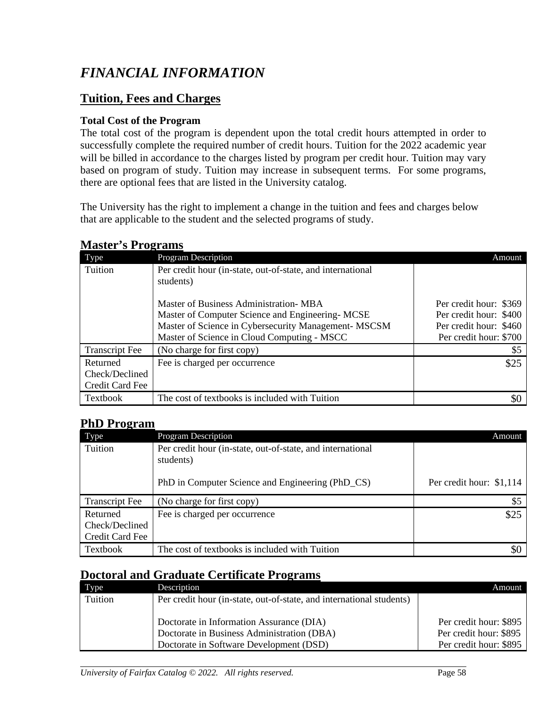# *FINANCIAL INFORMATION*

# **Tuition, Fees and Charges**

## **Total Cost of the Program**

The total cost of the program is dependent upon the total credit hours attempted in order to successfully complete the required number of credit hours. Tuition for the 2022 academic year will be billed in accordance to the charges listed by program per credit hour. Tuition may vary based on program of study. Tuition may increase in subsequent terms. For some programs, there are optional fees that are listed in the University catalog.

The University has the right to implement a change in the tuition and fees and charges below that are applicable to the student and the selected programs of study.

| Type                  | <b>Program Description</b>                                              | Amount                 |
|-----------------------|-------------------------------------------------------------------------|------------------------|
| Tuition               | Per credit hour (in-state, out-of-state, and international<br>students) |                        |
|                       | Master of Business Administration- MBA                                  | Per credit hour: \$369 |
|                       | Master of Computer Science and Engineering-MCSE                         | Per credit hour: \$400 |
|                       | Master of Science in Cybersecurity Management- MSCSM                    | Per credit hour: \$460 |
|                       | Master of Science in Cloud Computing - MSCC                             | Per credit hour: \$700 |
| <b>Transcript Fee</b> | (No charge for first copy)                                              | \$5                    |
| Returned              | Fee is charged per occurrence                                           | \$25                   |
| Check/Declined        |                                                                         |                        |
| Credit Card Fee       |                                                                         |                        |
| Textbook              | The cost of textbooks is included with Tuition                          |                        |

### **Master's Programs**

## **PhD Program**

| Type                  | <b>Program Description</b>                                              | Amount                   |
|-----------------------|-------------------------------------------------------------------------|--------------------------|
| Tuition               | Per credit hour (in-state, out-of-state, and international<br>students) |                          |
|                       | PhD in Computer Science and Engineering (PhD_CS)                        | Per credit hour: \$1,114 |
| <b>Transcript Fee</b> | (No charge for first copy)                                              | \$5                      |
| Returned              | Fee is charged per occurrence                                           | \$25                     |
| Check/Declined        |                                                                         |                          |
| Credit Card Fee       |                                                                         |                          |
| Textbook              | The cost of textbooks is included with Tuition                          | \$0                      |

# **Doctoral and Graduate Certificate Programs**

| Type    | Description                                                          | Amount                 |
|---------|----------------------------------------------------------------------|------------------------|
| Tuition | Per credit hour (in-state, out-of-state, and international students) |                        |
|         |                                                                      |                        |
|         | Doctorate in Information Assurance (DIA)                             | Per credit hour: \$895 |
|         | Doctorate in Business Administration (DBA)                           | Per credit hour: \$895 |
|         | Doctorate in Software Development (DSD)                              | Per credit hour: \$895 |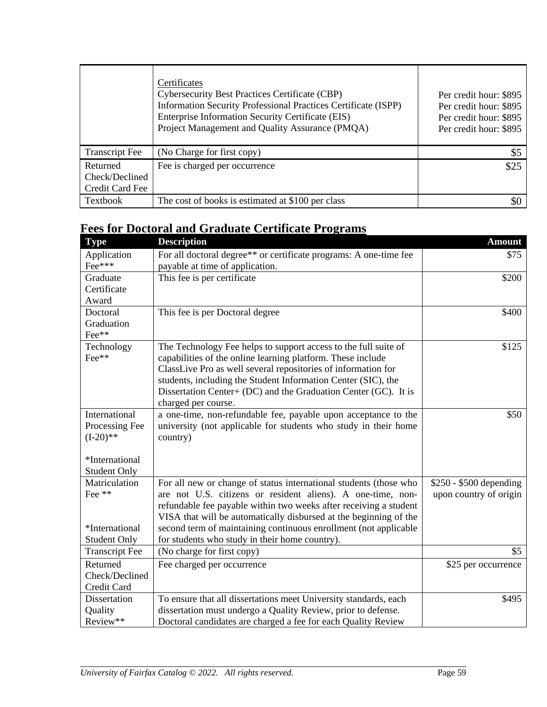|                                               | Certificates<br><b>Cybersecurity Best Practices Certificate (CBP)</b><br>Information Security Professional Practices Certificate (ISPP)<br>Enterprise Information Security Certificate (EIS)<br>Project Management and Quality Assurance (PMQA) | Per credit hour: \$895<br>Per credit hour: \$895<br>Per credit hour: \$895<br>Per credit hour: \$895 |
|-----------------------------------------------|-------------------------------------------------------------------------------------------------------------------------------------------------------------------------------------------------------------------------------------------------|------------------------------------------------------------------------------------------------------|
| <b>Transcript Fee</b>                         | (No Charge for first copy)                                                                                                                                                                                                                      | $\mathcal{S}$                                                                                        |
| Returned<br>Check/Declined<br>Credit Card Fee | Fee is charged per occurrence                                                                                                                                                                                                                   | \$25                                                                                                 |
| Textbook                                      | The cost of books is estimated at \$100 per class                                                                                                                                                                                               |                                                                                                      |

# **Fees for Doctoral and Graduate Certificate Programs**

| <b>Type</b>           | <b>Description</b>                                                | <b>Amount</b>           |
|-----------------------|-------------------------------------------------------------------|-------------------------|
| Application           | For all doctoral degree** or certificate programs: A one-time fee | \$75                    |
| Fee***                | payable at time of application.                                   |                         |
| Graduate              | This fee is per certificate                                       | \$200                   |
| Certificate           |                                                                   |                         |
| Award                 |                                                                   |                         |
| Doctoral              | This fee is per Doctoral degree                                   | \$400                   |
| Graduation            |                                                                   |                         |
| Fee**                 |                                                                   |                         |
| Technology            | The Technology Fee helps to support access to the full suite of   | \$125                   |
| Fee**                 | capabilities of the online learning platform. These include       |                         |
|                       | ClassLive Pro as well several repositories of information for     |                         |
|                       | students, including the Student Information Center (SIC), the     |                         |
|                       | Dissertation Center+ (DC) and the Graduation Center (GC). It is   |                         |
|                       | charged per course.                                               |                         |
| International         | a one-time, non-refundable fee, payable upon acceptance to the    | \$50                    |
| Processing Fee        | university (not applicable for students who study in their home   |                         |
| $(I-20)**$            | country)                                                          |                         |
|                       |                                                                   |                         |
| *International        |                                                                   |                         |
| <b>Student Only</b>   |                                                                   |                         |
| Matriculation         | For all new or change of status international students (those who | \$250 - \$500 depending |
| Fee **                | are not U.S. citizens or resident aliens). A one-time, non-       | upon country of origin  |
|                       | refundable fee payable within two weeks after receiving a student |                         |
|                       | VISA that will be automatically disbursed at the beginning of the |                         |
| *International        | second term of maintaining continuous enrollment (not applicable  |                         |
| <b>Student Only</b>   | for students who study in their home country).                    |                         |
| <b>Transcript Fee</b> | (No charge for first copy)                                        | \$5                     |
| Returned              | Fee charged per occurrence                                        | \$25 per occurrence     |
| Check/Declined        |                                                                   |                         |
| Credit Card           |                                                                   |                         |
| Dissertation          | To ensure that all dissertations meet University standards, each  | \$495                   |
| Quality               | dissertation must undergo a Quality Review, prior to defense.     |                         |
| Review**              | Doctoral candidates are charged a fee for each Quality Review     |                         |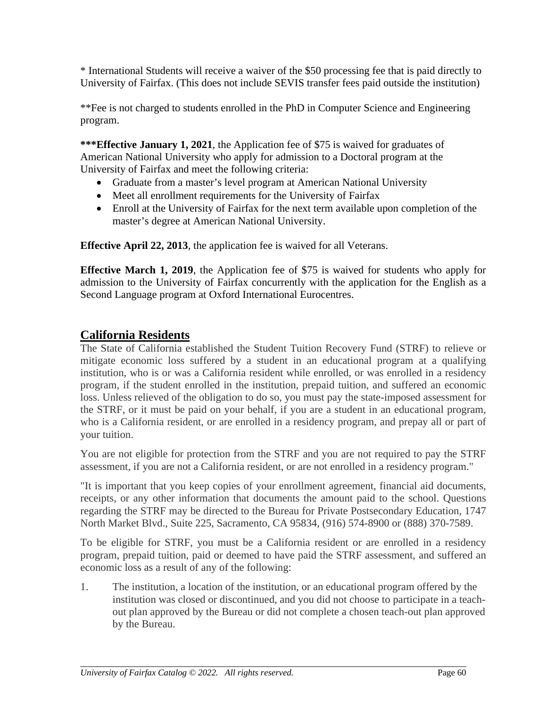\* International Students will receive a waiver of the \$50 processing fee that is paid directly to University of Fairfax. (This does not include SEVIS transfer fees paid outside the institution)

\*\*Fee is not charged to students enrolled in the PhD in Computer Science and Engineering program.

**\*\*\*Effective January 1, 2021**, the Application fee of \$75 is waived for graduates of American National University who apply for admission to a Doctoral program at the University of Fairfax and meet the following criteria:

- Graduate from a master's level program at American National University
- Meet all enrollment requirements for the University of Fairfax
- Enroll at the University of Fairfax for the next term available upon completion of the master's degree at American National University.

**Effective April 22, 2013**, the application fee is waived for all Veterans.

**Effective March 1, 2019**, the Application fee of \$75 is waived for students who apply for admission to the University of Fairfax concurrently with the application for the English as a Second Language program at Oxford International Eurocentres.

# **California Residents**

The State of California established the Student Tuition Recovery Fund (STRF) to relieve or mitigate economic loss suffered by a student in an educational program at a qualifying institution, who is or was a California resident while enrolled, or was enrolled in a residency program, if the student enrolled in the institution, prepaid tuition, and suffered an economic loss. Unless relieved of the obligation to do so, you must pay the state-imposed assessment for the STRF, or it must be paid on your behalf, if you are a student in an educational program, who is a California resident, or are enrolled in a residency program, and prepay all or part of your tuition.

You are not eligible for protection from the STRF and you are not required to pay the STRF assessment, if you are not a California resident, or are not enrolled in a residency program."

"It is important that you keep copies of your enrollment agreement, financial aid documents, receipts, or any other information that documents the amount paid to the school. Questions regarding the STRF may be directed to the Bureau for Private Postsecondary Education, 1747 North Market Blvd., Suite 225, Sacramento, CA 95834, (916) 574-8900 or (888) 370-7589.

To be eligible for STRF, you must be a California resident or are enrolled in a residency program, prepaid tuition, paid or deemed to have paid the STRF assessment, and suffered an economic loss as a result of any of the following:

1. The institution, a location of the institution, or an educational program offered by the institution was closed or discontinued, and you did not choose to participate in a teachout plan approved by the Bureau or did not complete a chosen teach-out plan approved by the Bureau.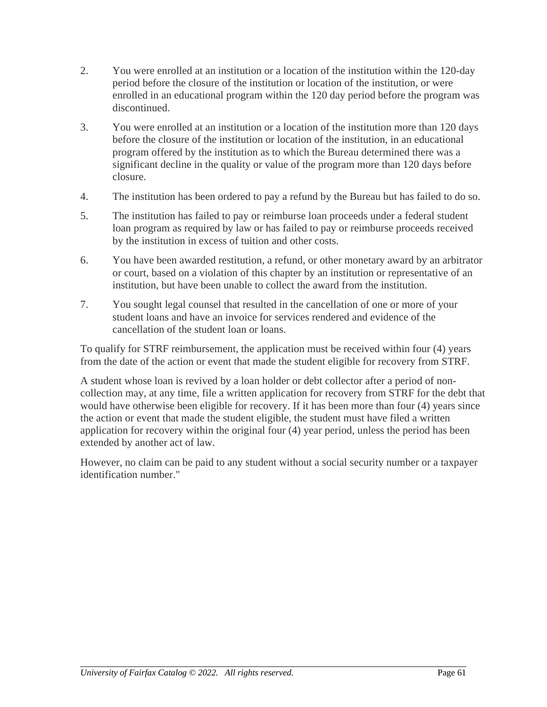- 2. You were enrolled at an institution or a location of the institution within the 120-day period before the closure of the institution or location of the institution, or were enrolled in an educational program within the 120 day period before the program was discontinued.
- 3. You were enrolled at an institution or a location of the institution more than 120 days before the closure of the institution or location of the institution, in an educational program offered by the institution as to which the Bureau determined there was a significant decline in the quality or value of the program more than 120 days before closure.
- 4. The institution has been ordered to pay a refund by the Bureau but has failed to do so.
- 5. The institution has failed to pay or reimburse loan proceeds under a federal student loan program as required by law or has failed to pay or reimburse proceeds received by the institution in excess of tuition and other costs.
- 6. You have been awarded restitution, a refund, or other monetary award by an arbitrator or court, based on a violation of this chapter by an institution or representative of an institution, but have been unable to collect the award from the institution.
- 7. You sought legal counsel that resulted in the cancellation of one or more of your student loans and have an invoice for services rendered and evidence of the cancellation of the student loan or loans.

To qualify for STRF reimbursement, the application must be received within four (4) years from the date of the action or event that made the student eligible for recovery from STRF.

A student whose loan is revived by a loan holder or debt collector after a period of noncollection may, at any time, file a written application for recovery from STRF for the debt that would have otherwise been eligible for recovery. If it has been more than four (4) years since the action or event that made the student eligible, the student must have filed a written application for recovery within the original four (4) year period, unless the period has been extended by another act of law.

However, no claim can be paid to any student without a social security number or a taxpayer identification number."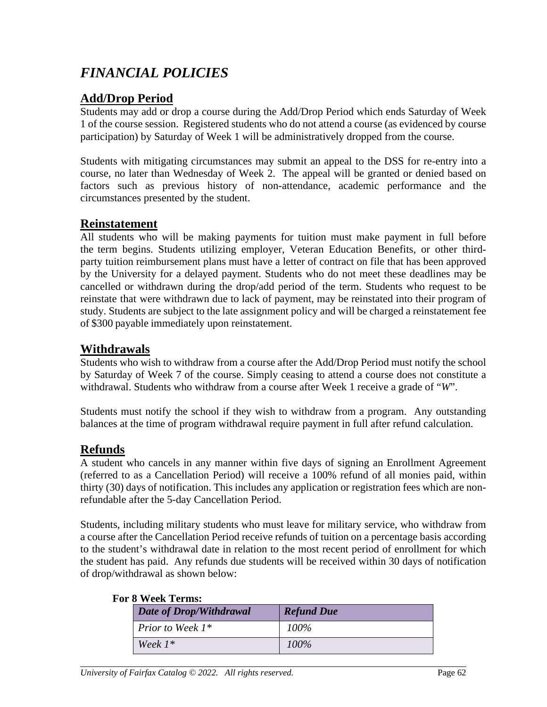# *FINANCIAL POLICIES*

# **Add/Drop Period**

Students may add or drop a course during the Add/Drop Period which ends Saturday of Week 1 of the course session. Registered students who do not attend a course (as evidenced by course participation) by Saturday of Week 1 will be administratively dropped from the course.

Students with mitigating circumstances may submit an appeal to the DSS for re-entry into a course, no later than Wednesday of Week 2. The appeal will be granted or denied based on factors such as previous history of non-attendance, academic performance and the circumstances presented by the student.

### **Reinstatement**

All students who will be making payments for tuition must make payment in full before the term begins. Students utilizing employer, Veteran Education Benefits, or other thirdparty tuition reimbursement plans must have a letter of contract on file that has been approved by the University for a delayed payment. Students who do not meet these deadlines may be cancelled or withdrawn during the drop/add period of the term. Students who request to be reinstate that were withdrawn due to lack of payment, may be reinstated into their program of study. Students are subject to the late assignment policy and will be charged a reinstatement fee of \$300 payable immediately upon reinstatement.

## **Withdrawals**

Students who wish to withdraw from a course after the Add/Drop Period must notify the school by Saturday of Week 7 of the course. Simply ceasing to attend a course does not constitute a withdrawal. Students who withdraw from a course after Week 1 receive a grade of "*W*".

Students must notify the school if they wish to withdraw from a program. Any outstanding balances at the time of program withdrawal require payment in full after refund calculation.

## **Refunds**

A student who cancels in any manner within five days of signing an Enrollment Agreement (referred to as a Cancellation Period) will receive a 100% refund of all monies paid, within thirty (30) days of notification. This includes any application or registration fees which are nonrefundable after the 5-day Cancellation Period.

Students, including military students who must leave for military service, who withdraw from a course after the Cancellation Period receive refunds of tuition on a percentage basis according to the student's withdrawal date in relation to the most recent period of enrollment for which the student has paid. Any refunds due students will be received within 30 days of notification of drop/withdrawal as shown below:

| Date of Drop/Withdrawal | <b>Refund Due</b> |
|-------------------------|-------------------|
| <i>Prior to Week 1*</i> | $100\%$           |
| Week $1^*$              | $100\%$           |

#### **For 8 Week Terms:**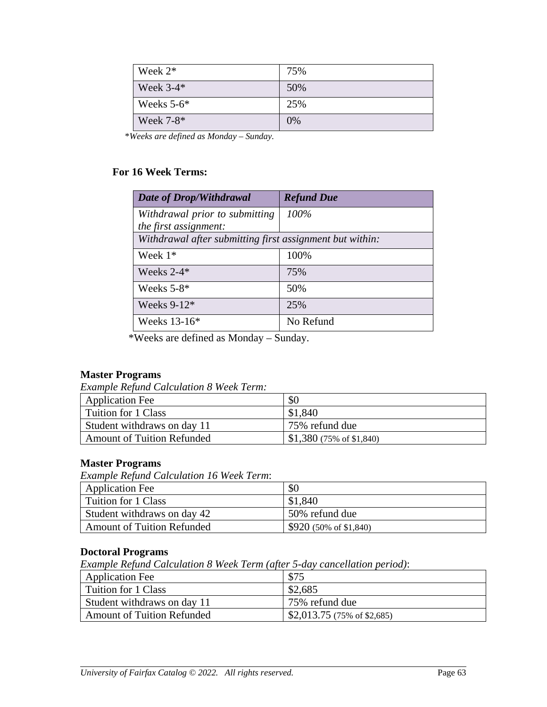| Week $2^*$   | 75% |
|--------------|-----|
| Week $3-4*$  | 50% |
| Weeks $5-6*$ | 25% |
| Week 7-8*    | 0%  |

\**Weeks are defined as Monday – Sunday.*

#### **For 16 Week Terms:**

| Date of Drop/Withdrawal                                                           | <b>Refund Due</b> |
|-----------------------------------------------------------------------------------|-------------------|
| Withdrawal prior to submitting                                                    | 100%              |
| the first assignment:<br>Withdrawal after submitting first assignment but within: |                   |
| Week $1*$                                                                         | 100%              |
| Weeks $2-4*$                                                                      | 75%               |
| Weeks $5-8*$                                                                      | 50%               |
| Weeks $9-12*$                                                                     | 25%               |
| Weeks $13-16*$                                                                    | No Refund         |

\*Weeks are defined as Monday – Sunday.

#### **Master Programs**

*Example Refund Calculation 8 Week Term:*

| Application Fee                   | \$0                               |
|-----------------------------------|-----------------------------------|
| Tuition for 1 Class               | \$1,840                           |
| Student withdraws on day 11       | 75% refund due                    |
| <b>Amount of Tuition Refunded</b> | $$1,380(75\% \text{ of } $1,840)$ |

#### **Master Programs**

*Example Refund Calculation 16 Week Term*:

| <b>Application Fee</b>            | \$0                              |
|-----------------------------------|----------------------------------|
| Tuition for 1 Class               | \$1,840                          |
| Student withdraws on day 42       | 50% refund due                   |
| <b>Amount of Tuition Refunded</b> | $$920 (50\% \text{ of } $1,840)$ |

#### **Doctoral Programs**

*Example Refund Calculation 8 Week Term (after 5-day cancellation period)*:

| <b>Application Fee</b>            | \$75                        |
|-----------------------------------|-----------------------------|
| Tuition for 1 Class               | \$2,685                     |
| Student withdraws on day 11       | 75% refund due              |
| <b>Amount of Tuition Refunded</b> | \$2,013.75 (75% of \$2,685) |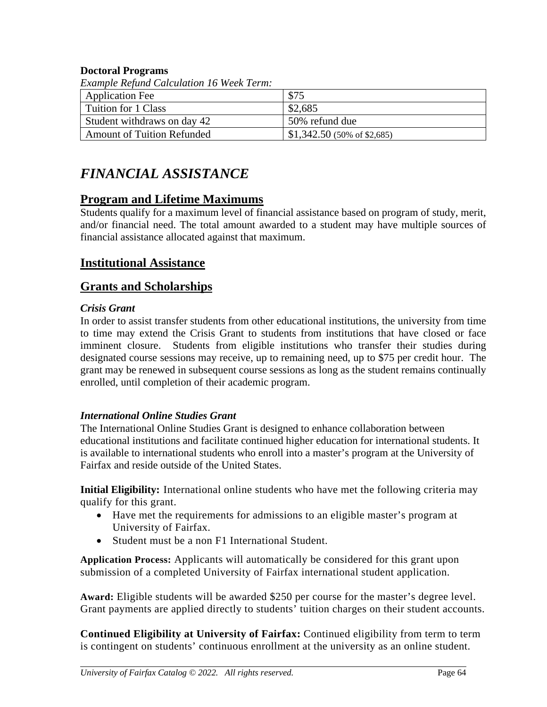#### **Doctoral Programs**

| <i>Example Refund Calculation 16 Week Term:</i> |                              |  |
|-------------------------------------------------|------------------------------|--|
| <b>Application Fee</b>                          | \$75                         |  |
| Tuition for 1 Class                             | \$2,685                      |  |
| Student withdraws on day 42                     | 50% refund due               |  |
| <b>Amount of Tuition Refunded</b>               | $$1,342.50$ (50% of \$2,685) |  |

*Example Refund Calculation 16 Week Term:*

# *FINANCIAL ASSISTANCE*

## **Program and Lifetime Maximums**

Students qualify for a maximum level of financial assistance based on program of study, merit, and/or financial need. The total amount awarded to a student may have multiple sources of financial assistance allocated against that maximum.

## **Institutional Assistance**

## **Grants and Scholarships**

#### *Crisis Grant*

In order to assist transfer students from other educational institutions, the university from time to time may extend the Crisis Grant to students from institutions that have closed or face imminent closure. Students from eligible institutions who transfer their studies during designated course sessions may receive, up to remaining need, up to \$75 per credit hour. The grant may be renewed in subsequent course sessions as long as the student remains continually enrolled, until completion of their academic program.

#### *International Online Studies Grant*

The International Online Studies Grant is designed to enhance collaboration between educational institutions and facilitate continued higher education for international students. It is available to international students who enroll into a master's program at the University of Fairfax and reside outside of the United States.

**Initial Eligibility:** International online students who have met the following criteria may qualify for this grant.

- Have met the requirements for admissions to an eligible master's program at University of Fairfax.
- Student must be a non F1 International Student.

**Application Process:** Applicants will automatically be considered for this grant upon submission of a completed University of Fairfax international student application.

**Award:** Eligible students will be awarded \$250 per course for the master's degree level. Grant payments are applied directly to students' tuition charges on their student accounts.

**Continued Eligibility at University of Fairfax:** Continued eligibility from term to term is contingent on students' continuous enrollment at the university as an online student.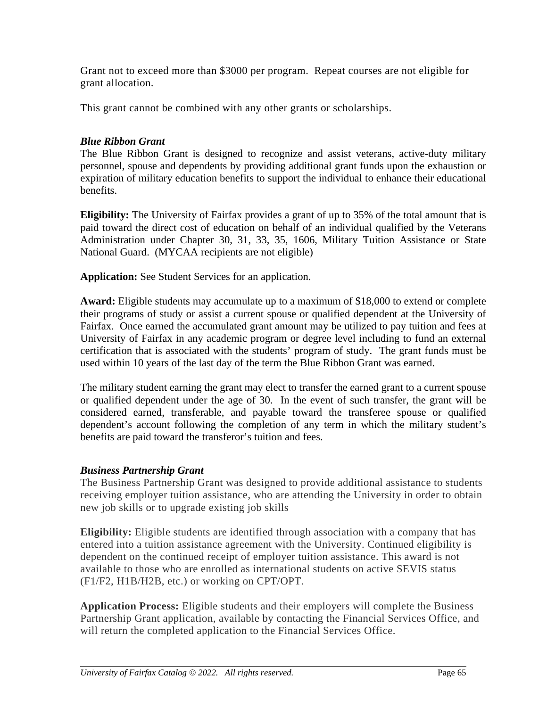Grant not to exceed more than \$3000 per program. Repeat courses are not eligible for grant allocation.

This grant cannot be combined with any other grants or scholarships.

### *Blue Ribbon Grant*

The Blue Ribbon Grant is designed to recognize and assist veterans, active-duty military personnel, spouse and dependents by providing additional grant funds upon the exhaustion or expiration of military education benefits to support the individual to enhance their educational benefits.

**Eligibility:** The University of Fairfax provides a grant of up to 35% of the total amount that is paid toward the direct cost of education on behalf of an individual qualified by the Veterans Administration under Chapter 30, 31, 33, 35, 1606, Military Tuition Assistance or State National Guard. (MYCAA recipients are not eligible)

**Application:** See Student Services for an application.

**Award:** Eligible students may accumulate up to a maximum of \$18,000 to extend or complete their programs of study or assist a current spouse or qualified dependent at the University of Fairfax. Once earned the accumulated grant amount may be utilized to pay tuition and fees at University of Fairfax in any academic program or degree level including to fund an external certification that is associated with the students' program of study. The grant funds must be used within 10 years of the last day of the term the Blue Ribbon Grant was earned.

The military student earning the grant may elect to transfer the earned grant to a current spouse or qualified dependent under the age of 30. In the event of such transfer, the grant will be considered earned, transferable, and payable toward the transferee spouse or qualified dependent's account following the completion of any term in which the military student's benefits are paid toward the transferor's tuition and fees.

### *Business Partnership Grant*

The Business Partnership Grant was designed to provide additional assistance to students receiving employer tuition assistance, who are attending the University in order to obtain new job skills or to upgrade existing job skills

**Eligibility:** Eligible students are identified through association with a company that has entered into a tuition assistance agreement with the University. Continued eligibility is dependent on the continued receipt of employer tuition assistance. This award is not available to those who are enrolled as international students on active SEVIS status (F1/F2, H1B/H2B, etc.) or working on CPT/OPT.

**Application Process:** Eligible students and their employers will complete the Business Partnership Grant application, available by contacting the Financial Services Office, and will return the completed application to the Financial Services Office.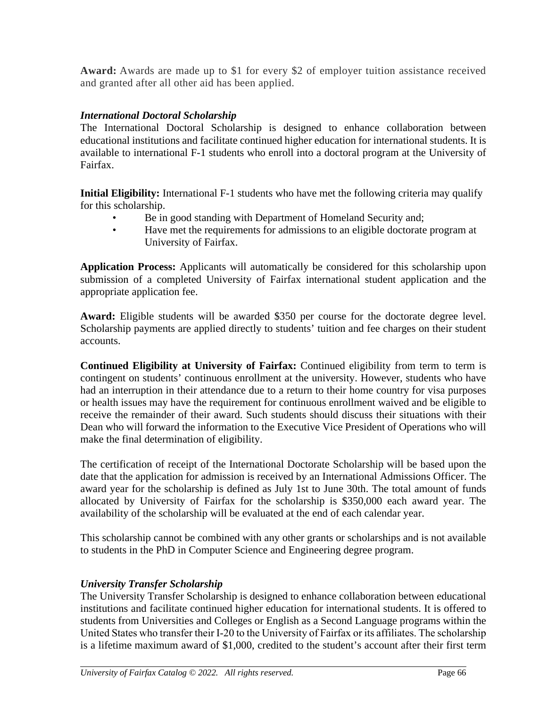**Award:** Awards are made up to \$1 for every \$2 of employer tuition assistance received and granted after all other aid has been applied.

### *International Doctoral Scholarship*

The International Doctoral Scholarship is designed to enhance collaboration between educational institutions and facilitate continued higher education for international students. It is available to international F-1 students who enroll into a doctoral program at the University of Fairfax.

**Initial Eligibility:** International F-1 students who have met the following criteria may qualify for this scholarship.

- Be in good standing with Department of Homeland Security and;
- Have met the requirements for admissions to an eligible doctorate program at University of Fairfax.

**Application Process:** Applicants will automatically be considered for this scholarship upon submission of a completed University of Fairfax international student application and the appropriate application fee.

**Award:** Eligible students will be awarded \$350 per course for the doctorate degree level. Scholarship payments are applied directly to students' tuition and fee charges on their student accounts.

**Continued Eligibility at University of Fairfax:** Continued eligibility from term to term is contingent on students' continuous enrollment at the university. However, students who have had an interruption in their attendance due to a return to their home country for visa purposes or health issues may have the requirement for continuous enrollment waived and be eligible to receive the remainder of their award. Such students should discuss their situations with their Dean who will forward the information to the Executive Vice President of Operations who will make the final determination of eligibility.

The certification of receipt of the International Doctorate Scholarship will be based upon the date that the application for admission is received by an International Admissions Officer. The award year for the scholarship is defined as July 1st to June 30th. The total amount of funds allocated by University of Fairfax for the scholarship is \$350,000 each award year. The availability of the scholarship will be evaluated at the end of each calendar year.

This scholarship cannot be combined with any other grants or scholarships and is not available to students in the PhD in Computer Science and Engineering degree program.

### *University Transfer Scholarship*

The University Transfer Scholarship is designed to enhance collaboration between educational institutions and facilitate continued higher education for international students. It is offered to students from Universities and Colleges or English as a Second Language programs within the United States who transfer their I‐20 to the University of Fairfax or its affiliates. The scholarship is a lifetime maximum award of \$1,000, credited to the student's account after their first term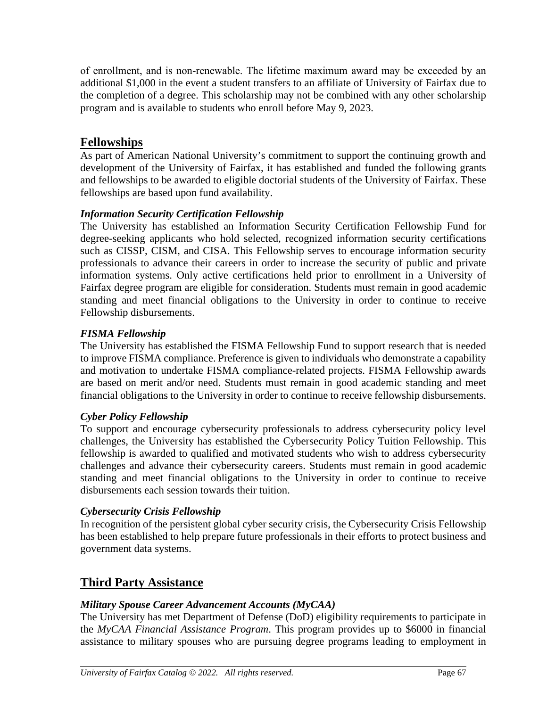of enrollment, and is non‐renewable. The lifetime maximum award may be exceeded by an additional \$1,000 in the event a student transfers to an affiliate of University of Fairfax due to the completion of a degree. This scholarship may not be combined with any other scholarship program and is available to students who enroll before May 9, 2023.

# **Fellowships**

As part of American National University's commitment to support the continuing growth and development of the University of Fairfax, it has established and funded the following grants and fellowships to be awarded to eligible doctorial students of the University of Fairfax. These fellowships are based upon fund availability.

### *Information Security Certification Fellowship*

The University has established an Information Security Certification Fellowship Fund for degree-seeking applicants who hold selected, recognized information security certifications such as CISSP, CISM, and CISA. This Fellowship serves to encourage information security professionals to advance their careers in order to increase the security of public and private information systems. Only active certifications held prior to enrollment in a University of Fairfax degree program are eligible for consideration. Students must remain in good academic standing and meet financial obligations to the University in order to continue to receive Fellowship disbursements.

### *FISMA Fellowship*

The University has established the FISMA Fellowship Fund to support research that is needed to improve FISMA compliance. Preference is given to individuals who demonstrate a capability and motivation to undertake FISMA compliance-related projects. FISMA Fellowship awards are based on merit and/or need. Students must remain in good academic standing and meet financial obligations to the University in order to continue to receive fellowship disbursements.

### *Cyber Policy Fellowship*

To support and encourage cybersecurity professionals to address cybersecurity policy level challenges, the University has established the Cybersecurity Policy Tuition Fellowship. This fellowship is awarded to qualified and motivated students who wish to address cybersecurity challenges and advance their cybersecurity careers. Students must remain in good academic standing and meet financial obligations to the University in order to continue to receive disbursements each session towards their tuition.

### *Cybersecurity Crisis Fellowship*

In recognition of the persistent global cyber security crisis, the Cybersecurity Crisis Fellowship has been established to help prepare future professionals in their efforts to protect business and government data systems.

### **Third Party Assistance**

### *Military Spouse Career Advancement Accounts (MyCAA)*

The University has met Department of Defense (DoD) eligibility requirements to participate in the *MyCAA Financial Assistance Program*. This program provides up to \$6000 in financial assistance to military spouses who are pursuing degree programs leading to employment in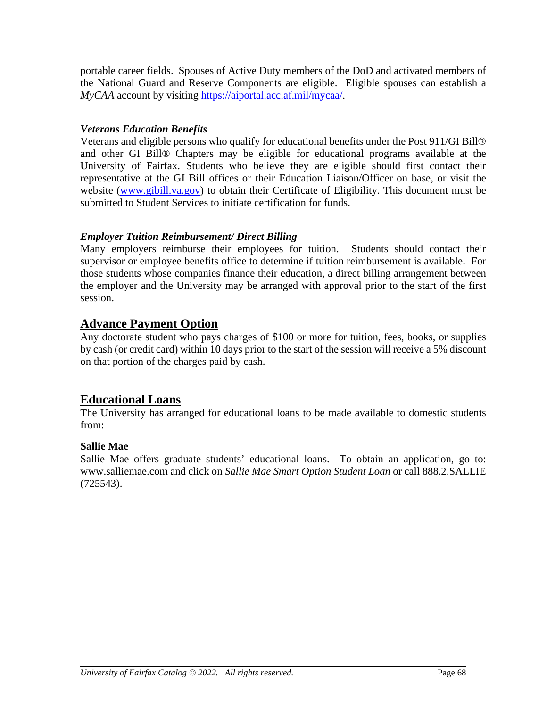portable career fields. Spouses of Active Duty members of the DoD and activated members of the National Guard and Reserve Components are eligible. Eligible spouses can establish a *MyCAA* account by visiting [https://aiportal.acc.af.mil/mycaa/.](https://aiportal.acc.af.mil/mycaa/)

### *Veterans Education Benefits*

Veterans and eligible persons who qualify for educational benefits under the Post 911/GI Bill® and other GI Bill® Chapters may be eligible for educational programs available at the University of Fairfax. Students who believe they are eligible should first contact their representative at the GI Bill offices or their Education Liaison/Officer on base, or visit the website [\(www.gibill.va.gov\)](http://www.gibill.va.gov/) to obtain their Certificate of Eligibility. This document must be submitted to Student Services to initiate certification for funds.

### *Employer Tuition Reimbursement/ Direct Billing*

Many employers reimburse their employees for tuition. Students should contact their supervisor or employee benefits office to determine if tuition reimbursement is available. For those students whose companies finance their education, a direct billing arrangement between the employer and the University may be arranged with approval prior to the start of the first session.

## **Advance Payment Option**

Any doctorate student who pays charges of \$100 or more for tuition, fees, books, or supplies by cash (or credit card) within 10 days prior to the start of the session will receive a 5% discount on that portion of the charges paid by cash.

# **Educational Loans**

The University has arranged for educational loans to be made available to domestic students from:

### **Sallie Mae**

Sallie Mae offers graduate students' educational loans. To obtain an application, go to: www.salliemae.com and click on *Sallie Mae Smart Option Student Loan* or call 888.2.SALLIE (725543).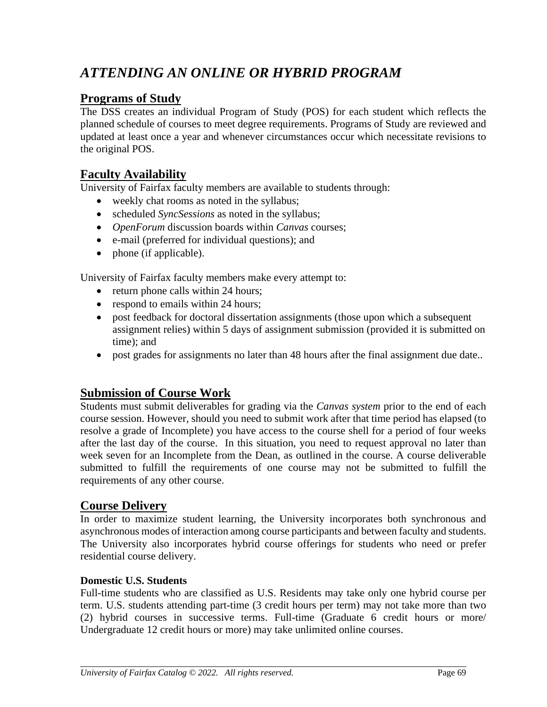# *ATTENDING AN ONLINE OR HYBRID PROGRAM*

# **Programs of Study**

The DSS creates an individual Program of Study (POS) for each student which reflects the planned schedule of courses to meet degree requirements. Programs of Study are reviewed and updated at least once a year and whenever circumstances occur which necessitate revisions to the original POS.

# **Faculty Availability**

University of Fairfax faculty members are available to students through:

- weekly chat rooms as noted in the syllabus;
- scheduled *SyncSessions* as noted in the syllabus;
- *OpenForum* discussion boards within *Canvas* courses;
- e-mail (preferred for individual questions); and
- phone (if applicable).

University of Fairfax faculty members make every attempt to:

- return phone calls within 24 hours;
- respond to emails within 24 hours;
- post feedback for doctoral dissertation assignments (those upon which a subsequent assignment relies) within 5 days of assignment submission (provided it is submitted on time); and
- post grades for assignments no later than 48 hours after the final assignment due date..

# **Submission of Course Work**

Students must submit deliverables for grading via the *Canvas system* prior to the end of each course session. However, should you need to submit work after that time period has elapsed (to resolve a grade of Incomplete) you have access to the course shell for a period of four weeks after the last day of the course. In this situation, you need to request approval no later than week seven for an Incomplete from the Dean, as outlined in the course. A course deliverable submitted to fulfill the requirements of one course may not be submitted to fulfill the requirements of any other course.

# **Course Delivery**

In order to maximize student learning, the University incorporates both synchronous and asynchronous modes of interaction among course participants and between faculty and students. The University also incorporates hybrid course offerings for students who need or prefer residential course delivery.

### **Domestic U.S. Students**

Full-time students who are classified as U.S. Residents may take only one hybrid course per term. U.S. students attending part-time (3 credit hours per term) may not take more than two (2) hybrid courses in successive terms. Full-time (Graduate 6 credit hours or more/ Undergraduate 12 credit hours or more) may take unlimited online courses.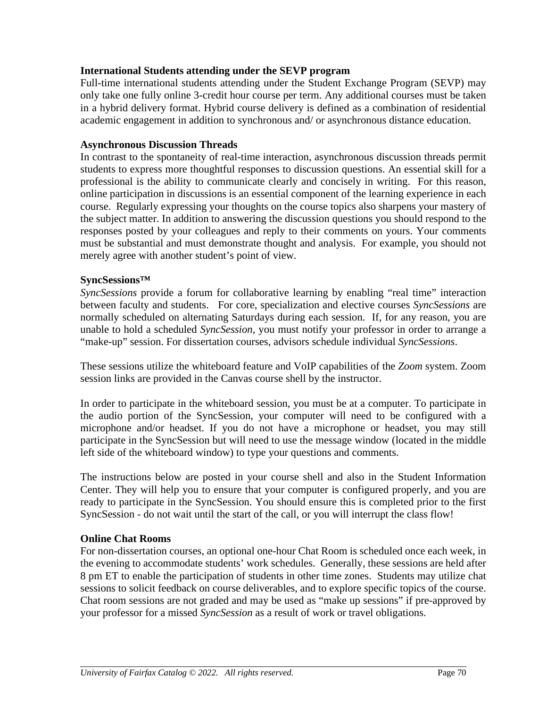### **International Students attending under the SEVP program**

Full-time international students attending under the Student Exchange Program (SEVP) may only take one fully online 3-credit hour course per term. Any additional courses must be taken in a hybrid delivery format. Hybrid course delivery is defined as a combination of residential academic engagement in addition to synchronous and/ or asynchronous distance education.

### **Asynchronous Discussion Threads**

In contrast to the spontaneity of real-time interaction, asynchronous discussion threads permit students to express more thoughtful responses to discussion questions. An essential skill for a professional is the ability to communicate clearly and concisely in writing. For this reason, online participation in discussions is an essential component of the learning experience in each course. Regularly expressing your thoughts on the course topics also sharpens your mastery of the subject matter. In addition to answering the discussion questions you should respond to the responses posted by your colleagues and reply to their comments on yours. Your comments must be substantial and must demonstrate thought and analysis. For example, you should not merely agree with another student's point of view.

### **SyncSessions™**

*SyncSessions* provide a forum for collaborative learning by enabling "real time" interaction between faculty and students. For core, specialization and elective courses *SyncSessions* are normally scheduled on alternating Saturdays during each session. If, for any reason, you are unable to hold a scheduled *SyncSession*, you must notify your professor in order to arrange a "make-up" session. For dissertation courses, advisors schedule individual *SyncSessions*.

These sessions utilize the whiteboard feature and VoIP capabilities of the *Zoom* system. Zoom session links are provided in the Canvas course shell by the instructor.

In order to participate in the whiteboard session, you must be at a computer. To participate in the audio portion of the SyncSession, your computer will need to be configured with a microphone and/or headset. If you do not have a microphone or headset, you may still participate in the SyncSession but will need to use the message window (located in the middle left side of the whiteboard window) to type your questions and comments.

The instructions below are posted in your course shell and also in the Student Information Center. They will help you to ensure that your computer is configured properly, and you are ready to participate in the SyncSession. You should ensure this is completed prior to the first SyncSession - do not wait until the start of the call, or you will interrupt the class flow!

### **Online Chat Rooms**

For non-dissertation courses, an optional one-hour Chat Room is scheduled once each week, in the evening to accommodate students' work schedules. Generally, these sessions are held after 8 pm ET to enable the participation of students in other time zones. Students may utilize chat sessions to solicit feedback on course deliverables, and to explore specific topics of the course. Chat room sessions are not graded and may be used as "make up sessions" if pre-approved by your professor for a missed *SyncSession* as a result of work or travel obligations.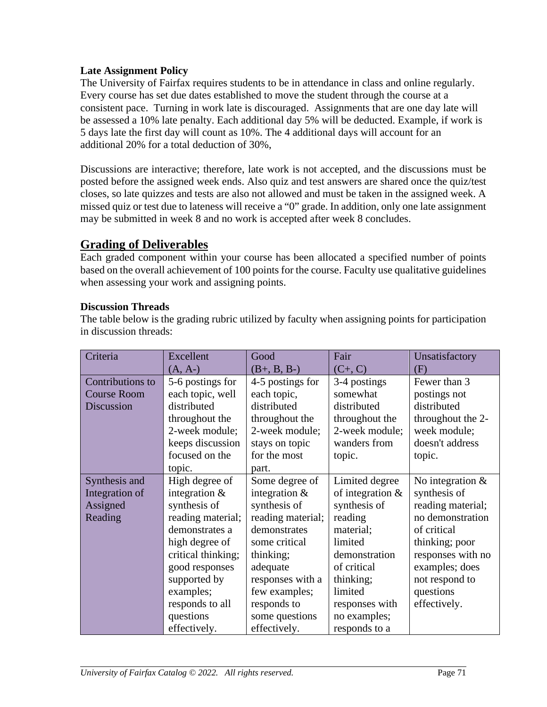### **Late Assignment Policy**

The University of Fairfax requires students to be in attendance in class and online regularly. Every course has set due dates established to move the student through the course at a consistent pace. Turning in work late is discouraged. Assignments that are one day late will be assessed a 10% late penalty. Each additional day 5% will be deducted. Example, if work is 5 days late the first day will count as 10%. The 4 additional days will account for an additional 20% for a total deduction of 30%,

Discussions are interactive; therefore, late work is not accepted, and the discussions must be posted before the assigned week ends. Also quiz and test answers are shared once the quiz/test closes, so late quizzes and tests are also not allowed and must be taken in the assigned week. A missed quiz or test due to lateness will receive a "0" grade. In addition, only one late assignment may be submitted in week 8 and no work is accepted after week 8 concludes.

# **Grading of Deliverables**

Each graded component within your course has been allocated a specified number of points based on the overall achievement of 100 points for the course. Faculty use qualitative guidelines when assessing your work and assigning points.

### **Discussion Threads**

The table below is the grading rubric utilized by faculty when assigning points for participation in discussion threads:

| Criteria           | Excellent          | Good              | Fair                | Unsatisfactory     |
|--------------------|--------------------|-------------------|---------------------|--------------------|
|                    | $(A, A-)$          | $(B+, B, B-)$     | $(C+, C)$           | (F)                |
| Contributions to   | 5-6 postings for   | 4-5 postings for  | 3-4 postings        | Fewer than 3       |
| <b>Course Room</b> | each topic, well   | each topic,       | somewhat            | postings not       |
| Discussion         | distributed        | distributed       | distributed         | distributed        |
|                    | throughout the     | throughout the    | throughout the      | throughout the 2-  |
|                    | 2-week module;     | 2-week module;    | 2-week module;      | week module;       |
|                    | keeps discussion   | stays on topic    | wanders from        | doesn't address    |
|                    | focused on the     | for the most      | topic.              | topic.             |
|                    | topic.             | part.             |                     |                    |
| Synthesis and      | High degree of     | Some degree of    | Limited degree      | No integration $&$ |
| Integration of     | integration $\&$   | integration $\&$  | of integration $\&$ | synthesis of       |
| Assigned           | synthesis of       | synthesis of      | synthesis of        | reading material;  |
| Reading            | reading material;  | reading material; | reading             | no demonstration   |
|                    | demonstrates a     | demonstrates      | material;           | of critical        |
|                    | high degree of     | some critical     | limited             | thinking; poor     |
|                    | critical thinking; | thinking;         | demonstration       | responses with no  |
|                    | good responses     | adequate          | of critical         | examples; does     |
|                    | supported by       | responses with a  | thinking;           | not respond to     |
|                    | examples;          | few examples;     | limited             | questions          |
|                    | responds to all    | responds to       | responses with      | effectively.       |
|                    | questions          | some questions    | no examples;        |                    |
|                    | effectively.       | effectively.      | responds to a       |                    |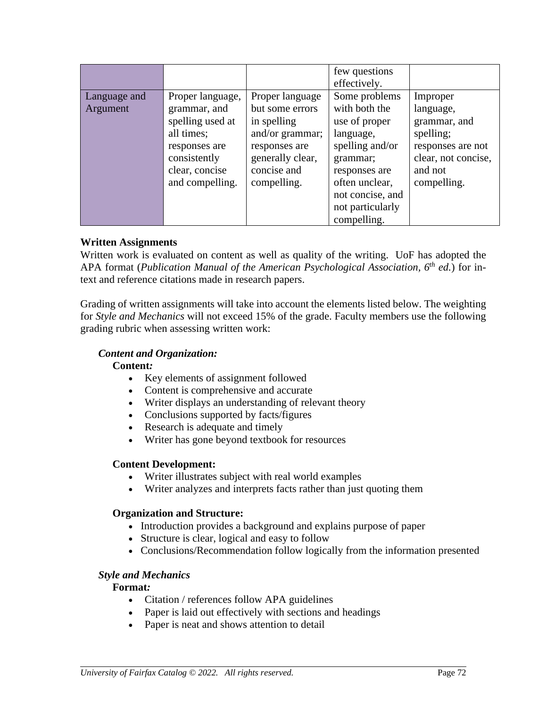|              |                                  |                                | few questions<br>effectively.  |                           |
|--------------|----------------------------------|--------------------------------|--------------------------------|---------------------------|
| Language and | Proper language,                 | Proper language                | Some problems                  | Improper                  |
| Argument     | grammar, and<br>spelling used at | but some errors<br>in spelling | with both the<br>use of proper | language,<br>grammar, and |
|              | all times;                       | and/or grammar;                | language,                      | spelling;                 |
|              | responses are                    | responses are                  | spelling and/or                | responses are not         |
|              | consistently                     | generally clear,               | grammar;                       | clear, not concise,       |
|              | clear, concise                   | concise and                    | responses are                  | and not                   |
|              | and compelling.                  | compelling.                    | often unclear,                 | compelling.               |
|              |                                  |                                | not concise, and               |                           |
|              |                                  |                                | not particularly               |                           |
|              |                                  |                                | compelling.                    |                           |

### **Written Assignments**

Written work is evaluated on content as well as quality of the writing. UoF has adopted the APA format (*Publication Manual of the American Psychological Association, 6th ed.*) for intext and reference citations made in research papers.

Grading of written assignments will take into account the elements listed below. The weighting for *Style and Mechanics* will not exceed 15% of the grade. Faculty members use the following grading rubric when assessing written work:

### *Content and Organization:*

### **Content***:*

- Key elements of assignment followed
- Content is comprehensive and accurate
- Writer displays an understanding of relevant theory
- Conclusions supported by facts/figures
- Research is adequate and timely
- Writer has gone beyond textbook for resources

### **Content Development:**

- Writer illustrates subject with real world examples
- Writer analyzes and interprets facts rather than just quoting them

### **Organization and Structure:**

- Introduction provides a background and explains purpose of paper
- Structure is clear, logical and easy to follow
- Conclusions/Recommendation follow logically from the information presented

### *Style and Mechanics*

### **Format***:*

- Citation / references follow APA guidelines
- Paper is laid out effectively with sections and headings
- Paper is neat and shows attention to detail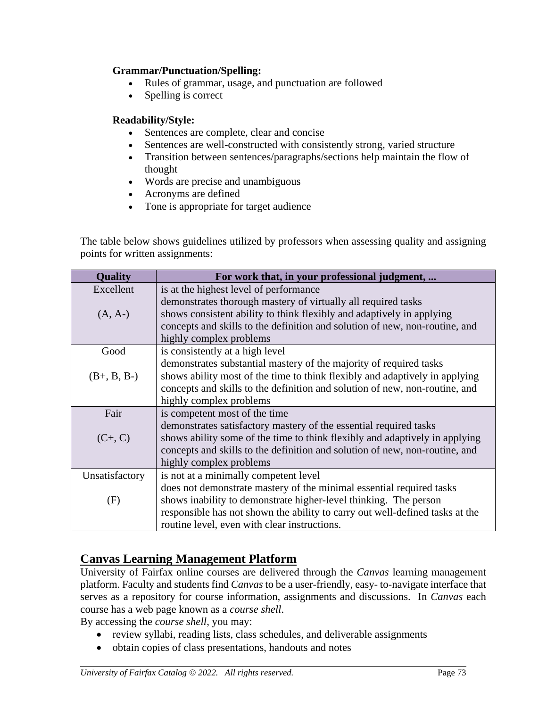### **Grammar/Punctuation/Spelling:**

- Rules of grammar, usage, and punctuation are followed
- Spelling is correct

### **Readability/Style:**

- Sentences are complete, clear and concise
- Sentences are well-constructed with consistently strong, varied structure
- Transition between sentences/paragraphs/sections help maintain the flow of thought
- Words are precise and unambiguous
- Acronyms are defined
- Tone is appropriate for target audience

The table below shows guidelines utilized by professors when assessing quality and assigning points for written assignments:

| <b>Quality</b> | For work that, in your professional judgment,                                |
|----------------|------------------------------------------------------------------------------|
| Excellent      | is at the highest level of performance                                       |
|                | demonstrates thorough mastery of virtually all required tasks                |
| $(A, A-)$      | shows consistent ability to think flexibly and adaptively in applying        |
|                | concepts and skills to the definition and solution of new, non-routine, and  |
|                | highly complex problems                                                      |
| Good           | is consistently at a high level                                              |
|                | demonstrates substantial mastery of the majority of required tasks           |
| $(B+, B, B-)$  | shows ability most of the time to think flexibly and adaptively in applying  |
|                | concepts and skills to the definition and solution of new, non-routine, and  |
|                | highly complex problems                                                      |
| Fair           | is competent most of the time                                                |
|                | demonstrates satisfactory mastery of the essential required tasks            |
| $(C+, C)$      | shows ability some of the time to think flexibly and adaptively in applying  |
|                | concepts and skills to the definition and solution of new, non-routine, and  |
|                | highly complex problems                                                      |
| Unsatisfactory | is not at a minimally competent level                                        |
|                | does not demonstrate mastery of the minimal essential required tasks         |
| (F)            | shows inability to demonstrate higher-level thinking. The person             |
|                | responsible has not shown the ability to carry out well-defined tasks at the |
|                | routine level, even with clear instructions.                                 |

# **Canvas Learning Management Platform**

University of Fairfax online courses are delivered through the *Canvas* learning management platform. Faculty and students find *Canvas* to be a user-friendly, easy- to-navigate interface that serves as a repository for course information, assignments and discussions. In *Canvas* each course has a web page known as a *course shell*.

By accessing the *course shell*, you may:

- review syllabi, reading lists, class schedules, and deliverable assignments
- obtain copies of class presentations, handouts and notes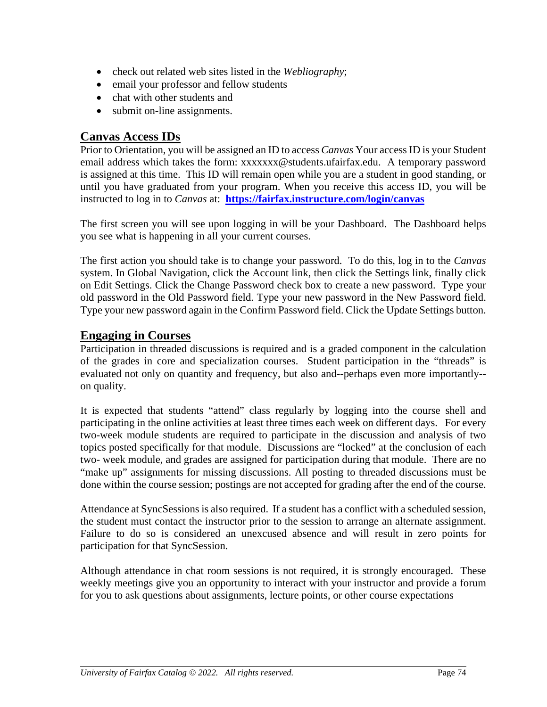- check out related web sites listed in the *Webliography*;
- email your professor and fellow students
- chat with other students and
- submit on-line assignments.

# **Canvas Access IDs**

Prior to Orientation, you will be assigned an ID to access *Canvas* Your access ID is your Student email address which takes the form: xxxxxxx@students.ufairfax.edu. A temporary password is assigned at this time. This ID will remain open while you are a student in good standing, or until you have graduated from your program. When you receive this access ID, you will be instructed to log in to *Canvas* at: **<https://fairfax.instructure.com/login/canvas>**

The first screen you will see upon logging in will be your Dashboard. The Dashboard helps you see what is happening in all your current courses.

The first action you should take is to change your password. To do this, log in to the *Canvas* system. In Global Navigation, click the Account link, then click the Settings link, finally click on Edit Settings. Click the Change Password check box to create a new password. Type your old password in the Old Password field. Type your new password in the New Password field. Type your new password again in the Confirm Password field. Click the Update Settings button.

# **Engaging in Courses**

Participation in threaded discussions is required and is a graded component in the calculation of the grades in core and specialization courses. Student participation in the "threads" is evaluated not only on quantity and frequency, but also and--perhaps even more importantly- on quality.

It is expected that students "attend" class regularly by logging into the course shell and participating in the online activities at least three times each week on different days. For every two-week module students are required to participate in the discussion and analysis of two topics posted specifically for that module. Discussions are "locked" at the conclusion of each two- week module, and grades are assigned for participation during that module. There are no "make up" assignments for missing discussions. All posting to threaded discussions must be done within the course session; postings are not accepted for grading after the end of the course.

Attendance at SyncSessions is also required. If a student has a conflict with a scheduled session, the student must contact the instructor prior to the session to arrange an alternate assignment. Failure to do so is considered an unexcused absence and will result in zero points for participation for that SyncSession.

Although attendance in chat room sessions is not required, it is strongly encouraged. These weekly meetings give you an opportunity to interact with your instructor and provide a forum for you to ask questions about assignments, lecture points, or other course expectations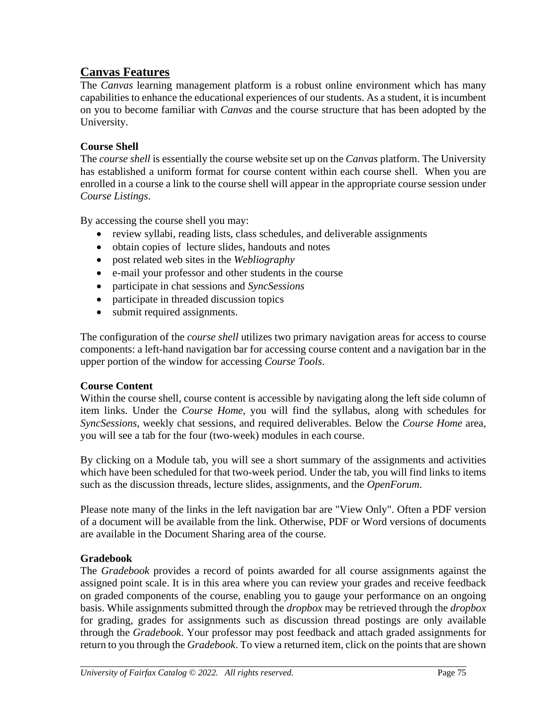# **Canvas Features**

The *Canvas* learning management platform is a robust online environment which has many capabilities to enhance the educational experiences of our students. As a student, it is incumbent on you to become familiar with *Canvas* and the course structure that has been adopted by the University.

### **Course Shell**

The *course shell* is essentially the course website set up on the *Canvas* platform. The University has established a uniform format for course content within each course shell. When you are enrolled in a course a link to the course shell will appear in the appropriate course session under *Course Listings*.

By accessing the course shell you may:

- review syllabi, reading lists, class schedules, and deliverable assignments
- obtain copies of lecture slides, handouts and notes
- post related web sites in the *Webliography*
- e-mail your professor and other students in the course
- participate in chat sessions and *SyncSessions*
- participate in threaded discussion topics
- submit required assignments.

The configuration of the *course shell* utilizes two primary navigation areas for access to course components: a left-hand navigation bar for accessing course content and a navigation bar in the upper portion of the window for accessing *Course Tools*.

### **Course Content**

Within the course shell, course content is accessible by navigating along the left side column of item links. Under the *Course Home*, you will find the syllabus, along with schedules for *SyncSessions*, weekly chat sessions, and required deliverables. Below the *Course Home* area, you will see a tab for the four (two-week) modules in each course.

By clicking on a Module tab, you will see a short summary of the assignments and activities which have been scheduled for that two-week period. Under the tab, you will find links to items such as the discussion threads, lecture slides, assignments, and the *OpenForum*.

Please note many of the links in the left navigation bar are "View Only". Often a PDF version of a document will be available from the link. Otherwise, PDF or Word versions of documents are available in the Document Sharing area of the course.

### **Gradebook**

The *Gradebook* provides a record of points awarded for all course assignments against the assigned point scale. It is in this area where you can review your grades and receive feedback on graded components of the course, enabling you to gauge your performance on an ongoing basis. While assignments submitted through the *dropbox* may be retrieved through the *dropbox* for grading, grades for assignments such as discussion thread postings are only available through the *Gradebook*. Your professor may post feedback and attach graded assignments for return to you through the *Gradebook*. To view a returned item, click on the points that are shown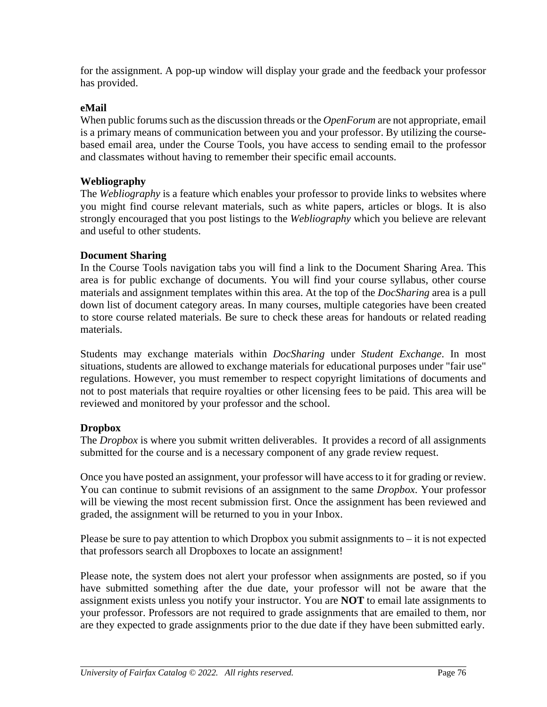for the assignment. A pop-up window will display your grade and the feedback your professor has provided.

### **eMail**

When public forums such as the discussion threads or the *OpenForum* are not appropriate, email is a primary means of communication between you and your professor. By utilizing the coursebased email area, under the Course Tools, you have access to sending email to the professor and classmates without having to remember their specific email accounts.

### **Webliography**

The *Webliography* is a feature which enables your professor to provide links to websites where you might find course relevant materials, such as white papers, articles or blogs. It is also strongly encouraged that you post listings to the *Webliography* which you believe are relevant and useful to other students.

### **Document Sharing**

In the Course Tools navigation tabs you will find a link to the Document Sharing Area. This area is for public exchange of documents. You will find your course syllabus, other course materials and assignment templates within this area. At the top of the *DocSharing* area is a pull down list of document category areas. In many courses, multiple categories have been created to store course related materials. Be sure to check these areas for handouts or related reading materials.

Students may exchange materials within *DocSharing* under *Student Exchange*. In most situations, students are allowed to exchange materials for educational purposes under "fair use" regulations. However, you must remember to respect copyright limitations of documents and not to post materials that require royalties or other licensing fees to be paid. This area will be reviewed and monitored by your professor and the school.

### **Dropbox**

The *Dropbox* is where you submit written deliverables. It provides a record of all assignments submitted for the course and is a necessary component of any grade review request.

Once you have posted an assignment, your professor will have access to it for grading or review. You can continue to submit revisions of an assignment to the same *Dropbox*. Your professor will be viewing the most recent submission first. Once the assignment has been reviewed and graded, the assignment will be returned to you in your Inbox.

Please be sure to pay attention to which Dropbox you submit assignments to  $-$  it is not expected that professors search all Dropboxes to locate an assignment!

Please note, the system does not alert your professor when assignments are posted, so if you have submitted something after the due date, your professor will not be aware that the assignment exists unless you notify your instructor. You are **NOT** to email late assignments to your professor. Professors are not required to grade assignments that are emailed to them, nor are they expected to grade assignments prior to the due date if they have been submitted early.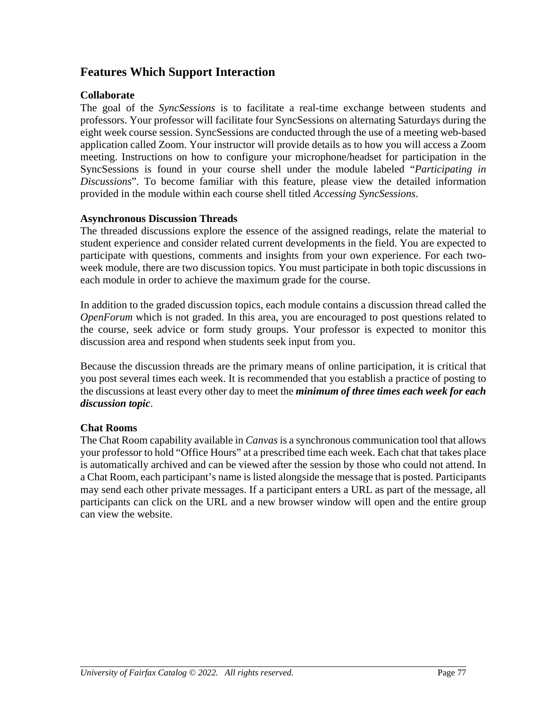# **Features Which Support Interaction**

### **Collaborate**

The goal of the *SyncSessions* is to facilitate a real-time exchange between students and professors. Your professor will facilitate four SyncSessions on alternating Saturdays during the eight week course session. SyncSessions are conducted through the use of a meeting web-based application called Zoom. Your instructor will provide details as to how you will access a Zoom meeting. Instructions on how to configure your microphone/headset for participation in the SyncSessions is found in your course shell under the module labeled "*Participating in Discussions*". To become familiar with this feature, please view the detailed information provided in the module within each course shell titled *Accessing SyncSessions*.

### **Asynchronous Discussion Threads**

The threaded discussions explore the essence of the assigned readings, relate the material to student experience and consider related current developments in the field. You are expected to participate with questions, comments and insights from your own experience. For each twoweek module, there are two discussion topics. You must participate in both topic discussions in each module in order to achieve the maximum grade for the course.

In addition to the graded discussion topics, each module contains a discussion thread called the *OpenForum* which is not graded. In this area, you are encouraged to post questions related to the course, seek advice or form study groups. Your professor is expected to monitor this discussion area and respond when students seek input from you.

Because the discussion threads are the primary means of online participation, it is critical that you post several times each week. It is recommended that you establish a practice of posting to the discussions at least every other day to meet the *minimum of three times each week for each discussion topic*.

### **Chat Rooms**

The Chat Room capability available in *Canvas* is a synchronous communication tool that allows your professor to hold "Office Hours" at a prescribed time each week. Each chat that takes place is automatically archived and can be viewed after the session by those who could not attend. In a Chat Room, each participant's name is listed alongside the message that is posted. Participants may send each other private messages. If a participant enters a URL as part of the message, all participants can click on the URL and a new browser window will open and the entire group can view the website.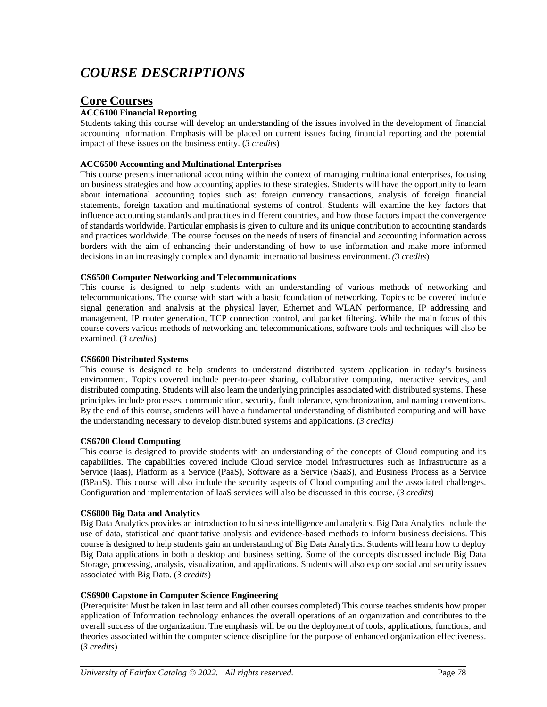# *COURSE DESCRIPTIONS*

## **Core Courses**

#### **ACC6100 Financial Reporting**

Students taking this course will develop an understanding of the issues involved in the development of financial accounting information. Emphasis will be placed on current issues facing financial reporting and the potential impact of these issues on the business entity. (*3 credits*)

#### **ACC6500 Accounting and Multinational Enterprises**

This course presents international accounting within the context of managing multinational enterprises, focusing on business strategies and how accounting applies to these strategies. Students will have the opportunity to learn about international accounting topics such as: foreign currency transactions, analysis of foreign financial statements, foreign taxation and multinational systems of control. Students will examine the key factors that influence accounting standards and practices in different countries, and how those factors impact the convergence of standards worldwide. Particular emphasis is given to culture and its unique contribution to accounting standards and practices worldwide. The course focuses on the needs of users of financial and accounting information across borders with the aim of enhancing their understanding of how to use information and make more informed decisions in an increasingly complex and dynamic international business environment. *(3 credits*)

#### **CS6500 Computer Networking and Telecommunications**

This course is designed to help students with an understanding of various methods of networking and telecommunications. The course with start with a basic foundation of networking. Topics to be covered include signal generation and analysis at the physical layer, Ethernet and WLAN performance, IP addressing and management, IP router generation, TCP connection control, and packet filtering. While the main focus of this course covers various methods of networking and telecommunications, software tools and techniques will also be examined. (*3 credits*)

#### **CS6600 Distributed Systems**

This course is designed to help students to understand distributed system application in today's business environment. Topics covered include peer-to-peer sharing, collaborative computing, interactive services, and distributed computing. Students will also learn the underlying principles associated with distributed systems. These principles include processes, communication, security, fault tolerance, synchronization, and naming conventions. By the end of this course, students will have a fundamental understanding of distributed computing and will have the understanding necessary to develop distributed systems and applications. (*3 credits)*

#### **CS6700 Cloud Computing**

This course is designed to provide students with an understanding of the concepts of Cloud computing and its capabilities. The capabilities covered include Cloud service model infrastructures such as Infrastructure as a Service (Iaas), Platform as a Service (PaaS), Software as a Service (SaaS), and Business Process as a Service (BPaaS). This course will also include the security aspects of Cloud computing and the associated challenges. Configuration and implementation of IaaS services will also be discussed in this course. (*3 credits*)

#### **CS6800 Big Data and Analytics**

Big Data Analytics provides an introduction to business intelligence and analytics. Big Data Analytics include the use of data, statistical and quantitative analysis and evidence-based methods to inform business decisions. This course is designed to help students gain an understanding of Big Data Analytics. Students will learn how to deploy Big Data applications in both a desktop and business setting. Some of the concepts discussed include Big Data Storage, processing, analysis, visualization, and applications. Students will also explore social and security issues associated with Big Data. (*3 credits*)

#### **CS6900 Capstone in Computer Science Engineering**

(Prerequisite: Must be taken in last term and all other courses completed) This course teaches students how proper application of Information technology enhances the overall operations of an organization and contributes to the overall success of the organization. The emphasis will be on the deployment of tools, applications, functions, and theories associated within the computer science discipline for the purpose of enhanced organization effectiveness. (*3 credits*)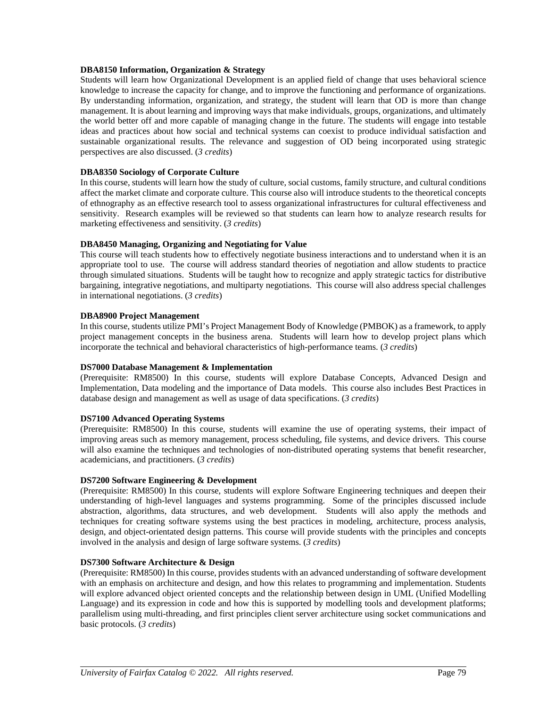#### **DBA8150 Information, Organization & Strategy**

Students will learn how Organizational Development is an applied field of change that uses behavioral science knowledge to increase the capacity for change, and to improve the functioning and performance of organizations. By understanding information, organization, and strategy, the student will learn that OD is more than change management. It is about learning and improving ways that make individuals, groups, organizations, and ultimately the world better off and more capable of managing change in the future. The students will engage into testable ideas and practices about how social and technical systems can coexist to produce individual satisfaction and sustainable organizational results. The relevance and suggestion of OD being incorporated using strategic perspectives are also discussed. (*3 credits*)

#### **DBA8350 Sociology of Corporate Culture**

In this course, students will learn how the study of culture, social customs, family structure, and cultural conditions affect the market climate and corporate culture. This course also will introduce students to the theoretical concepts of ethnography as an effective research tool to assess organizational infrastructures for cultural effectiveness and sensitivity. Research examples will be reviewed so that students can learn how to analyze research results for marketing effectiveness and sensitivity. (*3 credits*)

#### **DBA8450 Managing, Organizing and Negotiating for Value**

This course will teach students how to effectively negotiate business interactions and to understand when it is an appropriate tool to use. The course will address standard theories of negotiation and allow students to practice through simulated situations. Students will be taught how to recognize and apply strategic tactics for distributive bargaining, integrative negotiations, and multiparty negotiations. This course will also address special challenges in international negotiations. (*3 credits*)

#### **DBA8900 Project Management**

In this course, students utilize PMI's Project Management Body of Knowledge (PMBOK) as a framework, to apply project management concepts in the business arena. Students will learn how to develop project plans which incorporate the technical and behavioral characteristics of high-performance teams. (*3 credits*)

#### **DS7000 Database Management & Implementation**

(Prerequisite: RM8500) In this course, students will explore Database Concepts, Advanced Design and Implementation, Data modeling and the importance of Data models. This course also includes Best Practices in database design and management as well as usage of data specifications. (*3 credits*)

#### **DS7100 Advanced Operating Systems**

(Prerequisite: RM8500) In this course, students will examine the use of operating systems, their impact of improving areas such as memory management, process scheduling, file systems, and device drivers. This course will also examine the techniques and technologies of non-distributed operating systems that benefit researcher, academicians, and practitioners. (*3 credits*)

#### **DS7200 Software Engineering & Development**

(Prerequisite: RM8500) In this course, students will explore Software Engineering techniques and deepen their understanding of high-level languages and systems programming. Some of the principles discussed include abstraction, algorithms, data structures, and web development. Students will also apply the methods and techniques for creating software systems using the best practices in modeling, architecture, process analysis, design, and object-orientated design patterns. This course will provide students with the principles and concepts involved in the analysis and design of large software systems. (*3 credits*)

#### **DS7300 Software Architecture & Design**

(Prerequisite: RM8500) In this course, provides students with an advanced understanding of software development with an emphasis on architecture and design, and how this relates to programming and implementation. Students will explore advanced object oriented concepts and the relationship between design in UML (Unified Modelling Language) and its expression in code and how this is supported by modelling tools and development platforms; parallelism using multi-threading, and first principles client server architecture using socket communications and basic protocols. (*3 credits*)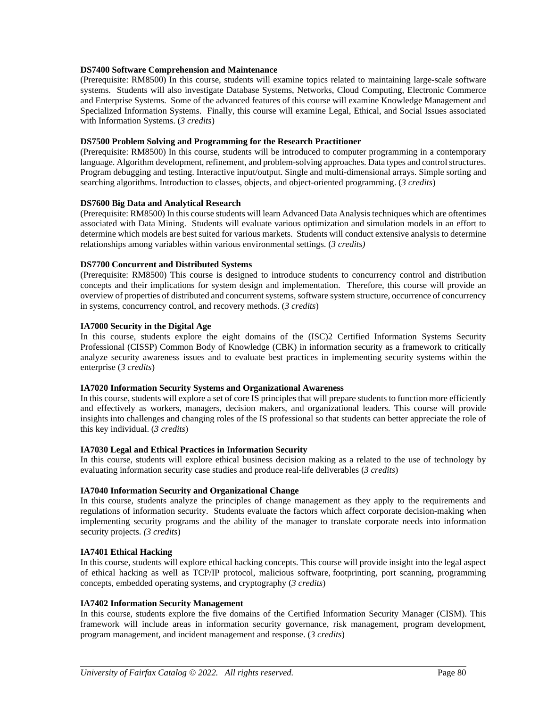#### **DS7400 Software Comprehension and Maintenance**

(Prerequisite: RM8500) In this course, students will examine topics related to maintaining large-scale software systems. Students will also investigate Database Systems, Networks, Cloud Computing, Electronic Commerce and Enterprise Systems. Some of the advanced features of this course will examine Knowledge Management and Specialized Information Systems. Finally, this course will examine Legal, Ethical, and Social Issues associated with Information Systems. (*3 credits*)

#### **DS7500 Problem Solving and Programming for the Research Practitioner**

(Prerequisite: RM8500) In this course, students will be introduced to computer programming in a contemporary language. Algorithm development, refinement, and problem-solving approaches. Data types and control structures. Program debugging and testing. Interactive input/output. Single and multi-dimensional arrays. Simple sorting and searching algorithms. Introduction to classes, objects, and object-oriented programming. (3 credits)

#### **DS7600 Big Data and Analytical Research**

(Prerequisite: RM8500) In this course students will learn Advanced Data Analysis techniques which are oftentimes associated with Data Mining. Students will evaluate various optimization and simulation models in an effort to determine which models are best suited for various markets. Students will conduct extensive analysis to determine relationships among variables within various environmental settings. (*3 credits)*

#### **DS7700 Concurrent and Distributed Systems**

(Prerequisite: RM8500) This course is designed to introduce students to concurrency control and distribution concepts and their implications for system design and implementation. Therefore, this course will provide an overview of properties of distributed and concurrent systems, software system structure, occurrence of concurrency in systems, concurrency control, and recovery methods. (*3 credits*)

#### **IA7000 Security in the Digital Age**

In this course, students explore the eight domains of the (ISC)2 Certified Information Systems Security Professional (CISSP) Common Body of Knowledge (CBK) in information security as a framework to critically analyze security awareness issues and to evaluate best practices in implementing security systems within the enterprise (*3 credits*)

#### **IA7020 Information Security Systems and Organizational Awareness**

In this course, students will explore a set of core IS principles that will prepare students to function more efficiently and effectively as workers, managers, decision makers, and organizational leaders. This course will provide insights into challenges and changing roles of the IS professional so that students can better appreciate the role of this key individual. (*3 credits*)

#### **IA7030 Legal and Ethical Practices in Information Security**

In this course, students will explore ethical business decision making as a related to the use of technology by evaluating information security case studies and produce real-life deliverables (*3 credits*)

#### **IA7040 Information Security and Organizational Change**

In this course, students analyze the principles of change management as they apply to the requirements and regulations of information security. Students evaluate the factors which affect corporate decision-making when implementing security programs and the ability of the manager to translate corporate needs into information security projects. *(3 credits*)

#### **IA7401 Ethical Hacking**

In this course, students will explore ethical hacking concepts. This course will provide insight into the legal aspect of ethical hacking as well as TCP/IP protocol, malicious software, footprinting, port scanning, programming concepts, embedded operating systems, and cryptography (*3 credits*)

#### **IA7402 Information Security Management**

In this course, students explore the five domains of the Certified Information Security Manager (CISM). This framework will include areas in information security governance, risk management, program development, program management, and incident management and response. (*3 credits*)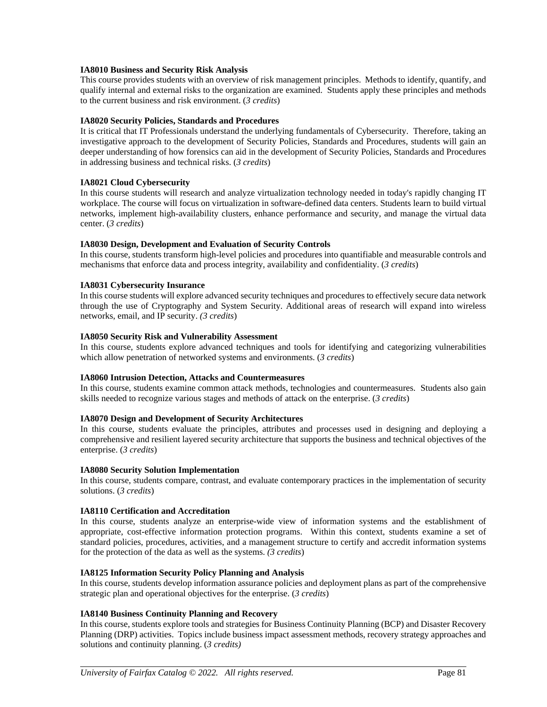#### **IA8010 Business and Security Risk Analysis**

This course provides students with an overview of risk management principles. Methods to identify, quantify, and qualify internal and external risks to the organization are examined. Students apply these principles and methods to the current business and risk environment. (*3 credits*)

#### **IA8020 Security Policies, Standards and Procedures**

It is critical that IT Professionals understand the underlying fundamentals of Cybersecurity. Therefore, taking an investigative approach to the development of Security Policies, Standards and Procedures, students will gain an deeper understanding of how forensics can aid in the development of Security Policies, Standards and Procedures in addressing business and technical risks. (*3 credits*)

#### **IA8021 Cloud Cybersecurity**

In this course students will research and analyze virtualization technology needed in today's rapidly changing IT workplace. The course will focus on virtualization in software-defined data centers. Students learn to build virtual networks, implement high-availability clusters, enhance performance and security, and manage the virtual data center. (*3 credits*)

#### **IA8030 Design, Development and Evaluation of Security Controls**

In this course, students transform high-level policies and procedures into quantifiable and measurable controls and mechanisms that enforce data and process integrity, availability and confidentiality. (*3 credits*)

#### **IA8031 Cybersecurity Insurance**

In this course students will explore advanced security techniques and procedures to effectively secure data network through the use of Cryptography and System Security. Additional areas of research will expand into wireless networks, email, and IP security. *(3 credits*)

#### **IA8050 Security Risk and Vulnerability Assessment**

In this course, students explore advanced techniques and tools for identifying and categorizing vulnerabilities which allow penetration of networked systems and environments. (*3 credits*)

#### **IA8060 Intrusion Detection, Attacks and Countermeasures**

In this course, students examine common attack methods, technologies and countermeasures. Students also gain skills needed to recognize various stages and methods of attack on the enterprise. (*3 credits*)

#### **IA8070 Design and Development of Security Architectures**

In this course, students evaluate the principles, attributes and processes used in designing and deploying a comprehensive and resilient layered security architecture that supports the business and technical objectives of the enterprise. (*3 credits*)

#### **IA8080 Security Solution Implementation**

In this course, students compare, contrast, and evaluate contemporary practices in the implementation of security solutions. (*3 credits*)

#### **IA8110 Certification and Accreditation**

In this course, students analyze an enterprise-wide view of information systems and the establishment of appropriate, cost-effective information protection programs. Within this context, students examine a set of standard policies, procedures, activities, and a management structure to certify and accredit information systems for the protection of the data as well as the systems. *(3 credits*)

#### **IA8125 Information Security Policy Planning and Analysis**

In this course, students develop information assurance policies and deployment plans as part of the comprehensive strategic plan and operational objectives for the enterprise. (*3 credits*)

#### **IA8140 Business Continuity Planning and Recovery**

In this course, students explore tools and strategies for Business Continuity Planning (BCP) and Disaster Recovery Planning (DRP) activities. Topics include business impact assessment methods, recovery strategy approaches and solutions and continuity planning. (*3 credits)*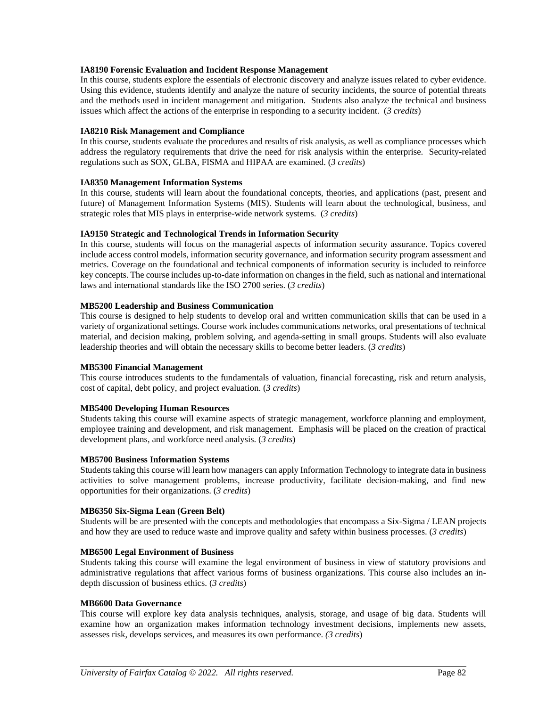#### **IA8190 Forensic Evaluation and Incident Response Management**

In this course, students explore the essentials of electronic discovery and analyze issues related to cyber evidence. Using this evidence, students identify and analyze the nature of security incidents, the source of potential threats and the methods used in incident management and mitigation. Students also analyze the technical and business issues which affect the actions of the enterprise in responding to a security incident. (*3 credits*)

#### **IA8210 Risk Management and Compliance**

In this course, students evaluate the procedures and results of risk analysis, as well as compliance processes which address the regulatory requirements that drive the need for risk analysis within the enterprise. Security-related regulations such as SOX, GLBA, FISMA and HIPAA are examined. (*3 credits*)

#### **IA8350 Management Information Systems**

In this course, students will learn about the foundational concepts, theories, and applications (past, present and future) of Management Information Systems (MIS). Students will learn about the technological, business, and strategic roles that MIS plays in enterprise-wide network systems. (*3 credits*)

#### **IA9150 Strategic and Technological Trends in Information Security**

In this course, students will focus on the managerial aspects of information security assurance. Topics covered include access control models, information security governance, and information security program assessment and metrics. Coverage on the foundational and technical components of information security is included to reinforce key concepts. The course includes up-to-date information on changes in the field, such as national and international laws and international standards like the ISO 2700 series. (*3 credits*)

#### **MB5200 Leadership and Business Communication**

This course is designed to help students to develop oral and written communication skills that can be used in a variety of organizational settings. Course work includes communications networks, oral presentations of technical material, and decision making, problem solving, and agenda-setting in small groups. Students will also evaluate leadership theories and will obtain the necessary skills to become better leaders. (*3 credits*)

#### **MB5300 Financial Management**

This course introduces students to the fundamentals of valuation, financial forecasting, risk and return analysis, cost of capital, debt policy, and project evaluation. (*3 credits*)

#### **MB5400 Developing Human Resources**

Students taking this course will examine aspects of strategic management, workforce planning and employment, employee training and development, and risk management. Emphasis will be placed on the creation of practical development plans, and workforce need analysis. (*3 credits*)

#### **MB5700 Business Information Systems**

Students taking this course will learn how managers can apply Information Technology to integrate data in business activities to solve management problems, increase productivity, facilitate decision-making, and find new opportunities for their organizations. (*3 credits*)

#### **MB6350 Six-Sigma Lean (Green Belt)**

Students will be are presented with the concepts and methodologies that encompass a Six-Sigma / LEAN projects and how they are used to reduce waste and improve quality and safety within business processes. (*3 credits*)

#### **MB6500 Legal Environment of Business**

Students taking this course will examine the legal environment of business in view of statutory provisions and administrative regulations that affect various forms of business organizations. This course also includes an indepth discussion of business ethics. (*3 credits*)

#### **MB6600 Data Governance**

This course will explore key data analysis techniques, analysis, storage, and usage of big data. Students will examine how an organization makes information technology investment decisions, implements new assets, assesses risk, develops services, and measures its own performance. *(3 credits*)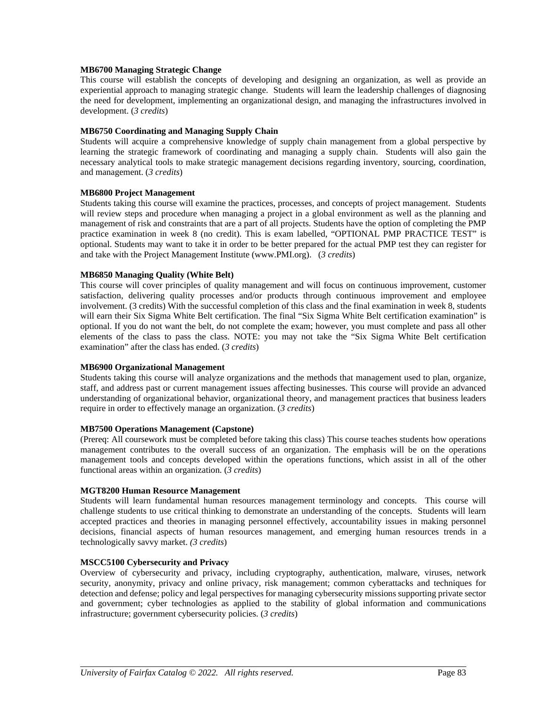#### **MB6700 Managing Strategic Change**

This course will establish the concepts of developing and designing an organization, as well as provide an experiential approach to managing strategic change. Students will learn the leadership challenges of diagnosing the need for development, implementing an organizational design, and managing the infrastructures involved in development. (*3 credits*)

#### **MB6750 Coordinating and Managing Supply Chain**

Students will acquire a comprehensive knowledge of supply chain management from a global perspective by learning the strategic framework of coordinating and managing a supply chain. Students will also gain the necessary analytical tools to make strategic management decisions regarding inventory, sourcing, coordination, and management. (*3 credits*)

#### **MB6800 Project Management**

Students taking this course will examine the practices, processes, and concepts of project management. Students will review steps and procedure when managing a project in a global environment as well as the planning and management of risk and constraints that are a part of all projects. Students have the option of completing the PMP practice examination in week 8 (no credit). This is exam labelled, "OPTIONAL PMP PRACTICE TEST" is optional. Students may want to take it in order to be better prepared for the actual PMP test they can register for and take with the Project Management Institute (www.PMI.org). (*3 credits*)

#### **MB6850 Managing Quality (White Belt)**

This course will cover principles of quality management and will focus on continuous improvement, customer satisfaction, delivering quality processes and/or products through continuous improvement and employee involvement. (3 credits) With the successful completion of this class and the final examination in week 8, students will earn their Six Sigma White Belt certification. The final "Six Sigma White Belt certification examination" is optional. If you do not want the belt, do not complete the exam; however, you must complete and pass all other elements of the class to pass the class. NOTE: you may not take the "Six Sigma White Belt certification examination" after the class has ended. (*3 credits*)

#### **MB6900 Organizational Management**

Students taking this course will analyze organizations and the methods that management used to plan, organize, staff, and address past or current management issues affecting businesses. This course will provide an advanced understanding of organizational behavior, organizational theory, and management practices that business leaders require in order to effectively manage an organization. (*3 credits*)

#### **MB7500 Operations Management (Capstone)**

(Prereq: All coursework must be completed before taking this class) This course teaches students how operations management contributes to the overall success of an organization. The emphasis will be on the operations management tools and concepts developed within the operations functions, which assist in all of the other functional areas within an organization. (*3 credits*)

#### **MGT8200 Human Resource Management**

Students will learn fundamental human resources management terminology and concepts. This course will challenge students to use critical thinking to demonstrate an understanding of the concepts. Students will learn accepted practices and theories in managing personnel effectively, accountability issues in making personnel decisions, financial aspects of human resources management, and emerging human resources trends in a technologically savvy market. *(3 credits*)

#### **MSCC5100 Cybersecurity and Privacy**

Overview of cybersecurity and privacy, including cryptography, authentication, malware, viruses, network security, anonymity, privacy and online privacy, risk management; common cyberattacks and techniques for detection and defense; policy and legal perspectives for managing cybersecurity missions supporting private sector and government; cyber technologies as applied to the stability of global information and communications infrastructure; government cybersecurity policies. (*3 credits*)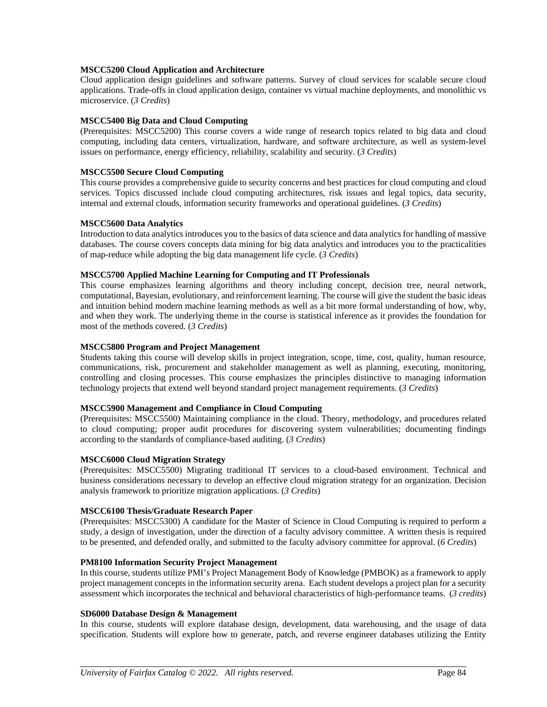#### **MSCC5200 Cloud Application and Architecture**

Cloud application design guidelines and software patterns. Survey of cloud services for scalable secure cloud applications. Trade-offs in cloud application design, container vs virtual machine deployments, and monolithic vs microservice. (*3 Credits*)

#### **MSCC5400 Big Data and Cloud Computing**

(Prerequisites: MSCC5200) This course covers a wide range of research topics related to big data and cloud computing, including data centers, virtualization, hardware, and software architecture, as well as system-level issues on performance, energy efficiency, reliability, scalability and security. (*3 Credits*)

#### **MSCC5500 Secure Cloud Computing**

This course provides a comprehensive guide to security concerns and best practices for cloud computing and cloud services. Topics discussed include cloud computing architectures, risk issues and legal topics, data security, internal and external clouds, information security frameworks and operational guidelines. (*3 Credits*)

#### **MSCC5600 Data Analytics**

Introduction to data analytics introduces you to the basics of data science and data analytics for handling of massive databases. The course covers concepts data mining for big data analytics and introduces you to the practicalities of map-reduce while adopting the big data management life cycle. (*3 Credits*)

#### **MSCC5700 Applied Machine Learning for Computing and IT Professionals**

This course emphasizes learning algorithms and theory including concept, decision tree, neural network, computational, Bayesian, evolutionary, and reinforcement learning. The course will give the student the basic ideas and intuition behind modern machine learning methods as well as a bit more formal understanding of how, why, and when they work. The underlying theme in the course is statistical inference as it provides the foundation for most of the methods covered. (*3 Credits*)

#### **MSCC5800 Program and Project Management**

Students taking this course will develop skills in project integration, scope, time, cost, quality, human resource, communications, risk, procurement and stakeholder management as well as planning, executing, monitoring, controlling and closing processes. This course emphasizes the principles distinctive to managing information technology projects that extend well beyond standard project management requirements. (*3 Credits*)

#### **MSCC5900 Management and Compliance in Cloud Computing**

(Prerequisites: MSCC5500) Maintaining compliance in the cloud. Theory, methodology, and procedures related to cloud computing; proper audit procedures for discovering system vulnerabilities; documenting findings according to the standards of compliance-based auditing. (*3 Credits*)

#### **MSCC6000 Cloud Migration Strategy**

(Prerequisites: MSCC5500) Migrating traditional IT services to a cloud-based environment. Technical and business considerations necessary to develop an effective cloud migration strategy for an organization. Decision analysis framework to prioritize migration applications. (*3 Credits*)

#### **MSCC6100 Thesis/Graduate Research Paper**

(Prerequisites: MSCC5300) A candidate for the Master of Science in Cloud Computing is required to perform a study, a design of investigation, under the direction of a faculty advisory committee. A written thesis is required to be presented, and defended orally, and submitted to the faculty advisory committee for approval. (*6 Credits*)

#### **PM8100 Information Security Project Management**

In this course, students utilize PMI's Project Management Body of Knowledge (PMBOK) as a framework to apply project management concepts in the information security arena. Each student develops a project plan for a security assessment which incorporates the technical and behavioral characteristics of high-performance teams. (*3 credits*)

#### **SD6000 Database Design & Management**

In this course, students will explore database design, development, data warehousing, and the usage of data specification. Students will explore how to generate, patch, and reverse engineer databases utilizing the Entity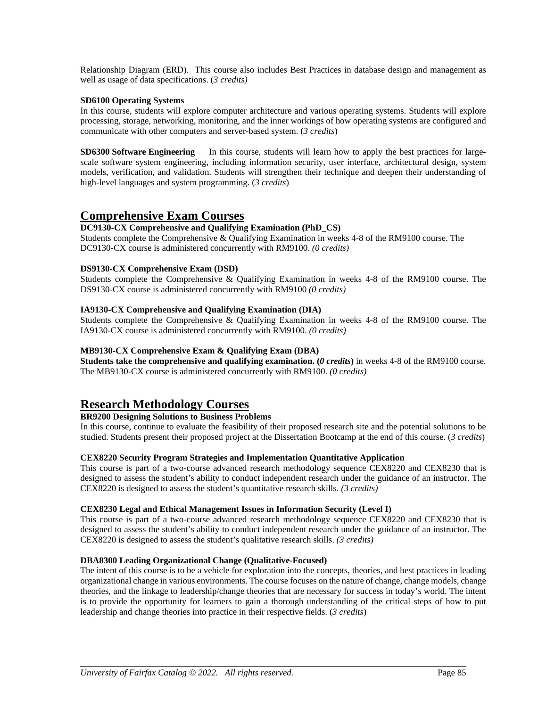Relationship Diagram (ERD). This course also includes Best Practices in database design and management as well as usage of data specifications. (*3 credits)*

#### **SD6100 Operating Systems**

In this course, students will explore computer architecture and various operating systems. Students will explore processing, storage, networking, monitoring, and the inner workings of how operating systems are configured and communicate with other computers and server-based system. (*3 credits*)

**SD6300 Software Engineering** In this course, students will learn how to apply the best practices for largescale software system engineering, including information security, user interface, architectural design, system models, verification, and validation. Students will strengthen their technique and deepen their understanding of high-level languages and system programming. (*3 credits*)

### **Comprehensive Exam Courses**

#### **DC9130-CX Comprehensive and Qualifying Examination (PhD\_CS)**

Students complete the Comprehensive & Qualifying Examination in weeks 4-8 of the RM9100 course. The DC9130-CX course is administered concurrently with RM9100. *(0 credits)*

#### **DS9130-CX Comprehensive Exam (DSD)**

Students complete the Comprehensive & Qualifying Examination in weeks 4-8 of the RM9100 course. The DS9130-CX course is administered concurrently with RM9100 *(0 credits)*

#### **IA9130-CX Comprehensive and Qualifying Examination (DIA)**

Students complete the Comprehensive & Qualifying Examination in weeks 4-8 of the RM9100 course. The IA9130-CX course is administered concurrently with RM9100. *(0 credits)*

#### **MB9130-CX Comprehensive Exam & Qualifying Exam (DBA)**

**Students take the comprehensive and qualifying examination. (***0 credits***)** in weeks 4-8 of the RM9100 course. The MB9130-CX course is administered concurrently with RM9100. *(0 credits)*

### **Research Methodology Courses**

#### **BR9200 Designing Solutions to Business Problems**

In this course, continue to evaluate the feasibility of their proposed research site and the potential solutions to be studied. Students present their proposed project at the Dissertation Bootcamp at the end of this course. (*3 credits*)

#### **CEX8220 Security Program Strategies and Implementation Quantitative Application**

This course is part of a two-course advanced research methodology sequence CEX8220 and CEX8230 that is designed to assess the student's ability to conduct independent research under the guidance of an instructor. The CEX8220 is designed to assess the student's quantitative research skills. *(3 credits)*

#### **CEX8230 Legal and Ethical Management Issues in Information Security (Level I)**

This course is part of a two-course advanced research methodology sequence CEX8220 and CEX8230 that is designed to assess the student's ability to conduct independent research under the guidance of an instructor. The CEX8220 is designed to assess the student's qualitative research skills. *(3 credits)*

#### **DBA8300 Leading Organizational Change (Qualitative-Focused)**

The intent of this course is to be a vehicle for exploration into the concepts, theories, and best practices in leading organizational change in various environments. The course focuses on the nature of change, change models, change theories, and the linkage to leadership/change theories that are necessary for success in today's world. The intent is to provide the opportunity for learners to gain a thorough understanding of the critical steps of how to put leadership and change theories into practice in their respective fields. (*3 credits*)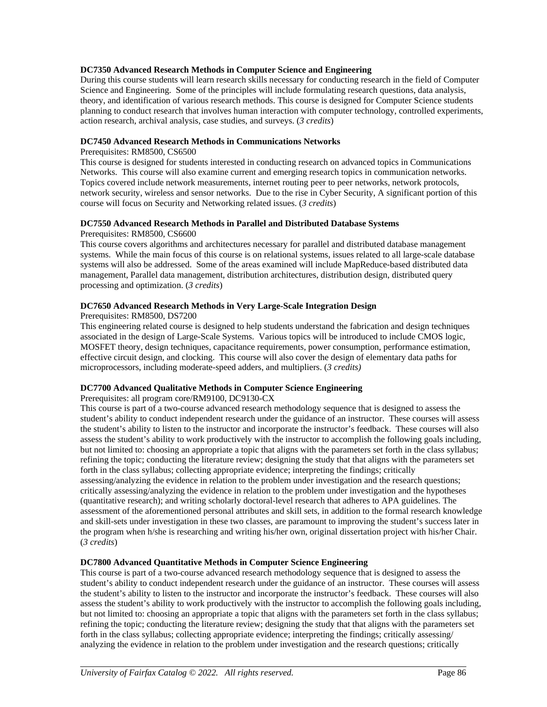#### **DC7350 Advanced Research Methods in Computer Science and Engineering**

During this course students will learn research skills necessary for conducting research in the field of Computer Science and Engineering. Some of the principles will include formulating research questions, data analysis, theory, and identification of various research methods. This course is designed for Computer Science students planning to conduct research that involves human interaction with computer technology, controlled experiments, action research, archival analysis, case studies, and surveys. (*3 credits*)

#### **DC7450 Advanced Research Methods in Communications Networks**

#### Prerequisites: RM8500, CS6500

This course is designed for students interested in conducting research on advanced topics in Communications Networks. This course will also examine current and emerging research topics in communication networks. Topics covered include network measurements, internet routing peer to peer networks, network protocols, network security, wireless and sensor networks. Due to the rise in Cyber Security, A significant portion of this course will focus on Security and Networking related issues. (*3 credits*)

#### **DC7550 Advanced Research Methods in Parallel and Distributed Database Systems**

#### Prerequisites: RM8500, CS6600

This course covers algorithms and architectures necessary for parallel and distributed database management systems. While the main focus of this course is on relational systems, issues related to all large-scale database systems will also be addressed. Some of the areas examined will include MapReduce-based distributed data management, Parallel data management, distribution architectures, distribution design, distributed query processing and optimization. (*3 credits*)

#### **DC7650 Advanced Research Methods in Very Large-Scale Integration Design**

#### Prerequisites: RM8500, DS7200

This engineering related course is designed to help students understand the fabrication and design techniques associated in the design of Large-Scale Systems. Various topics will be introduced to include CMOS logic, MOSFET theory, design techniques, capacitance requirements, power consumption, performance estimation, effective circuit design, and clocking. This course will also cover the design of elementary data paths for microprocessors, including moderate-speed adders, and multipliers. (*3 credits)*

#### **DC7700 Advanced Qualitative Methods in Computer Science Engineering**

#### Prerequisites: all program core/RM9100, DC9130-CX

This course is part of a two-course advanced research methodology sequence that is designed to assess the student's ability to conduct independent research under the guidance of an instructor. These courses will assess the student's ability to listen to the instructor and incorporate the instructor's feedback. These courses will also assess the student's ability to work productively with the instructor to accomplish the following goals including, but not limited to: choosing an appropriate a topic that aligns with the parameters set forth in the class syllabus; refining the topic; conducting the literature review; designing the study that that aligns with the parameters set forth in the class syllabus; collecting appropriate evidence; interpreting the findings; critically assessing/analyzing the evidence in relation to the problem under investigation and the research questions; critically assessing/analyzing the evidence in relation to the problem under investigation and the hypotheses (quantitative research); and writing scholarly doctoral-level research that adheres to APA guidelines. The assessment of the aforementioned personal attributes and skill sets, in addition to the formal research knowledge and skill-sets under investigation in these two classes, are paramount to improving the student's success later in the program when h/she is researching and writing his/her own, original dissertation project with his/her Chair. (*3 credits*)

#### **DC7800 Advanced Quantitative Methods in Computer Science Engineering**

This course is part of a two-course advanced research methodology sequence that is designed to assess the student's ability to conduct independent research under the guidance of an instructor. These courses will assess the student's ability to listen to the instructor and incorporate the instructor's feedback. These courses will also assess the student's ability to work productively with the instructor to accomplish the following goals including, but not limited to: choosing an appropriate a topic that aligns with the parameters set forth in the class syllabus; refining the topic; conducting the literature review; designing the study that that aligns with the parameters set forth in the class syllabus; collecting appropriate evidence; interpreting the findings; critically assessing/ analyzing the evidence in relation to the problem under investigation and the research questions; critically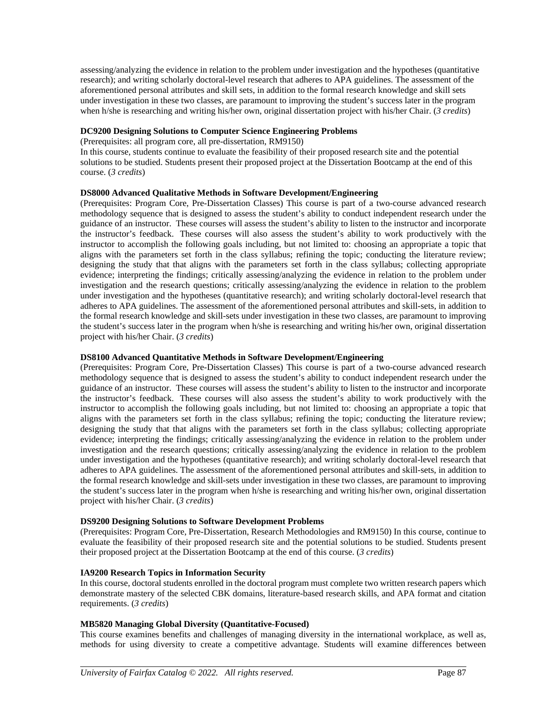assessing/analyzing the evidence in relation to the problem under investigation and the hypotheses (quantitative research); and writing scholarly doctoral-level research that adheres to APA guidelines. The assessment of the aforementioned personal attributes and skill sets, in addition to the formal research knowledge and skill sets under investigation in these two classes, are paramount to improving the student's success later in the program when h/she is researching and writing his/her own, original dissertation project with his/her Chair. (*3 credits*)

#### **DC9200 Designing Solutions to Computer Science Engineering Problems**

(Prerequisites: all program core, all pre-dissertation, RM9150)

In this course, students continue to evaluate the feasibility of their proposed research site and the potential solutions to be studied. Students present their proposed project at the Dissertation Bootcamp at the end of this course. (*3 credits*)

#### **DS8000 Advanced Qualitative Methods in Software Development/Engineering**

(Prerequisites: Program Core, Pre-Dissertation Classes) This course is part of a two-course advanced research methodology sequence that is designed to assess the student's ability to conduct independent research under the guidance of an instructor. These courses will assess the student's ability to listen to the instructor and incorporate the instructor's feedback. These courses will also assess the student's ability to work productively with the instructor to accomplish the following goals including, but not limited to: choosing an appropriate a topic that aligns with the parameters set forth in the class syllabus; refining the topic; conducting the literature review; designing the study that that aligns with the parameters set forth in the class syllabus; collecting appropriate evidence; interpreting the findings; critically assessing/analyzing the evidence in relation to the problem under investigation and the research questions; critically assessing/analyzing the evidence in relation to the problem under investigation and the hypotheses (quantitative research); and writing scholarly doctoral-level research that adheres to APA guidelines. The assessment of the aforementioned personal attributes and skill-sets, in addition to the formal research knowledge and skill-sets under investigation in these two classes, are paramount to improving the student's success later in the program when h/she is researching and writing his/her own, original dissertation project with his/her Chair. (*3 credits*)

#### **DS8100 Advanced Quantitative Methods in Software Development/Engineering**

(Prerequisites: Program Core, Pre-Dissertation Classes) This course is part of a two-course advanced research methodology sequence that is designed to assess the student's ability to conduct independent research under the guidance of an instructor. These courses will assess the student's ability to listen to the instructor and incorporate the instructor's feedback. These courses will also assess the student's ability to work productively with the instructor to accomplish the following goals including, but not limited to: choosing an appropriate a topic that aligns with the parameters set forth in the class syllabus; refining the topic; conducting the literature review; designing the study that that aligns with the parameters set forth in the class syllabus; collecting appropriate evidence; interpreting the findings; critically assessing/analyzing the evidence in relation to the problem under investigation and the research questions; critically assessing/analyzing the evidence in relation to the problem under investigation and the hypotheses (quantitative research); and writing scholarly doctoral-level research that adheres to APA guidelines. The assessment of the aforementioned personal attributes and skill-sets, in addition to the formal research knowledge and skill-sets under investigation in these two classes, are paramount to improving the student's success later in the program when h/she is researching and writing his/her own, original dissertation project with his/her Chair. (*3 credits*)

#### **DS9200 Designing Solutions to Software Development Problems**

(Prerequisites: Program Core, Pre-Dissertation, Research Methodologies and RM9150) In this course, continue to evaluate the feasibility of their proposed research site and the potential solutions to be studied. Students present their proposed project at the Dissertation Bootcamp at the end of this course. (*3 credits*)

#### **IA9200 Research Topics in Information Security**

In this course, doctoral students enrolled in the doctoral program must complete two written research papers which demonstrate mastery of the selected CBK domains, literature-based research skills, and APA format and citation requirements. (*3 credits*)

#### **MB5820 Managing Global Diversity (Quantitative-Focused)**

This course examines benefits and challenges of managing diversity in the international workplace, as well as, methods for using diversity to create a competitive advantage. Students will examine differences between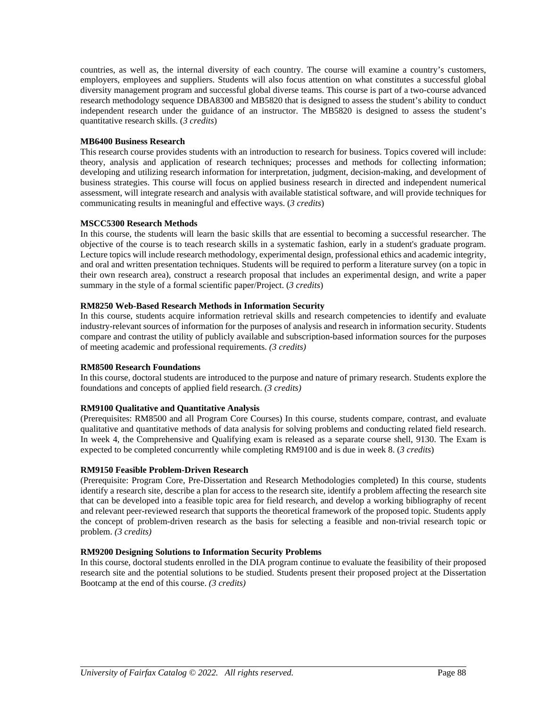countries, as well as, the internal diversity of each country. The course will examine a country's customers, employers, employees and suppliers. Students will also focus attention on what constitutes a successful global diversity management program and successful global diverse teams. This course is part of a two-course advanced research methodology sequence DBA8300 and MB5820 that is designed to assess the student's ability to conduct independent research under the guidance of an instructor. The MB5820 is designed to assess the student's quantitative research skills. (*3 credits*)

#### **MB6400 Business Research**

This research course provides students with an introduction to research for business. Topics covered will include: theory, analysis and application of research techniques; processes and methods for collecting information; developing and utilizing research information for interpretation, judgment, decision-making, and development of business strategies. This course will focus on applied business research in directed and independent numerical assessment, will integrate research and analysis with available statistical software, and will provide techniques for communicating results in meaningful and effective ways. (*3 credits*)

#### **MSCC5300 Research Methods**

In this course, the students will learn the basic skills that are essential to becoming a successful researcher. The objective of the course is to teach research skills in a systematic fashion, early in a student's graduate program. Lecture topics will include research methodology, experimental design, professional ethics and academic integrity, and oral and written presentation techniques. Students will be required to perform a literature survey (on a topic in their own research area), construct a research proposal that includes an experimental design, and write a paper summary in the style of a formal scientific paper/Project. (*3 credits*)

#### **RM8250 Web-Based Research Methods in Information Security**

In this course, students acquire information retrieval skills and research competencies to identify and evaluate industry-relevant sources of information for the purposes of analysis and research in information security. Students compare and contrast the utility of publicly available and subscription-based information sources for the purposes of meeting academic and professional requirements. *(3 credits)*

#### **RM8500 Research Foundations**

In this course, doctoral students are introduced to the purpose and nature of primary research. Students explore the foundations and concepts of applied field research. *(3 credits)*

#### **RM9100 Qualitative and Quantitative Analysis**

(Prerequisites: RM8500 and all Program Core Courses) In this course, students compare, contrast, and evaluate qualitative and quantitative methods of data analysis for solving problems and conducting related field research. In week 4, the Comprehensive and Qualifying exam is released as a separate course shell, 9130. The Exam is expected to be completed concurrently while completing RM9100 and is due in week 8. (*3 credits*)

#### **RM9150 Feasible Problem-Driven Research**

(Prerequisite: Program Core, Pre-Dissertation and Research Methodologies completed) In this course, students identify a research site, describe a plan for access to the research site, identify a problem affecting the research site that can be developed into a feasible topic area for field research, and develop a working bibliography of recent and relevant peer-reviewed research that supports the theoretical framework of the proposed topic. Students apply the concept of problem-driven research as the basis for selecting a feasible and non-trivial research topic or problem. *(3 credits)*

#### **RM9200 Designing Solutions to Information Security Problems**

In this course, doctoral students enrolled in the DIA program continue to evaluate the feasibility of their proposed research site and the potential solutions to be studied. Students present their proposed project at the Dissertation Bootcamp at the end of this course. *(3 credits)*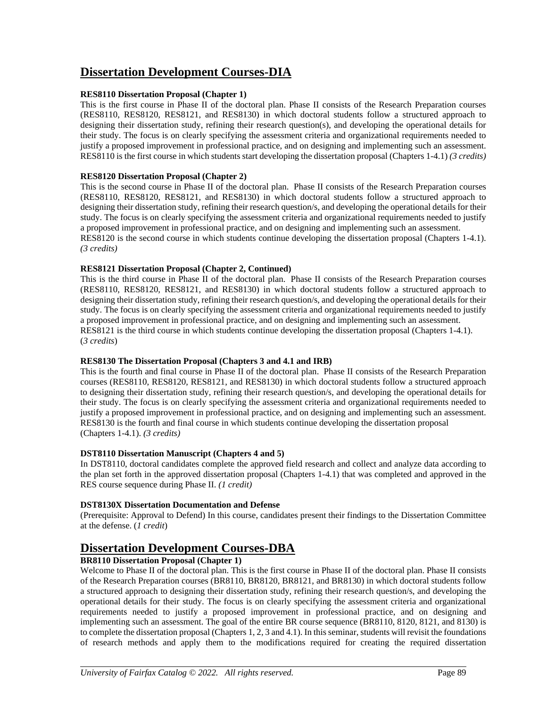# **Dissertation Development Courses-DIA**

#### **RES8110 Dissertation Proposal (Chapter 1)**

This is the first course in Phase II of the doctoral plan. Phase II consists of the Research Preparation courses (RES8110, RES8120, RES8121, and RES8130) in which doctoral students follow a structured approach to designing their dissertation study, refining their research question(s), and developing the operational details for their study. The focus is on clearly specifying the assessment criteria and organizational requirements needed to justify a proposed improvement in professional practice, and on designing and implementing such an assessment. RES8110 is the first course in which students start developing the dissertation proposal (Chapters 1-4.1) *(3 credits)*

#### **RES8120 Dissertation Proposal (Chapter 2)**

This is the second course in Phase II of the doctoral plan. Phase II consists of the Research Preparation courses (RES8110, RES8120, RES8121, and RES8130) in which doctoral students follow a structured approach to designing their dissertation study, refining their research question/s, and developing the operational details for their study. The focus is on clearly specifying the assessment criteria and organizational requirements needed to justify a proposed improvement in professional practice, and on designing and implementing such an assessment. RES8120 is the second course in which students continue developing the dissertation proposal (Chapters 1-4.1). *(3 credits)*

#### **RES8121 Dissertation Proposal (Chapter 2, Continued)**

This is the third course in Phase II of the doctoral plan. Phase II consists of the Research Preparation courses (RES8110, RES8120, RES8121, and RES8130) in which doctoral students follow a structured approach to designing their dissertation study, refining their research question/s, and developing the operational details for their study. The focus is on clearly specifying the assessment criteria and organizational requirements needed to justify a proposed improvement in professional practice, and on designing and implementing such an assessment. RES8121 is the third course in which students continue developing the dissertation proposal (Chapters 1-4.1). (*3 credits*)

#### **RES8130 The Dissertation Proposal (Chapters 3 and 4.1 and IRB)**

This is the fourth and final course in Phase II of the doctoral plan. Phase II consists of the Research Preparation courses (RES8110, RES8120, RES8121, and RES8130) in which doctoral students follow a structured approach to designing their dissertation study, refining their research question/s, and developing the operational details for their study. The focus is on clearly specifying the assessment criteria and organizational requirements needed to justify a proposed improvement in professional practice, and on designing and implementing such an assessment. RES8130 is the fourth and final course in which students continue developing the dissertation proposal (Chapters 1-4.1). *(3 credits)*

#### **DST8110 Dissertation Manuscript (Chapters 4 and 5)**

In DST8110, doctoral candidates complete the approved field research and collect and analyze data according to the plan set forth in the approved dissertation proposal (Chapters 1-4.1) that was completed and approved in the RES course sequence during Phase II. *(1 credit)*

#### **DST8130X Dissertation Documentation and Defense**

(Prerequisite: Approval to Defend) In this course, candidates present their findings to the Dissertation Committee at the defense. (*1 credit*)

### **Dissertation Development Courses-DBA**

#### **BR8110 Dissertation Proposal (Chapter 1)**

Welcome to Phase II of the doctoral plan. This is the first course in Phase II of the doctoral plan. Phase II consists of the Research Preparation courses (BR8110, BR8120, BR8121, and BR8130) in which doctoral students follow a structured approach to designing their dissertation study, refining their research question/s, and developing the operational details for their study. The focus is on clearly specifying the assessment criteria and organizational requirements needed to justify a proposed improvement in professional practice, and on designing and implementing such an assessment. The goal of the entire BR course sequence (BR8110, 8120, 8121, and 8130) is to complete the dissertation proposal (Chapters 1, 2, 3 and 4.1). In this seminar, students will revisit the foundations of research methods and apply them to the modifications required for creating the required dissertation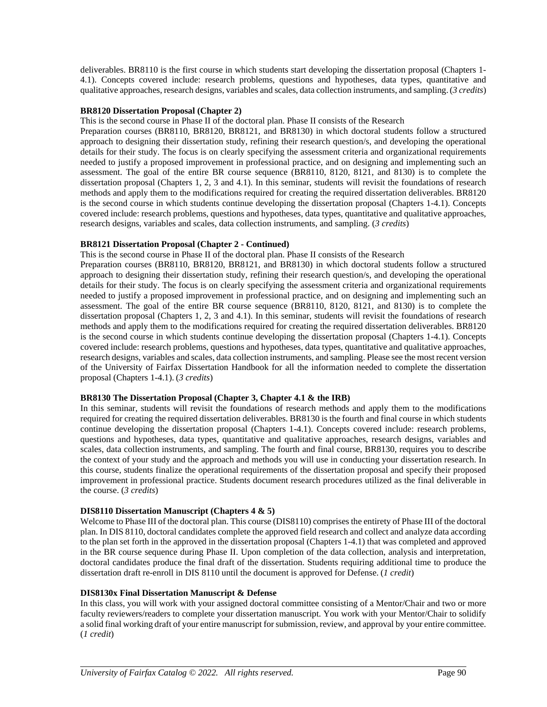deliverables. BR8110 is the first course in which students start developing the dissertation proposal (Chapters 1- 4.1). Concepts covered include: research problems, questions and hypotheses, data types, quantitative and qualitative approaches, research designs, variables and scales, data collection instruments, and sampling.(*3 credits*)

#### **BR8120 Dissertation Proposal (Chapter 2)**

This is the second course in Phase II of the doctoral plan. Phase II consists of the Research

Preparation courses (BR8110, BR8120, BR8121, and BR8130) in which doctoral students follow a structured approach to designing their dissertation study, refining their research question/s, and developing the operational details for their study. The focus is on clearly specifying the assessment criteria and organizational requirements needed to justify a proposed improvement in professional practice, and on designing and implementing such an assessment. The goal of the entire BR course sequence (BR8110, 8120, 8121, and 8130) is to complete the dissertation proposal (Chapters 1, 2, 3 and 4.1). In this seminar, students will revisit the foundations of research methods and apply them to the modifications required for creating the required dissertation deliverables. BR8120 is the second course in which students continue developing the dissertation proposal (Chapters 1-4.1). Concepts covered include: research problems, questions and hypotheses, data types, quantitative and qualitative approaches, research designs, variables and scales, data collection instruments, and sampling. (*3 credits*)

#### **BR8121 Dissertation Proposal (Chapter 2 - Continued)**

This is the second course in Phase II of the doctoral plan. Phase II consists of the Research

Preparation courses (BR8110, BR8120, BR8121, and BR8130) in which doctoral students follow a structured approach to designing their dissertation study, refining their research question/s, and developing the operational details for their study. The focus is on clearly specifying the assessment criteria and organizational requirements needed to justify a proposed improvement in professional practice, and on designing and implementing such an assessment. The goal of the entire BR course sequence (BR8110, 8120, 8121, and 8130) is to complete the dissertation proposal (Chapters 1, 2, 3 and 4.1). In this seminar, students will revisit the foundations of research methods and apply them to the modifications required for creating the required dissertation deliverables. BR8120 is the second course in which students continue developing the dissertation proposal (Chapters 1-4.1). Concepts covered include: research problems, questions and hypotheses, data types, quantitative and qualitative approaches, research designs, variables and scales, data collection instruments, and sampling. Please see the most recent version of the University of Fairfax Dissertation Handbook for all the information needed to complete the dissertation proposal (Chapters 1-4.1). (*3 credits*)

#### **BR8130 The Dissertation Proposal (Chapter 3, Chapter 4.1 & the IRB)**

In this seminar, students will revisit the foundations of research methods and apply them to the modifications required for creating the required dissertation deliverables. BR8130 is the fourth and final course in which students continue developing the dissertation proposal (Chapters 1-4.1). Concepts covered include: research problems, questions and hypotheses, data types, quantitative and qualitative approaches, research designs, variables and scales, data collection instruments, and sampling. The fourth and final course, BR8130, requires you to describe the context of your study and the approach and methods you will use in conducting your dissertation research. In this course, students finalize the operational requirements of the dissertation proposal and specify their proposed improvement in professional practice. Students document research procedures utilized as the final deliverable in the course. (*3 credits*)

#### **DIS8110 Dissertation Manuscript (Chapters 4 & 5)**

Welcome to Phase III of the doctoral plan. This course (DIS8110) comprises the entirety of Phase III of the doctoral plan. In DIS 8110, doctoral candidates complete the approved field research and collect and analyze data according to the plan set forth in the approved in the dissertation proposal (Chapters 1-4.1) that was completed and approved in the BR course sequence during Phase II. Upon completion of the data collection, analysis and interpretation, doctoral candidates produce the final draft of the dissertation. Students requiring additional time to produce the dissertation draft re-enroll in DIS 8110 until the document is approved for Defense. (*1 credit*)

#### **DIS8130x Final Dissertation Manuscript & Defense**

In this class, you will work with your assigned doctoral committee consisting of a Mentor/Chair and two or more faculty reviewers/readers to complete your dissertation manuscript. You work with your Mentor/Chair to solidify a solid final working draft of your entire manuscript for submission, review, and approval by your entire committee. (*1 credit*)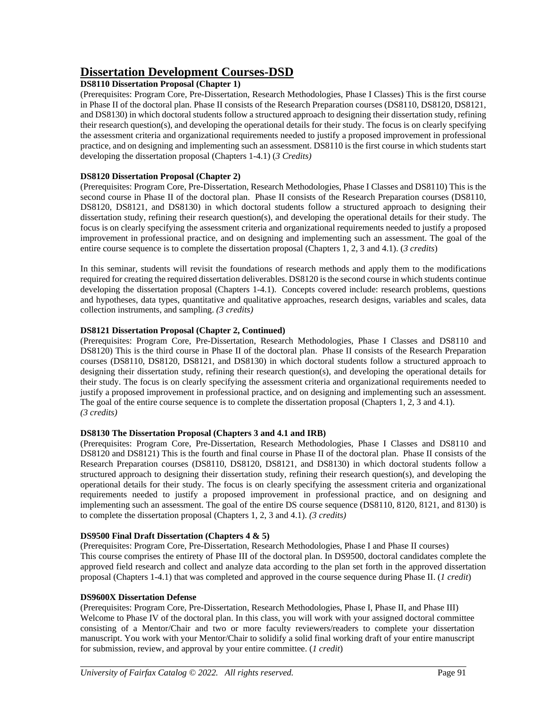# **Dissertation Development Courses-DSD**

### **DS8110 Dissertation Proposal (Chapter 1)**

(Prerequisites: Program Core, Pre-Dissertation, Research Methodologies, Phase I Classes) This is the first course in Phase II of the doctoral plan. Phase II consists of the Research Preparation courses (DS8110, DS8120, DS8121, and DS8130) in which doctoral students follow a structured approach to designing their dissertation study, refining their research question(s), and developing the operational details for their study. The focus is on clearly specifying the assessment criteria and organizational requirements needed to justify a proposed improvement in professional practice, and on designing and implementing such an assessment. DS8110 is the first course in which students start developing the dissertation proposal (Chapters 1-4.1) (*3 Credits)*

#### **DS8120 Dissertation Proposal (Chapter 2)**

(Prerequisites: Program Core, Pre-Dissertation, Research Methodologies, Phase I Classes and DS8110) This is the second course in Phase II of the doctoral plan. Phase II consists of the Research Preparation courses (DS8110, DS8120, DS8121, and DS8130) in which doctoral students follow a structured approach to designing their dissertation study, refining their research question(s), and developing the operational details for their study. The focus is on clearly specifying the assessment criteria and organizational requirements needed to justify a proposed improvement in professional practice, and on designing and implementing such an assessment. The goal of the entire course sequence is to complete the dissertation proposal (Chapters 1, 2, 3 and 4.1). (*3 credits*)

In this seminar, students will revisit the foundations of research methods and apply them to the modifications required for creating the required dissertation deliverables. DS8120 is the second course in which students continue developing the dissertation proposal (Chapters 1-4.1). Concepts covered include: research problems, questions and hypotheses, data types, quantitative and qualitative approaches, research designs, variables and scales, data collection instruments, and sampling. *(3 credits)*

#### **DS8121 Dissertation Proposal (Chapter 2, Continued)**

(Prerequisites: Program Core, Pre-Dissertation, Research Methodologies, Phase I Classes and DS8110 and DS8120) This is the third course in Phase II of the doctoral plan. Phase II consists of the Research Preparation courses (DS8110, DS8120, DS8121, and DS8130) in which doctoral students follow a structured approach to designing their dissertation study, refining their research question(s), and developing the operational details for their study. The focus is on clearly specifying the assessment criteria and organizational requirements needed to justify a proposed improvement in professional practice, and on designing and implementing such an assessment. The goal of the entire course sequence is to complete the dissertation proposal (Chapters 1, 2, 3 and 4.1). *(3 credits)*

#### **DS8130 The Dissertation Proposal (Chapters 3 and 4.1 and IRB)**

(Prerequisites: Program Core, Pre-Dissertation, Research Methodologies, Phase I Classes and DS8110 and DS8120 and DS8121) This is the fourth and final course in Phase II of the doctoral plan. Phase II consists of the Research Preparation courses (DS8110, DS8120, DS8121, and DS8130) in which doctoral students follow a structured approach to designing their dissertation study, refining their research question(s), and developing the operational details for their study. The focus is on clearly specifying the assessment criteria and organizational requirements needed to justify a proposed improvement in professional practice, and on designing and implementing such an assessment. The goal of the entire DS course sequence (DS8110, 8120, 8121, and 8130) is to complete the dissertation proposal (Chapters 1, 2, 3 and 4.1). *(3 credits)*

#### **DS9500 Final Draft Dissertation (Chapters 4 & 5)**

(Prerequisites: Program Core, Pre-Dissertation, Research Methodologies, Phase I and Phase II courses) This course comprises the entirety of Phase III of the doctoral plan. In DS9500, doctoral candidates complete the approved field research and collect and analyze data according to the plan set forth in the approved dissertation proposal (Chapters 1-4.1) that was completed and approved in the course sequence during Phase II. (*1 credit*)

#### **DS9600X Dissertation Defense**

(Prerequisites: Program Core, Pre-Dissertation, Research Methodologies, Phase I, Phase II, and Phase III) Welcome to Phase IV of the doctoral plan. In this class, you will work with your assigned doctoral committee consisting of a Mentor/Chair and two or more faculty reviewers/readers to complete your dissertation manuscript. You work with your Mentor/Chair to solidify a solid final working draft of your entire manuscript for submission, review, and approval by your entire committee. (*1 credit*)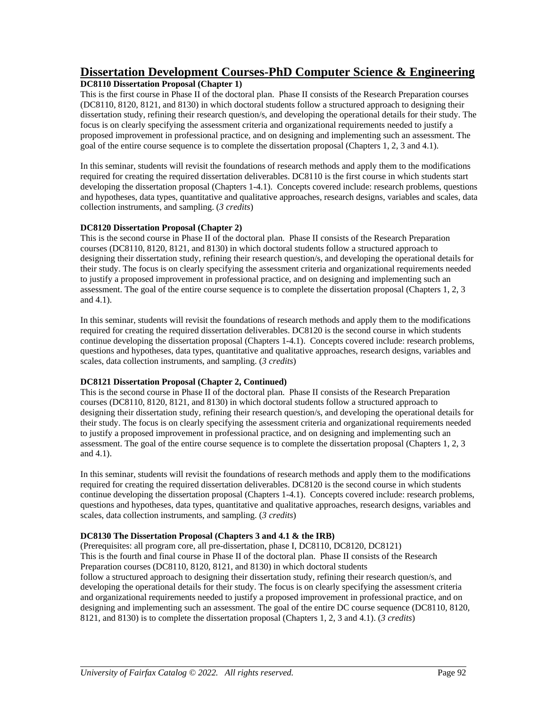# **Dissertation Development Courses-PhD Computer Science & Engineering**

#### **DC8110 Dissertation Proposal (Chapter 1)**

This is the first course in Phase II of the doctoral plan. Phase II consists of the Research Preparation courses (DC8110, 8120, 8121, and 8130) in which doctoral students follow a structured approach to designing their dissertation study, refining their research question/s, and developing the operational details for their study. The focus is on clearly specifying the assessment criteria and organizational requirements needed to justify a proposed improvement in professional practice, and on designing and implementing such an assessment. The goal of the entire course sequence is to complete the dissertation proposal (Chapters 1, 2, 3 and 4.1).

In this seminar, students will revisit the foundations of research methods and apply them to the modifications required for creating the required dissertation deliverables. DC8110 is the first course in which students start developing the dissertation proposal (Chapters 1-4.1). Concepts covered include: research problems, questions and hypotheses, data types, quantitative and qualitative approaches, research designs, variables and scales, data collection instruments, and sampling. (*3 credits*)

#### **DC8120 Dissertation Proposal (Chapter 2)**

This is the second course in Phase II of the doctoral plan. Phase II consists of the Research Preparation courses (DC8110, 8120, 8121, and 8130) in which doctoral students follow a structured approach to designing their dissertation study, refining their research question/s, and developing the operational details for their study. The focus is on clearly specifying the assessment criteria and organizational requirements needed to justify a proposed improvement in professional practice, and on designing and implementing such an assessment. The goal of the entire course sequence is to complete the dissertation proposal (Chapters 1, 2, 3 and 4.1).

In this seminar, students will revisit the foundations of research methods and apply them to the modifications required for creating the required dissertation deliverables. DC8120 is the second course in which students continue developing the dissertation proposal (Chapters 1-4.1). Concepts covered include: research problems, questions and hypotheses, data types, quantitative and qualitative approaches, research designs, variables and scales, data collection instruments, and sampling. (*3 credits*)

#### **DC8121 Dissertation Proposal (Chapter 2, Continued)**

This is the second course in Phase II of the doctoral plan. Phase II consists of the Research Preparation courses (DC8110, 8120, 8121, and 8130) in which doctoral students follow a structured approach to designing their dissertation study, refining their research question/s, and developing the operational details for their study. The focus is on clearly specifying the assessment criteria and organizational requirements needed to justify a proposed improvement in professional practice, and on designing and implementing such an assessment. The goal of the entire course sequence is to complete the dissertation proposal (Chapters 1, 2, 3 and 4.1).

In this seminar, students will revisit the foundations of research methods and apply them to the modifications required for creating the required dissertation deliverables. DC8120 is the second course in which students continue developing the dissertation proposal (Chapters 1-4.1). Concepts covered include: research problems, questions and hypotheses, data types, quantitative and qualitative approaches, research designs, variables and scales, data collection instruments, and sampling. (*3 credits*)

#### **DC8130 The Dissertation Proposal (Chapters 3 and 4.1 & the IRB)**

(Prerequisites: all program core, all pre-dissertation, phase I, DC8110, DC8120, DC8121) This is the fourth and final course in Phase II of the doctoral plan. Phase II consists of the Research Preparation courses (DC8110, 8120, 8121, and 8130) in which doctoral students follow a structured approach to designing their dissertation study, refining their research question/s, and developing the operational details for their study. The focus is on clearly specifying the assessment criteria and organizational requirements needed to justify a proposed improvement in professional practice, and on designing and implementing such an assessment. The goal of the entire DC course sequence (DC8110, 8120, 8121, and 8130) is to complete the dissertation proposal (Chapters 1, 2, 3 and 4.1). (*3 credits*)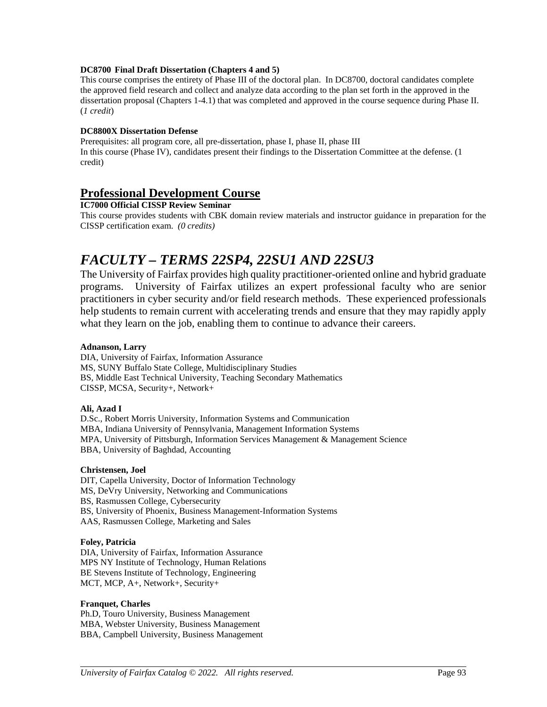#### **DC8700 Final Draft Dissertation (Chapters 4 and 5)**

This course comprises the entirety of Phase III of the doctoral plan. In DC8700, doctoral candidates complete the approved field research and collect and analyze data according to the plan set forth in the approved in the dissertation proposal (Chapters 1-4.1) that was completed and approved in the course sequence during Phase II. (*1 credit*)

#### **DC8800X Dissertation Defense**

Prerequisites: all program core, all pre-dissertation, phase I, phase II, phase III In this course (Phase IV), candidates present their findings to the Dissertation Committee at the defense. (1 credit)

### **Professional Development Course**

**IC7000 Official CISSP Review Seminar**

This course provides students with CBK domain review materials and instructor guidance in preparation for the CISSP certification exam. *(0 credits)*

# *FACULTY – TERMS 22SP4, 22SU1 AND 22SU3*

The University of Fairfax provides high quality practitioner-oriented online and hybrid graduate programs. University of Fairfax utilizes an expert professional faculty who are senior practitioners in cyber security and/or field research methods. These experienced professionals help students to remain current with accelerating trends and ensure that they may rapidly apply what they learn on the job, enabling them to continue to advance their careers.

#### **Adnanson, Larry**

DIA, University of Fairfax, Information Assurance MS, SUNY Buffalo State College, Multidisciplinary Studies BS, Middle East Technical University, Teaching Secondary Mathematics CISSP, MCSA, Security+, Network+

#### **Ali, Azad I**

D.Sc., Robert Morris University, Information Systems and Communication MBA, Indiana University of Pennsylvania, Management Information Systems MPA, University of Pittsburgh, Information Services Management & Management Science BBA, University of Baghdad, Accounting

#### **Christensen, Joel**

DIT, Capella University, Doctor of Information Technology MS, DeVry University, Networking and Communications BS, Rasmussen College, Cybersecurity BS, University of Phoenix, Business Management-Information Systems AAS, Rasmussen College, Marketing and Sales

#### **Foley, Patricia**

DIA, University of Fairfax, Information Assurance MPS NY Institute of Technology, Human Relations BE Stevens Institute of Technology, Engineering MCT, MCP, A+, Network+, Security+

#### **Franquet, Charles**

Ph.D, Touro University, Business Management MBA, Webster University, Business Management BBA, Campbell University, Business Management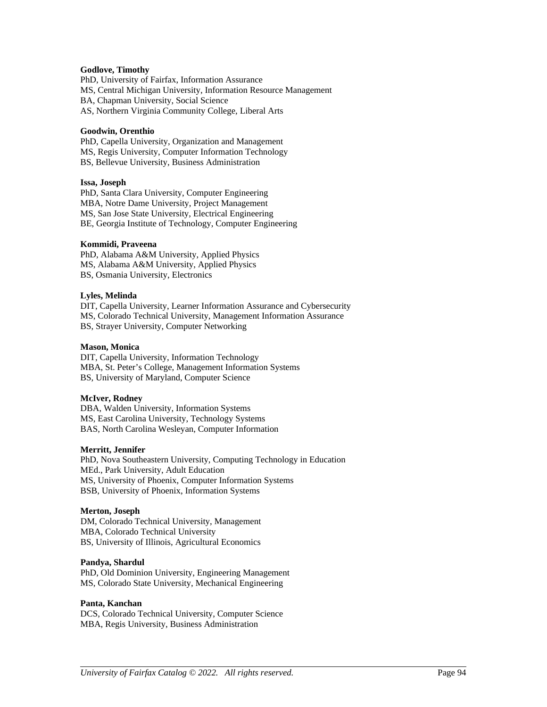#### **Godlove, Timothy**

PhD, University of Fairfax, Information Assurance MS, Central Michigan University, Information Resource Management BA, Chapman University, Social Science AS, Northern Virginia Community College, Liberal Arts

#### **Goodwin, Orenthio**

PhD, Capella University, Organization and Management MS, Regis University, Computer Information Technology BS, Bellevue University, Business Administration

#### **Issa, Joseph**

PhD, Santa Clara University, Computer Engineering MBA, Notre Dame University, Project Management MS, San Jose State University, Electrical Engineering BE, Georgia Institute of Technology, Computer Engineering

#### **Kommidi, Praveena**

PhD, Alabama A&M University, Applied Physics MS, Alabama A&M University, Applied Physics BS, Osmania University, Electronics

#### **Lyles, Melinda**

DIT, Capella University, Learner Information Assurance and Cybersecurity MS, Colorado Technical University, Management Information Assurance BS, Strayer University, Computer Networking

#### **Mason, Monica**

DIT, Capella University, Information Technology MBA, St. Peter's College, Management Information Systems BS, University of Maryland, Computer Science

#### **McIver, Rodney**

DBA, Walden University, Information Systems MS, East Carolina University, Technology Systems BAS, North Carolina Wesleyan, Computer Information

#### **Merritt, Jennifer**

PhD, Nova Southeastern University, Computing Technology in Education MEd., Park University, Adult Education MS, University of Phoenix, Computer Information Systems BSB, University of Phoenix, Information Systems

#### **Merton, Joseph**

DM, Colorado Technical University, Management MBA, Colorado Technical University BS, University of Illinois, Agricultural Economics

#### **Pandya, Shardul**

PhD, Old Dominion University, Engineering Management MS, Colorado State University, Mechanical Engineering

#### **Panta, Kanchan**

DCS, Colorado Technical University, Computer Science MBA, Regis University, Business Administration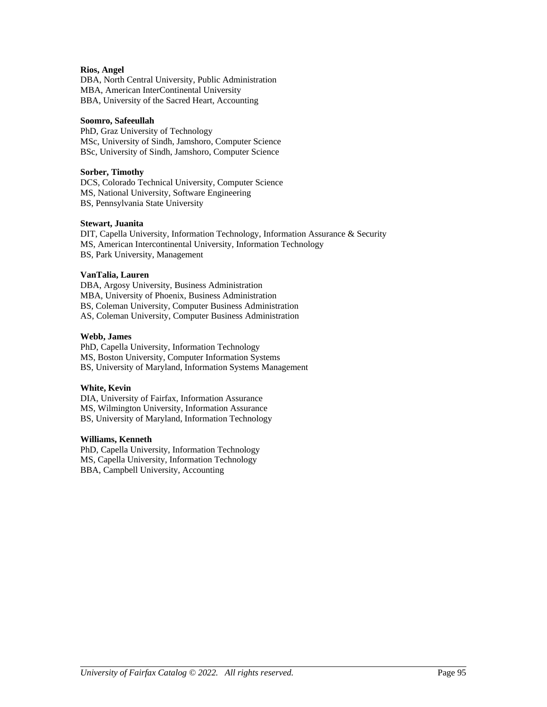#### **Rios, Angel**

DBA, North Central University, Public Administration MBA, American InterContinental University BBA, University of the Sacred Heart, Accounting

#### **Soomro, Safeeullah**

PhD, Graz University of Technology MSc, University of Sindh, Jamshoro, Computer Science BSc, University of Sindh, Jamshoro, Computer Science

#### **Sorber, Timothy**

DCS, Colorado Technical University, Computer Science MS, National University, Software Engineering BS, Pennsylvania State University

#### **Stewart, Juanita**

DIT, Capella University, Information Technology, Information Assurance & Security MS, American Intercontinental University, Information Technology BS, Park University, Management

#### **VanTalia, Lauren**

DBA, Argosy University, Business Administration MBA, University of Phoenix, Business Administration BS, Coleman University, Computer Business Administration AS, Coleman University, Computer Business Administration

#### **Webb, James**

PhD, Capella University, Information Technology MS, Boston University, Computer Information Systems BS, University of Maryland, Information Systems Management

#### **White, Kevin**

DIA, University of Fairfax, Information Assurance MS, Wilmington University, Information Assurance BS, University of Maryland, Information Technology

#### **Williams, Kenneth**

PhD, Capella University, Information Technology MS, Capella University, Information Technology BBA, Campbell University, Accounting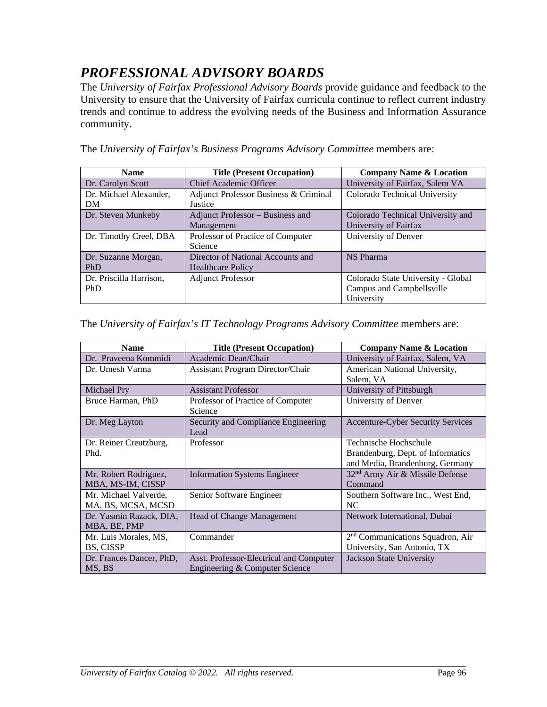# *PROFESSIONAL ADVISORY BOARDS*

The *University of Fairfax Professional Advisory Boards* provide guidance and feedback to the University to ensure that the University of Fairfax curricula continue to reflect current industry trends and continue to address the evolving needs of the Business and Information Assurance community.

The *University of Fairfax's Business Programs Advisory Committee* members are:

| <b>Name</b>             | <b>Title (Present Occupation)</b>     | <b>Company Name &amp; Location</b> |
|-------------------------|---------------------------------------|------------------------------------|
| Dr. Carolyn Scott       | Chief Academic Officer                | University of Fairfax, Salem VA    |
| Dr. Michael Alexander,  | Adjunct Professor Business & Criminal | Colorado Technical University      |
| DM                      | Justice                               |                                    |
| Dr. Steven Munkeby      | Adjunct Professor - Business and      | Colorado Technical University and  |
|                         | Management                            | University of Fairfax              |
| Dr. Timothy Creel, DBA  | Professor of Practice of Computer     | University of Denver               |
|                         | Science                               |                                    |
| Dr. Suzanne Morgan,     | Director of National Accounts and     | <b>NS Pharma</b>                   |
| <b>PhD</b>              | <b>Healthcare Policy</b>              |                                    |
| Dr. Priscilla Harrison, | <b>Adjunct Professor</b>              | Colorado State University - Global |
| <b>PhD</b>              |                                       | Campus and Campbellsville          |
|                         |                                       | University                         |

The *University of Fairfax's IT Technology Programs Advisory Committee* members are:

| <b>Name</b>              | <b>Title (Present Occupation)</b>       | <b>Company Name &amp; Location</b>           |
|--------------------------|-----------------------------------------|----------------------------------------------|
| Dr. Praveena Kommidi     | Academic Dean/Chair                     | University of Fairfax, Salem, VA             |
| Dr. Umesh Varma          | <b>Assistant Program Director/Chair</b> | American National University,                |
|                          |                                         | Salem, VA                                    |
| Michael Pry              | <b>Assistant Professor</b>              | University of Pittsburgh                     |
| Bruce Harman, PhD        | Professor of Practice of Computer       | University of Denver                         |
|                          | Science                                 |                                              |
| Dr. Meg Layton           | Security and Compliance Engineering     | Accenture-Cyber Security Services            |
|                          | Lead                                    |                                              |
| Dr. Reiner Creutzburg,   | Professor                               | Technische Hochschule                        |
| Phd.                     |                                         | Brandenburg, Dept. of Informatics            |
|                          |                                         | and Media, Brandenburg, Germany              |
| Mr. Robert Rodriguez,    | <b>Information Systems Engineer</b>     | 32 <sup>nd</sup> Army Air & Missile Defense  |
| MBA, MS-IM, CISSP        |                                         | Command                                      |
| Mr. Michael Valverde,    | Senior Software Engineer                | Southern Software Inc., West End,            |
| MA, BS, MCSA, MCSD       |                                         | NC.                                          |
| Dr. Yasmin Razack, DIA,  | Head of Change Management               | Network International, Dubai                 |
| MBA, BE, PMP             |                                         |                                              |
| Mr. Luis Morales, MS,    | Commander                               | 2 <sup>nd</sup> Communications Squadron, Air |
| BS, CISSP                |                                         | University, San Antonio, TX                  |
| Dr. Frances Dancer, PhD, | Asst. Professor-Electrical and Computer | Jackson State University                     |
| MS, BS                   | Engineering & Computer Science          |                                              |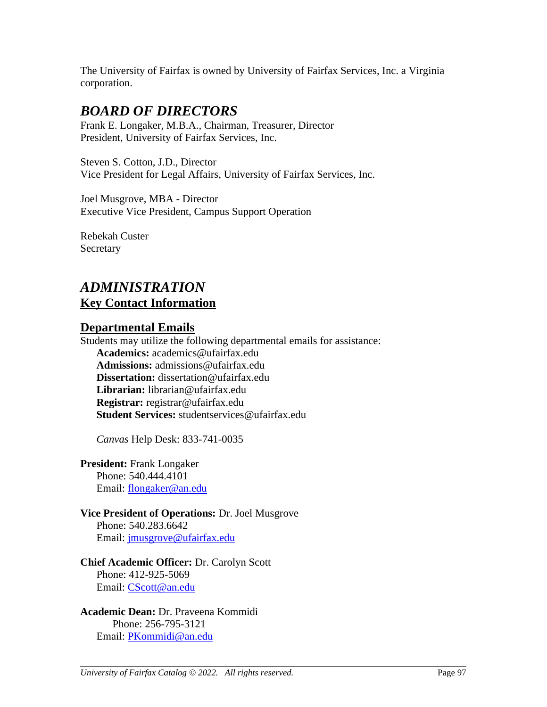The University of Fairfax is owned by University of Fairfax Services, Inc. a Virginia corporation.

# *BOARD OF DIRECTORS*

Frank E. Longaker, M.B.A., Chairman, Treasurer, Director President, University of Fairfax Services, Inc.

Steven S. Cotton, J.D., Director Vice President for Legal Affairs, University of Fairfax Services, Inc.

Joel Musgrove, MBA - Director Executive Vice President, Campus Support Operation

Rebekah Custer **Secretary** 

# *ADMINISTRATION* **Key Contact Information**

### **Departmental Emails**

Students may utilize the following departmental emails for assistance: **Academics:** academics@ufairfax.edu **Admissions:** admissions@ufairfax.edu **Dissertation:** dissertation@ufairfax.edu **Librarian:** librarian@ufairfax.edu **Registrar:** registrar@ufairfax.edu **Student Services:** studentservices@ufairfax.edu

*Canvas* Help Desk: 833-741-0035

**President:** Frank Longaker Phone: 540.444.4101 Email: [flongaker@an.edu](mailto:flongaker@an.edu)

**Vice President of Operations:** Dr. Joel Musgrove Phone: 540.283.6642 Email: [jmusgrove@ufairfax.edu](mailto:jmusgrove@ufairfax.edu)

### **Chief Academic Officer:** Dr. Carolyn Scott Phone: 412-925-5069 Email: [CScott@an.edu](mailto:CScott@an.edu)

**Academic Dean:** Dr. Praveena Kommidi Phone: 256-795-3121 Email: [PKommidi@an.edu](mailto:PKommidi@an.edu)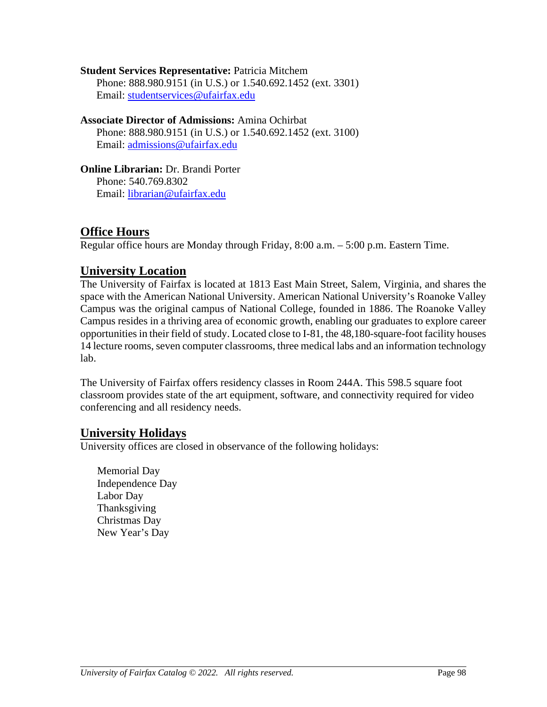**Student Services Representative:** Patricia Mitchem Phone: 888.980.9151 (in U.S.) or 1.540.692.1452 (ext. 3301) Email: [studentservices@ufairfax.edu](mailto:studentservices@ufairfax.edu)

**Associate Director of Admissions:** Amina Ochirbat Phone: 888.980.9151 (in U.S.) or 1.540.692.1452 (ext. 3100) Email: [admissions@ufairfax.edu](mailto:admissions@ufairfax.edu)

**Online Librarian:** Dr. Brandi Porter Phone: 540.769.8302 Email: [librarian@ufairfax.edu](mailto:librarian@ufairfax.edu)

# **Office Hours**

Regular office hours are Monday through Friday, 8:00 a.m. – 5:00 p.m. Eastern Time.

# **University Location**

The University of Fairfax is located at 1813 East Main Street, Salem, Virginia, and shares the space with the American National University. American National University's Roanoke Valley Campus was the original campus of National College, founded in 1886. The Roanoke Valley Campus resides in a thriving area of economic growth, enabling our graduates to explore career opportunities in their field of study. Located close to I-81, the 48,180-square-foot facility houses 14 lecture rooms, seven computer classrooms, three medical labs and an information technology lab.

The University of Fairfax offers residency classes in Room 244A. This 598.5 square foot classroom provides state of the art equipment, software, and connectivity required for video conferencing and all residency needs.

# **University Holidays**

University offices are closed in observance of the following holidays:

Memorial Day Independence Day Labor Day Thanksgiving Christmas Day New Year's Day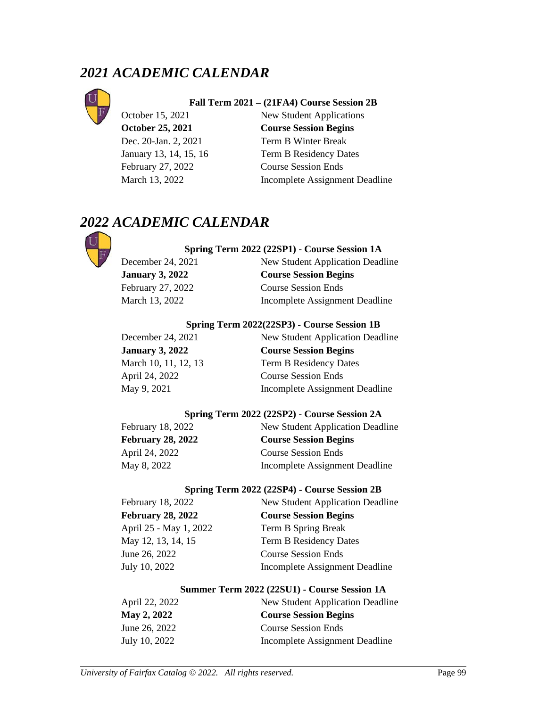# *2021 ACADEMIC CALENDAR*



#### **Fall Term 2021 – (21FA4) Course Session 2B**

February 27, 2022 Course Session Ends

October 15, 2021 New Student Applications **October 25, 2021 Course Session Begins** Dec. 20-Jan. 2, 2021 Term B Winter Break January 13, 14, 15, 16 Term B Residency Dates March 13, 2022 Incomplete Assignment Deadline

# *2022 ACADEMIC CALENDAR*



#### **Spring Term 2022 (22SP1) - Course Session 1A**

December 24, 2021 New Student Application Deadline **January 3, 2022 Course Session Begins** February 27, 2022 Course Session Ends March 13, 2022 Incomplete Assignment Deadline

#### **Spring Term 2022(22SP3) - Course Session 1B**

December 24, 2021 New Student Application Deadline **January 3, 2022 Course Session Begins** March 10, 11, 12, 13 Term B Residency Dates April 24, 2022 Course Session Ends May 9, 2021 Incomplete Assignment Deadline

#### **Spring Term 2022 (22SP2) - Course Session 2A**

| New Student Application Deadline |
|----------------------------------|
| <b>Course Session Begins</b>     |
| <b>Course Session Ends</b>       |
| Incomplete Assignment Deadline   |
|                                  |

#### **Spring Term 2022 (22SP4) - Course Session 2B**

| New Student Application Deadline |
|----------------------------------|
| <b>Course Session Begins</b>     |
| Term B Spring Break              |
| <b>Term B Residency Dates</b>    |
| <b>Course Session Ends</b>       |
| Incomplete Assignment Deadline   |
|                                  |

#### **Summer Term 2022 (22SU1) - Course Session 1A**

| April 22, 2022 | New Student Application Deadline |
|----------------|----------------------------------|
| May 2, 2022    | <b>Course Session Begins</b>     |
| June 26, 2022  | <b>Course Session Ends</b>       |
| July 10, 2022  | Incomplete Assignment Deadline   |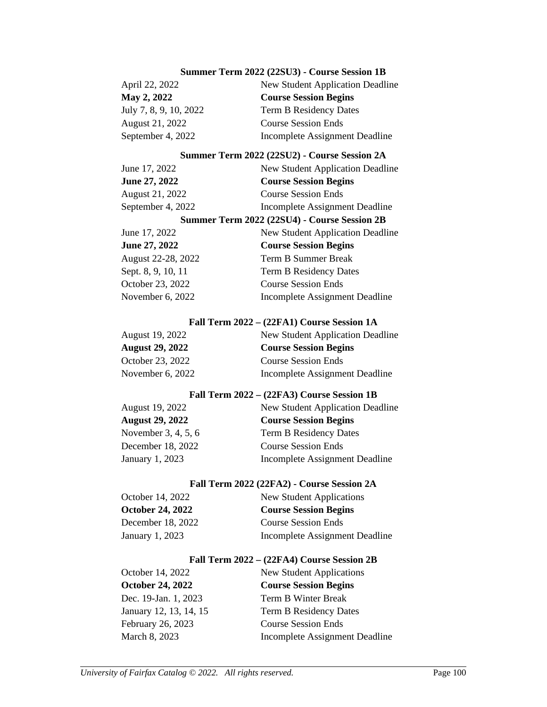#### **Summer Term 2022 (22SU3) - Course Session 1B**

| April 22, 2022         | New Student Application Deadline |
|------------------------|----------------------------------|
| <b>May 2, 2022</b>     | <b>Course Session Begins</b>     |
| July 7, 8, 9, 10, 2022 | Term B Residency Dates           |
| August 21, 2022        | <b>Course Session Ends</b>       |
| September 4, 2022      | Incomplete Assignment Deadline   |

#### **Summer Term 2022 (22SU2) - Course Session 2A**

| June 17, 2022      | <b>New Student Application Deadline</b>      |
|--------------------|----------------------------------------------|
| June 27, 2022      | <b>Course Session Begins</b>                 |
| August 21, 2022    | <b>Course Session Ends</b>                   |
| September 4, 2022  | Incomplete Assignment Deadline               |
|                    | Summer Term 2022 (22SU4) - Course Session 2B |
| June 17, 2022      | New Student Application Deadline             |
| June 27, 2022      | <b>Course Session Begins</b>                 |
| August 22-28, 2022 | Term B Summer Break                          |
| Sept. 8, 9, 10, 11 | <b>Term B Residency Dates</b>                |
| October 23, 2022   | <b>Course Session Ends</b>                   |
| November 6, 2022   | Incomplete Assignment Deadline               |

#### **Fall Term 2022 – (22FA1) Course Session 1A**

| August 19, 2022        | New Student Application Deadline |
|------------------------|----------------------------------|
| <b>August 29, 2022</b> | <b>Course Session Begins</b>     |
| October 23, 2022       | <b>Course Session Ends</b>       |
| November $6, 2022$     | Incomplete Assignment Deadline   |

#### **Fall Term 2022 – (22FA3) Course Session 1B**

| August 19, 2022        | New Student Application Deadline |
|------------------------|----------------------------------|
| <b>August 29, 2022</b> | <b>Course Session Begins</b>     |
| November 3, 4, 5, 6    | Term B Residency Dates           |
| December 18, 2022      | <b>Course Session Ends</b>       |
| January 1, 2023        | Incomplete Assignment Deadline   |
|                        |                                  |

#### **Fall Term 2022 (22FA2) - Course Session 2A**

| October 14, 2022<br><b>October 24, 2022</b> | New Student Applications<br><b>Course Session Begins</b> |
|---------------------------------------------|----------------------------------------------------------|
|                                             |                                                          |
| January 1, 2023                             | Incomplete Assignment Deadline                           |

#### **Fall Term 2022 – (22FA4) Course Session 2B**

October 14, 2022 New Student Applications **October 24, 2022 Course Session Begins** Dec. 19-Jan. 1, 2023 Term B Winter Break January 12, 13, 14, 15 Term B Residency Dates February 26, 2023 Course Session Ends March 8, 2023 Incomplete Assignment Deadline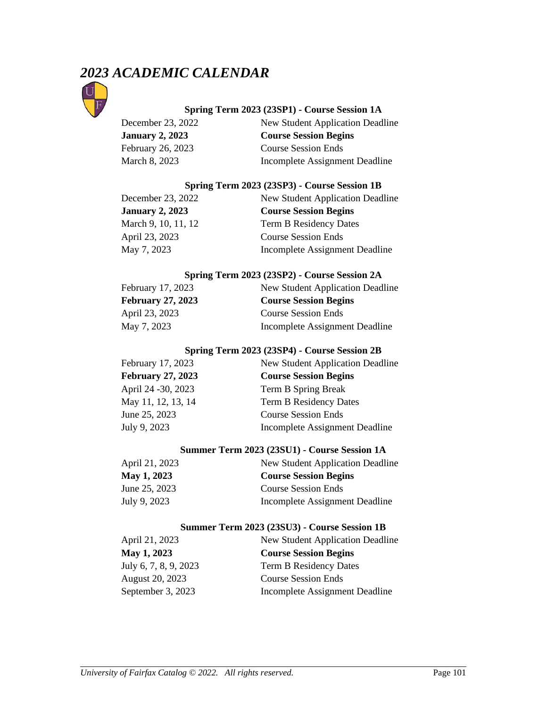# *2023 ACADEMIC CALENDAR*



## **Spring Term 2023 (23SP1) - Course Session 1A**

| December 23, 2022      | New Student Application Deadline |
|------------------------|----------------------------------|
| <b>January 2, 2023</b> | <b>Course Session Begins</b>     |
| February 26, 2023      | <b>Course Session Ends</b>       |
| March 8, 2023          | Incomplete Assignment Deadline   |

#### **Spring Term 2023 (23SP3) - Course Session 1B**

| December 23, 2022      | New Student Application Deadline |
|------------------------|----------------------------------|
| <b>January 2, 2023</b> | <b>Course Session Begins</b>     |
| March 9, 10, 11, 12    | Term B Residency Dates           |
| April 23, 2023         | <b>Course Session Ends</b>       |
| May 7, 2023            | Incomplete Assignment Deadline   |

#### **Spring Term 2023 (23SP2) - Course Session 2A**

| February 17, 2023        | New Student Application Deadline |
|--------------------------|----------------------------------|
| <b>February 27, 2023</b> | <b>Course Session Begins</b>     |
| April 23, 2023           | <b>Course Session Ends</b>       |
| May 7, 2023              | Incomplete Assignment Deadline   |

## **Spring Term 2023 (23SP4) - Course Session 2B**

| February 17, 2023        | New Student Application Deadline |
|--------------------------|----------------------------------|
| <b>February 27, 2023</b> | <b>Course Session Begins</b>     |
| April 24 - 30, 2023      | Term B Spring Break              |
| May 11, 12, 13, 14       | <b>Term B Residency Dates</b>    |
| June 25, 2023            | <b>Course Session Ends</b>       |
| July 9, 2023             | Incomplete Assignment Deadline   |

## **Summer Term 2023 (23SU1) - Course Session 1A**

| New Student Application Deadline |
|----------------------------------|
| <b>Course Session Begins</b>     |
| <b>Course Session Ends</b>       |
| Incomplete Assignment Deadline   |
|                                  |

#### **Summer Term 2023 (23SU3) - Course Session 1B**

| April 21, 2023        | New Student Application Deadline |
|-----------------------|----------------------------------|
| May 1, 2023           | <b>Course Session Begins</b>     |
| July 6, 7, 8, 9, 2023 | Term B Residency Dates           |
| August 20, 2023       | <b>Course Session Ends</b>       |
| September 3, 2023     | Incomplete Assignment Deadline   |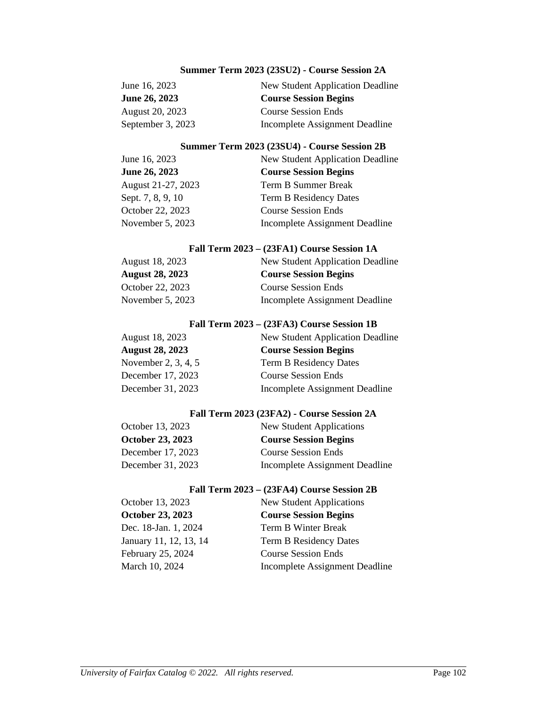## **Summer Term 2023 (23SU2) - Course Session 2A**

| June 16, 2023        | New Student Application Deadline |
|----------------------|----------------------------------|
| <b>June 26, 2023</b> | <b>Course Session Begins</b>     |
| August 20, 2023      | <b>Course Session Ends</b>       |
| September 3, 2023    | Incomplete Assignment Deadline   |

#### **Summer Term 2023 (23SU4) - Course Session 2B**

| June 16, 2023      | New Student Application Deadline |
|--------------------|----------------------------------|
| June 26, 2023      | <b>Course Session Begins</b>     |
| August 21-27, 2023 | Term B Summer Break              |
| Sept. 7, 8, 9, 10  | <b>Term B Residency Dates</b>    |
| October 22, 2023   | <b>Course Session Ends</b>       |
| November 5, 2023   | Incomplete Assignment Deadline   |

#### **Fall Term 2023 – (23FA1) Course Session 1A**

| August 18, 2023        | New Student Application Deadline |
|------------------------|----------------------------------|
| <b>August 28, 2023</b> | <b>Course Session Begins</b>     |
| October 22, 2023       | <b>Course Session Ends</b>       |
| November 5, 2023       | Incomplete Assignment Deadline   |

#### **Fall Term 2023 – (23FA3) Course Session 1B**

| August 18, 2023        | New Student Application Deadline |
|------------------------|----------------------------------|
| <b>August 28, 2023</b> | <b>Course Session Begins</b>     |
| November 2, 3, 4, 5    | Term B Residency Dates           |
| December 17, 2023      | <b>Course Session Ends</b>       |
| December 31, 2023      | Incomplete Assignment Deadline   |

## **Fall Term 2023 (23FA2) - Course Session 2A**

| October 13, 2023        | New Student Applications       |
|-------------------------|--------------------------------|
| <b>October 23, 2023</b> | <b>Course Session Begins</b>   |
| December 17, 2023       | <b>Course Session Ends</b>     |
| December 31, 2023       | Incomplete Assignment Deadline |

#### **Fall Term 2023 – (23FA4) Course Session 2B**

| <b>New Student Applications</b> |
|---------------------------------|
| <b>Course Session Begins</b>    |
| Term B Winter Break             |
| <b>Term B Residency Dates</b>   |
| <b>Course Session Ends</b>      |
| Incomplete Assignment Deadline  |
|                                 |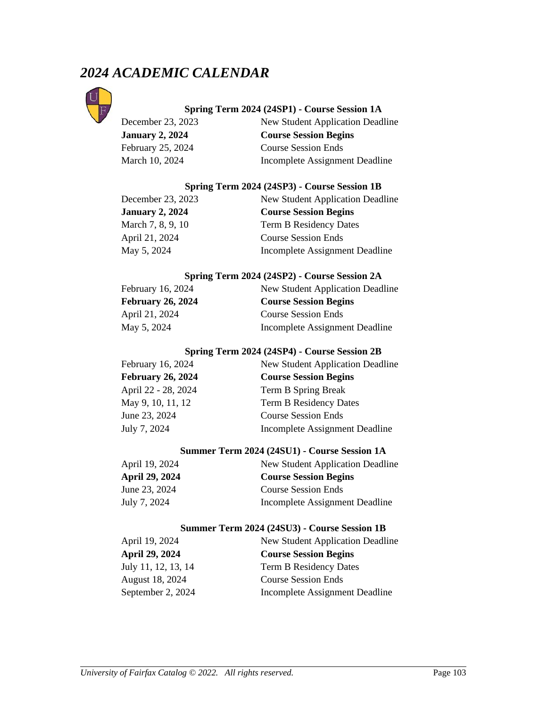# *2024 ACADEMIC CALENDAR*



## **Spring Term 2024 (24SP1) - Course Session 1A**

December 23, 2023 New Student Application Deadline **January 2, 2024 Course Session Begins** February 25, 2024 Course Session Ends March 10, 2024 Incomplete Assignment Deadline

#### **Spring Term 2024 (24SP3) - Course Session 1B**

| December 23, 2023      | New Student Application Deadline |
|------------------------|----------------------------------|
| <b>January 2, 2024</b> | <b>Course Session Begins</b>     |
| March 7, 8, 9, 10      | Term B Residency Dates           |
| April 21, 2024         | <b>Course Session Ends</b>       |
| May 5, 2024            | Incomplete Assignment Deadline   |

#### **Spring Term 2024 (24SP2) - Course Session 2A**

| February 16, 2024        | New Student Application Deadline |
|--------------------------|----------------------------------|
| <b>February 26, 2024</b> | <b>Course Session Begins</b>     |
| April 21, 2024           | <b>Course Session Ends</b>       |
| May 5, 2024              | Incomplete Assignment Deadline   |

### **Spring Term 2024 (24SP4) - Course Session 2B**

| February 16, 2024        | New Student Application Deadline |
|--------------------------|----------------------------------|
| <b>February 26, 2024</b> | <b>Course Session Begins</b>     |
| April 22 - 28, 2024      | Term B Spring Break              |
| May 9, 10, 11, 12        | <b>Term B Residency Dates</b>    |
| June 23, 2024            | <b>Course Session Ends</b>       |
| July 7, 2024             | Incomplete Assignment Deadline   |

#### **Summer Term 2024 (24SU1) - Course Session 1A**

| April 19, 2024 | New Student Application Deadline |
|----------------|----------------------------------|
| April 29, 2024 | <b>Course Session Begins</b>     |
| June 23, 2024  | <b>Course Session Ends</b>       |
| July 7, 2024   | Incomplete Assignment Deadline   |

#### **Summer Term 2024 (24SU3) - Course Session 1B**

| April 19, 2024      | New Student Application Deadline |
|---------------------|----------------------------------|
| April 29, 2024      | <b>Course Session Begins</b>     |
| July 11, 12, 13, 14 | Term B Residency Dates           |
| August 18, 2024     | <b>Course Session Ends</b>       |
| September 2, 2024   | Incomplete Assignment Deadline   |